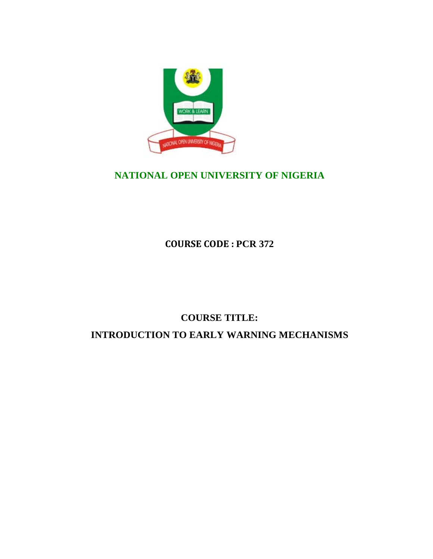

# **NATIONAL OPEN UNIVERSITY OF NIGERIA**

**COURSE CODE : PCR 372**

# **COURSE TITLE: INTRODUCTION TO EARLY WARNING MECHANISMS**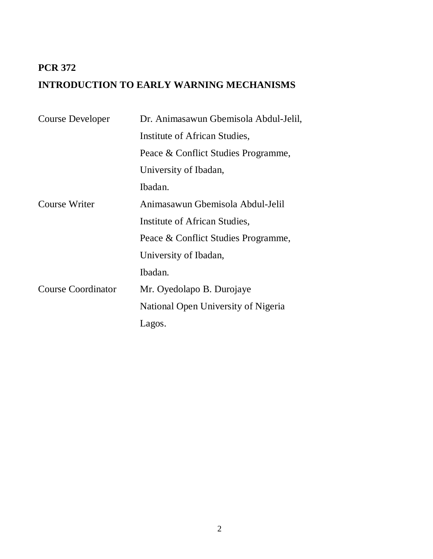# **PCR 372 INTRODUCTION TO EARLY WARNING MECHANISMS**

| Course Developer          | Dr. Animasawun Gbemisola Abdul-Jelil, |
|---------------------------|---------------------------------------|
|                           | Institute of African Studies,         |
|                           | Peace & Conflict Studies Programme,   |
|                           | University of Ibadan,                 |
|                           | Ibadan.                               |
| Course Writer             | Animasawun Gbemisola Abdul-Jelil      |
|                           | Institute of African Studies,         |
|                           | Peace & Conflict Studies Programme,   |
|                           | University of Ibadan,                 |
|                           | Ibadan.                               |
| <b>Course Coordinator</b> | Mr. Oyedolapo B. Durojaye             |
|                           | National Open University of Nigeria   |
|                           | Lagos.                                |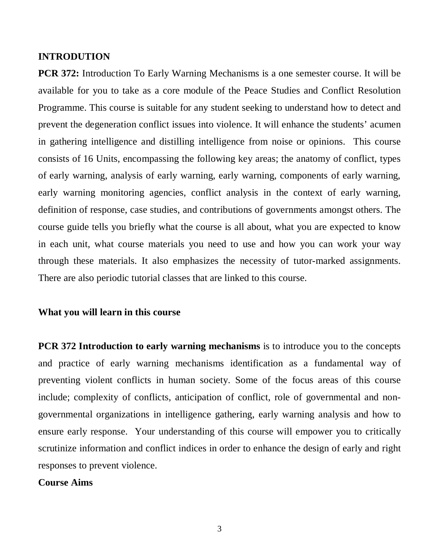#### **INTRODUTION**

**PCR 372:** Introduction To Early Warning Mechanisms is a one semester course. It will be available for you to take as a core module of the Peace Studies and Conflict Resolution Programme. This course is suitable for any student seeking to understand how to detect and prevent the degeneration conflict issues into violence. It will enhance the students' acumen in gathering intelligence and distilling intelligence from noise or opinions. This course consists of 16 Units, encompassing the following key areas; the anatomy of conflict, types of early warning, analysis of early warning, early warning, components of early warning, early warning monitoring agencies, conflict analysis in the context of early warning, definition of response, case studies, and contributions of governments amongst others. The course guide tells you briefly what the course is all about, what you are expected to know in each unit, what course materials you need to use and how you can work your way through these materials. It also emphasizes the necessity of tutor-marked assignments. There are also periodic tutorial classes that are linked to this course.

### **What you will learn in this course**

**PCR 372 Introduction to early warning mechanisms** is to introduce you to the concepts and practice of early warning mechanisms identification as a fundamental way of preventing violent conflicts in human society. Some of the focus areas of this course include; complexity of conflicts, anticipation of conflict, role of governmental and nongovernmental organizations in intelligence gathering, early warning analysis and how to ensure early response. Your understanding of this course will empower you to critically scrutinize information and conflict indices in order to enhance the design of early and right responses to prevent violence.

### **Course Aims**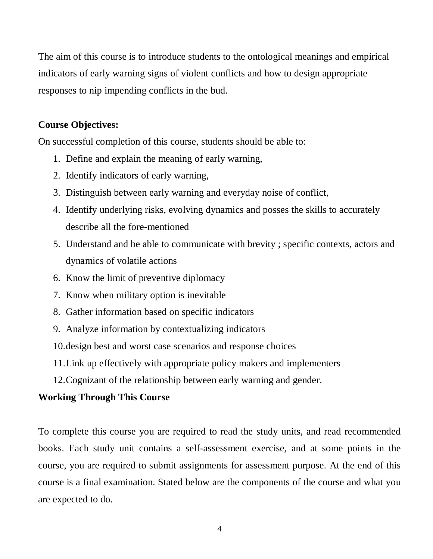The aim of this course is to introduce students to the ontological meanings and empirical indicators of early warning signs of violent conflicts and how to design appropriate responses to nip impending conflicts in the bud.

# **Course Objectives:**

On successful completion of this course, students should be able to:

- 1. Define and explain the meaning of early warning,
- 2. Identify indicators of early warning,
- 3. Distinguish between early warning and everyday noise of conflict,
- 4. Identify underlying risks, evolving dynamics and posses the skills to accurately describe all the fore-mentioned
- 5. Understand and be able to communicate with brevity ; specific contexts, actors and dynamics of volatile actions
- 6. Know the limit of preventive diplomacy
- 7. Know when military option is inevitable
- 8. Gather information based on specific indicators
- 9. Analyze information by contextualizing indicators
- 10.design best and worst case scenarios and response choices
- 11.Link up effectively with appropriate policy makers and implementers
- 12.Cognizant of the relationship between early warning and gender.

# **Working Through This Course**

To complete this course you are required to read the study units, and read recommended books. Each study unit contains a self-assessment exercise, and at some points in the course, you are required to submit assignments for assessment purpose. At the end of this course is a final examination. Stated below are the components of the course and what you are expected to do.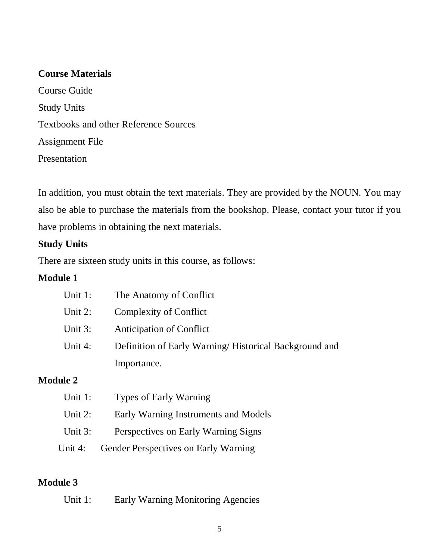# **Course Materials**

Course Guide Study Units Textbooks and other Reference Sources Assignment File Presentation

In addition, you must obtain the text materials. They are provided by the NOUN. You may also be able to purchase the materials from the bookshop. Please, contact your tutor if you have problems in obtaining the next materials.

# **Study Units**

There are sixteen study units in this course, as follows:

# **Module 1**

| Unit 1:    | The Anatomy of Conflict                               |
|------------|-------------------------------------------------------|
| Unit $2$ : | Complexity of Conflict                                |
| Unit 3:    | <b>Anticipation of Conflict</b>                       |
| Unit 4:    | Definition of Early Warning/Historical Background and |
|            | Importance.                                           |
|            |                                                       |

# **Module 2**

| Unit $1$ : | <b>Types of Early Warning</b>        |
|------------|--------------------------------------|
| Unit $2$ : | Early Warning Instruments and Models |
| Unit $3:$  | Perspectives on Early Warning Signs  |
| Unit 4:    | Gender Perspectives on Early Warning |

# **Module 3**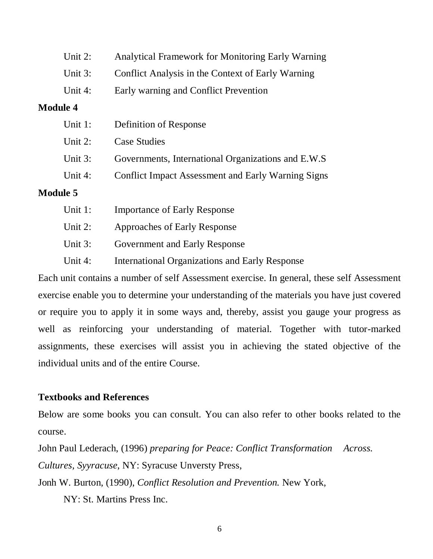| Unit $2$ :      | <b>Analytical Framework for Monitoring Early Warning</b>  |
|-----------------|-----------------------------------------------------------|
| Unit 3:         | Conflict Analysis in the Context of Early Warning         |
| Unit $4$ :      | Early warning and Conflict Prevention                     |
| <b>Module 4</b> |                                                           |
| Unit 1:         | Definition of Response                                    |
| Unit $2$ :      | <b>Case Studies</b>                                       |
| Unit 3:         | Governments, International Organizations and E.W.S.       |
| Unit $4$ :      | <b>Conflict Impact Assessment and Early Warning Signs</b> |
| <b>Module 5</b> |                                                           |
| Unit $1$ :      | <b>Importance of Early Response</b>                       |
| Unit $2$ :      | Approaches of Early Response                              |

- Unit 3: Government and Early Response
- Unit 4: International Organizations and Early Response

Each unit contains a number of self Assessment exercise. In general, these self Assessment exercise enable you to determine your understanding of the materials you have just covered or require you to apply it in some ways and, thereby, assist you gauge your progress as well as reinforcing your understanding of material. Together with tutor-marked assignments, these exercises will assist you in achieving the stated objective of the individual units and of the entire Course.

# **Textbooks and References**

Below are some books you can consult. You can also refer to other books related to the course.

John Paul Lederach, (1996) *preparing for Peace: Conflict Transformation Across. Cultures, Syyracuse*, NY: Syracuse Unversty Press,

Jonh W. Burton, (1990), *Conflict Resolution and Prevention.* New York,

NY: St. Martins Press Inc.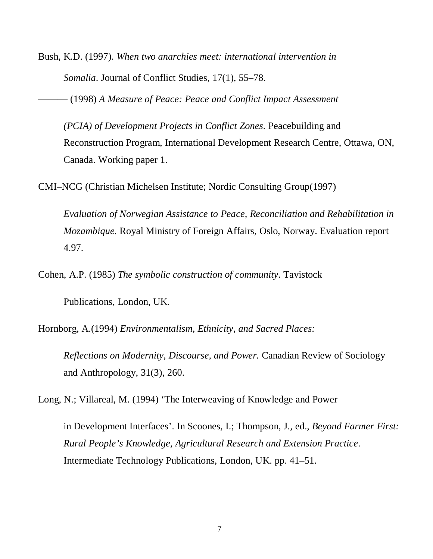Bush, K.D. (1997). *When two anarchies meet: international intervention in Somalia*. Journal of Conflict Studies, 17(1), 55–78.

——— (1998) *A Measure of Peace: Peace and Conflict Impact Assessment* 

*(PCIA) of Development Projects in Conflict Zones*. Peacebuilding and Reconstruction Program, International Development Research Centre, Ottawa, ON, Canada. Working paper 1.

CMI–NCG (Christian Michelsen Institute; Nordic Consulting Group(1997)

*Evaluation of Norwegian Assistance to Peace, Reconciliation and Rehabilitation in Mozambique.* Royal Ministry of Foreign Affairs, Oslo, Norway. Evaluation report 4.97.

Cohen, A.P. (1985) *The symbolic construction of community*. Tavistock

Publications, London, UK.

Hornborg, A.(1994) *Environmentalism, Ethnicity, and Sacred Places:* 

*Reflections on Modernity, Discourse, and Power.* Canadian Review of Sociology and Anthropology, 31(3), 260.

Long, N.; Villareal, M. (1994) 'The Interweaving of Knowledge and Power

in Development Interfaces'. In Scoones, I.; Thompson, J., ed., *Beyond Farmer First: Rural People's Knowledge, Agricultural Research and Extension Practice*. Intermediate Technology Publications, London, UK. pp. 41–51.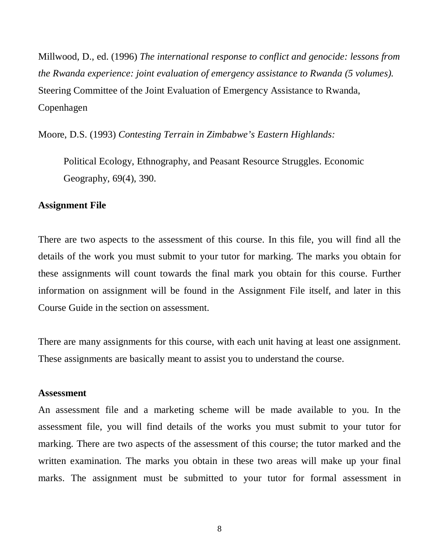Millwood, D., ed. (1996) *The international response to conflict and genocide: lessons from the Rwanda experience: joint evaluation of emergency assistance to Rwanda (5 volumes).*  Steering Committee of the Joint Evaluation of Emergency Assistance to Rwanda, Copenhagen

Moore, D.S. (1993) *Contesting Terrain in Zimbabwe's Eastern Highlands:* 

Political Ecology, Ethnography, and Peasant Resource Struggles. Economic Geography, 69(4), 390.

#### **Assignment File**

There are two aspects to the assessment of this course. In this file, you will find all the details of the work you must submit to your tutor for marking. The marks you obtain for these assignments will count towards the final mark you obtain for this course. Further information on assignment will be found in the Assignment File itself, and later in this Course Guide in the section on assessment.

There are many assignments for this course, with each unit having at least one assignment. These assignments are basically meant to assist you to understand the course.

#### **Assessment**

An assessment file and a marketing scheme will be made available to you. In the assessment file, you will find details of the works you must submit to your tutor for marking. There are two aspects of the assessment of this course; the tutor marked and the written examination. The marks you obtain in these two areas will make up your final marks. The assignment must be submitted to your tutor for formal assessment in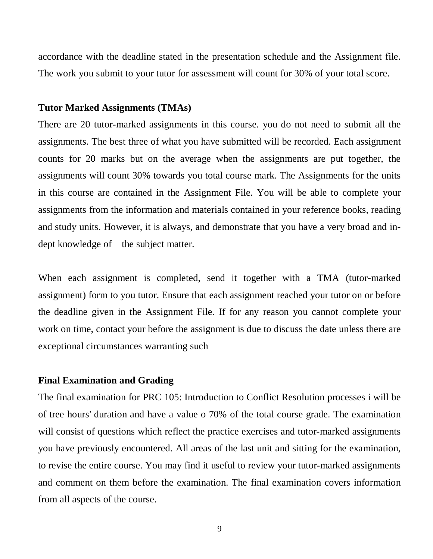accordance with the deadline stated in the presentation schedule and the Assignment file. The work you submit to your tutor for assessment will count for 30% of your total score.

#### **Tutor Marked Assignments (TMAs)**

There are 20 tutor-marked assignments in this course. you do not need to submit all the assignments. The best three of what you have submitted will be recorded. Each assignment counts for 20 marks but on the average when the assignments are put together, the assignments will count 30% towards you total course mark. The Assignments for the units in this course are contained in the Assignment File. You will be able to complete your assignments from the information and materials contained in your reference books, reading and study units. However, it is always, and demonstrate that you have a very broad and indept knowledge of the subject matter.

When each assignment is completed, send it together with a TMA (tutor-marked assignment) form to you tutor. Ensure that each assignment reached your tutor on or before the deadline given in the Assignment File. If for any reason you cannot complete your work on time, contact your before the assignment is due to discuss the date unless there are exceptional circumstances warranting such

#### **Final Examination and Grading**

The final examination for PRC 105: Introduction to Conflict Resolution processes i will be of tree hours' duration and have a value o 70% of the total course grade. The examination will consist of questions which reflect the practice exercises and tutor-marked assignments you have previously encountered. All areas of the last unit and sitting for the examination, to revise the entire course. You may find it useful to review your tutor-marked assignments and comment on them before the examination. The final examination covers information from all aspects of the course.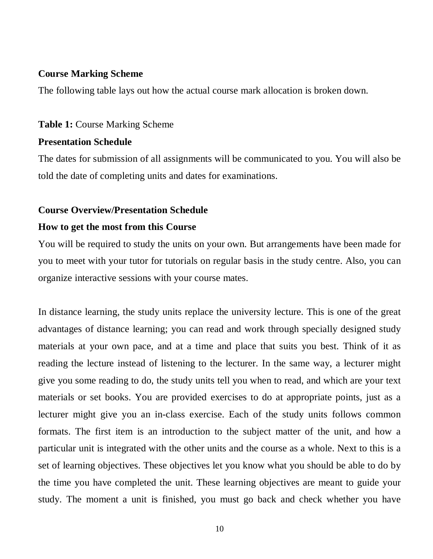#### **Course Marking Scheme**

The following table lays out how the actual course mark allocation is broken down.

#### **Table 1:** Course Marking Scheme

### **Presentation Schedule**

The dates for submission of all assignments will be communicated to you. You will also be told the date of completing units and dates for examinations.

#### **Course Overview/Presentation Schedule**

# **How to get the most from this Course**

You will be required to study the units on your own. But arrangements have been made for you to meet with your tutor for tutorials on regular basis in the study centre. Also, you can organize interactive sessions with your course mates.

In distance learning, the study units replace the university lecture. This is one of the great advantages of distance learning; you can read and work through specially designed study materials at your own pace, and at a time and place that suits you best. Think of it as reading the lecture instead of listening to the lecturer. In the same way, a lecturer might give you some reading to do, the study units tell you when to read, and which are your text materials or set books. You are provided exercises to do at appropriate points, just as a lecturer might give you an in-class exercise. Each of the study units follows common formats. The first item is an introduction to the subject matter of the unit, and how a particular unit is integrated with the other units and the course as a whole. Next to this is a set of learning objectives. These objectives let you know what you should be able to do by the time you have completed the unit. These learning objectives are meant to guide your study. The moment a unit is finished, you must go back and check whether you have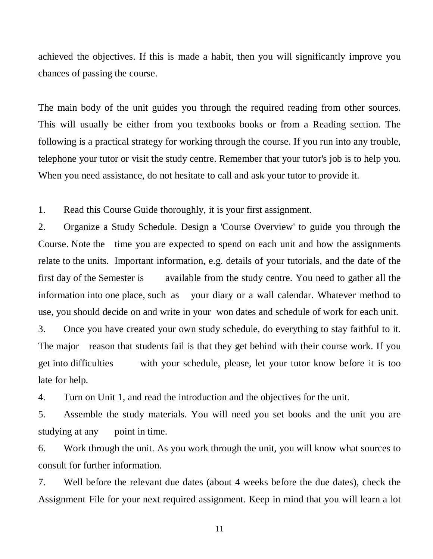achieved the objectives. If this is made a habit, then you will significantly improve you chances of passing the course.

The main body of the unit guides you through the required reading from other sources. This will usually be either from you textbooks books or from a Reading section. The following is a practical strategy for working through the course. If you run into any trouble, telephone your tutor or visit the study centre. Remember that your tutor's job is to help you. When you need assistance, do not hesitate to call and ask your tutor to provide it.

1. Read this Course Guide thoroughly, it is your first assignment.

2. Organize a Study Schedule. Design a 'Course Overview' to guide you through the Course. Note the time you are expected to spend on each unit and how the assignments relate to the units. Important information, e.g. details of your tutorials, and the date of the first day of the Semester is available from the study centre. You need to gather all the information into one place, such as your diary or a wall calendar. Whatever method to use, you should decide on and write in your won dates and schedule of work for each unit. 3. Once you have created your own study schedule, do everything to stay faithful to it. The major reason that students fail is that they get behind with their course work. If you

get into difficulties with your schedule, please, let your tutor know before it is too late for help.

4. Turn on Unit 1, and read the introduction and the objectives for the unit.

5. Assemble the study materials. You will need you set books and the unit you are studying at any point in time.

6. Work through the unit. As you work through the unit, you will know what sources to consult for further information.

7. Well before the relevant due dates (about 4 weeks before the due dates), check the Assignment File for your next required assignment. Keep in mind that you will learn a lot

11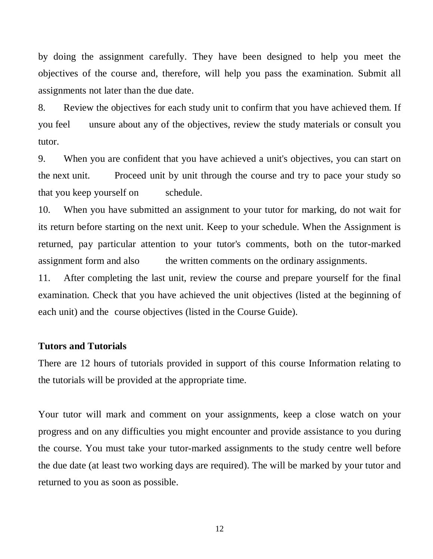by doing the assignment carefully. They have been designed to help you meet the objectives of the course and, therefore, will help you pass the examination. Submit all assignments not later than the due date.

8. Review the objectives for each study unit to confirm that you have achieved them. If you feel unsure about any of the objectives, review the study materials or consult you tutor.

9. When you are confident that you have achieved a unit's objectives, you can start on the next unit. Proceed unit by unit through the course and try to pace your study so that you keep yourself on schedule.

10. When you have submitted an assignment to your tutor for marking, do not wait for its return before starting on the next unit. Keep to your schedule. When the Assignment is returned, pay particular attention to your tutor's comments, both on the tutor-marked assignment form and also the written comments on the ordinary assignments.

11. After completing the last unit, review the course and prepare yourself for the final examination. Check that you have achieved the unit objectives (listed at the beginning of each unit) and the course objectives (listed in the Course Guide).

#### **Tutors and Tutorials**

There are 12 hours of tutorials provided in support of this course Information relating to the tutorials will be provided at the appropriate time.

Your tutor will mark and comment on your assignments, keep a close watch on your progress and on any difficulties you might encounter and provide assistance to you during the course. You must take your tutor-marked assignments to the study centre well before the due date (at least two working days are required). The will be marked by your tutor and returned to you as soon as possible.

12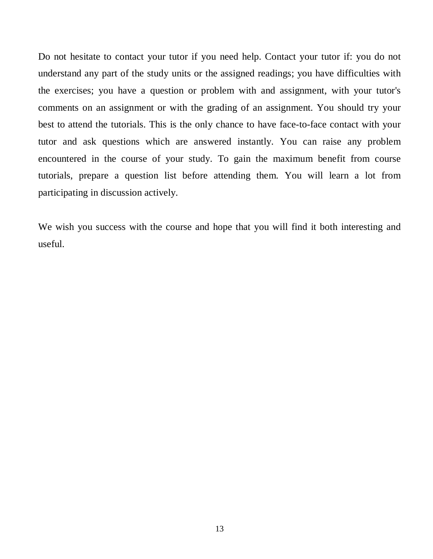Do not hesitate to contact your tutor if you need help. Contact your tutor if: you do not understand any part of the study units or the assigned readings; you have difficulties with the exercises; you have a question or problem with and assignment, with your tutor's comments on an assignment or with the grading of an assignment. You should try your best to attend the tutorials. This is the only chance to have face-to-face contact with your tutor and ask questions which are answered instantly. You can raise any problem encountered in the course of your study. To gain the maximum benefit from course tutorials, prepare a question list before attending them. You will learn a lot from participating in discussion actively.

We wish you success with the course and hope that you will find it both interesting and useful.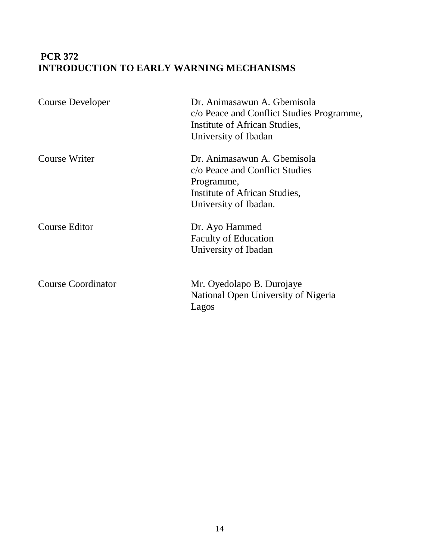# **PCR 372 INTRODUCTION TO EARLY WARNING MECHANISMS**

| <b>Course Developer</b>   | Dr. Animasawun A. Gbemisola<br>c/o Peace and Conflict Studies Programme,<br>Institute of African Studies,<br>University of Ibadan     |
|---------------------------|---------------------------------------------------------------------------------------------------------------------------------------|
| <b>Course Writer</b>      | Dr. Animasawun A. Gbemisola<br>c/o Peace and Conflict Studies<br>Programme,<br>Institute of African Studies,<br>University of Ibadan. |
| <b>Course Editor</b>      | Dr. Ayo Hammed<br><b>Faculty of Education</b><br>University of Ibadan                                                                 |
| <b>Course Coordinator</b> | Mr. Oyedolapo B. Durojaye<br>National Open University of Nigeria<br>Lagos                                                             |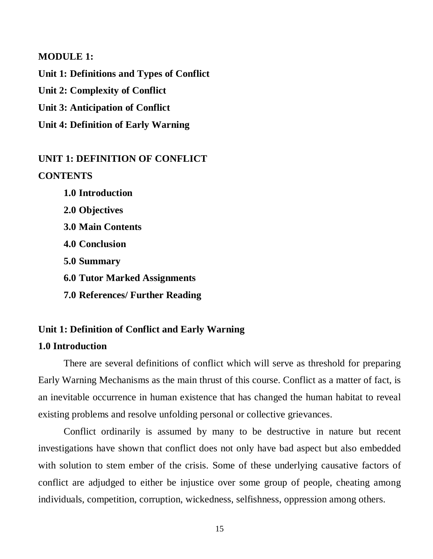#### **MODULE 1:**

**Unit 1: Definitions and Types of Conflict Unit 2: Complexity of Conflict Unit 3: Anticipation of Conflict Unit 4: Definition of Early Warning** 

# **UNIT 1: DEFINITION OF CONFLICT CONTENTS**

**1.0 Introduction 2.0 Objectives 3.0 Main Contents 4.0 Conclusion 5.0 Summary 6.0 Tutor Marked Assignments 7.0 References/ Further Reading**

### **Unit 1: Definition of Conflict and Early Warning**

# **1.0 Introduction**

There are several definitions of conflict which will serve as threshold for preparing Early Warning Mechanisms as the main thrust of this course. Conflict as a matter of fact, is an inevitable occurrence in human existence that has changed the human habitat to reveal existing problems and resolve unfolding personal or collective grievances.

Conflict ordinarily is assumed by many to be destructive in nature but recent investigations have shown that conflict does not only have bad aspect but also embedded with solution to stem ember of the crisis. Some of these underlying causative factors of conflict are adjudged to either be injustice over some group of people, cheating among individuals, competition, corruption, wickedness, selfishness, oppression among others.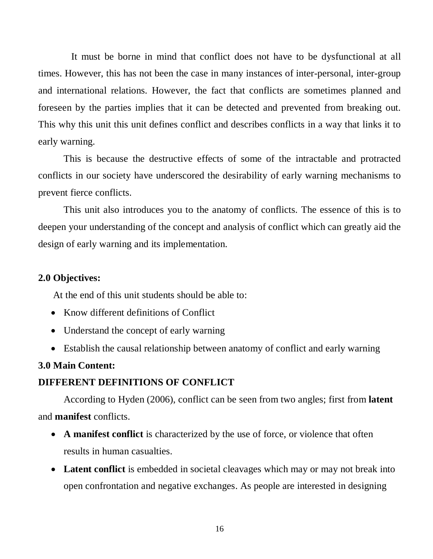It must be borne in mind that conflict does not have to be dysfunctional at all times. However, this has not been the case in many instances of inter-personal, inter-group and international relations. However, the fact that conflicts are sometimes planned and foreseen by the parties implies that it can be detected and prevented from breaking out. This why this unit this unit defines conflict and describes conflicts in a way that links it to early warning.

This is because the destructive effects of some of the intractable and protracted conflicts in our society have underscored the desirability of early warning mechanisms to prevent fierce conflicts.

This unit also introduces you to the anatomy of conflicts. The essence of this is to deepen your understanding of the concept and analysis of conflict which can greatly aid the design of early warning and its implementation.

#### **2.0 Objectives:**

At the end of this unit students should be able to:

- Know different definitions of Conflict
- Understand the concept of early warning
- Establish the causal relationship between anatomy of conflict and early warning

# **3.0 Main Content:**

### **DIFFERENT DEFINITIONS OF CONFLICT**

According to Hyden (2006), conflict can be seen from two angles; first from **latent** and **manifest** conflicts.

- **A manifest conflict** is characterized by the use of force, or violence that often results in human casualties.
- **Latent conflict** is embedded in societal cleavages which may or may not break into open confrontation and negative exchanges. As people are interested in designing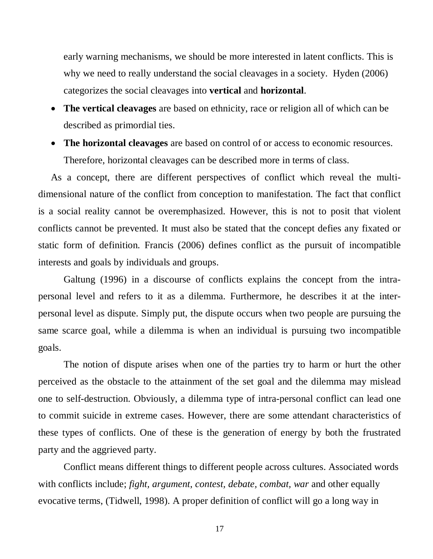early warning mechanisms, we should be more interested in latent conflicts. This is why we need to really understand the social cleavages in a society. Hyden (2006) categorizes the social cleavages into **vertical** and **horizontal**.

- **The vertical cleavages** are based on ethnicity, race or religion all of which can be described as primordial ties.
- **The horizontal cleavages** are based on control of or access to economic resources. Therefore, horizontal cleavages can be described more in terms of class.

As a concept, there are different perspectives of conflict which reveal the multidimensional nature of the conflict from conception to manifestation. The fact that conflict is a social reality cannot be overemphasized. However, this is not to posit that violent conflicts cannot be prevented. It must also be stated that the concept defies any fixated or static form of definition. Francis (2006) defines conflict as the pursuit of incompatible interests and goals by individuals and groups.

Galtung (1996) in a discourse of conflicts explains the concept from the intrapersonal level and refers to it as a dilemma. Furthermore, he describes it at the interpersonal level as dispute. Simply put, the dispute occurs when two people are pursuing the same scarce goal, while a dilemma is when an individual is pursuing two incompatible goals.

The notion of dispute arises when one of the parties try to harm or hurt the other perceived as the obstacle to the attainment of the set goal and the dilemma may mislead one to self-destruction. Obviously, a dilemma type of intra-personal conflict can lead one to commit suicide in extreme cases. However, there are some attendant characteristics of these types of conflicts. One of these is the generation of energy by both the frustrated party and the aggrieved party.

Conflict means different things to different people across cultures. Associated words with conflicts include; *fight, argument*, *contest, debate, combat, war* and other equally evocative terms, (Tidwell, 1998). A proper definition of conflict will go a long way in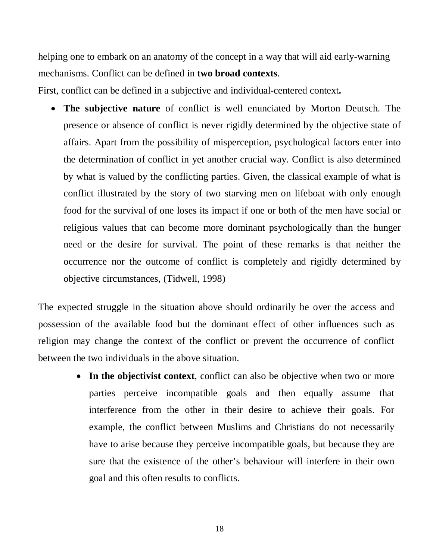helping one to embark on an anatomy of the concept in a way that will aid early-warning mechanisms. Conflict can be defined in **two broad contexts**.

First, conflict can be defined in a subjective and individual-centered context**.**

• **The subjective nature** of conflict is well enunciated by Morton Deutsch. The presence or absence of conflict is never rigidly determined by the objective state of affairs. Apart from the possibility of misperception, psychological factors enter into the determination of conflict in yet another crucial way. Conflict is also determined by what is valued by the conflicting parties. Given, the classical example of what is conflict illustrated by the story of two starving men on lifeboat with only enough food for the survival of one loses its impact if one or both of the men have social or religious values that can become more dominant psychologically than the hunger need or the desire for survival. The point of these remarks is that neither the occurrence nor the outcome of conflict is completely and rigidly determined by objective circumstances, (Tidwell, 1998)

The expected struggle in the situation above should ordinarily be over the access and possession of the available food but the dominant effect of other influences such as religion may change the context of the conflict or prevent the occurrence of conflict between the two individuals in the above situation.

> • **In the objectivist context**, conflict can also be objective when two or more parties perceive incompatible goals and then equally assume that interference from the other in their desire to achieve their goals. For example, the conflict between Muslims and Christians do not necessarily have to arise because they perceive incompatible goals, but because they are sure that the existence of the other's behaviour will interfere in their own goal and this often results to conflicts.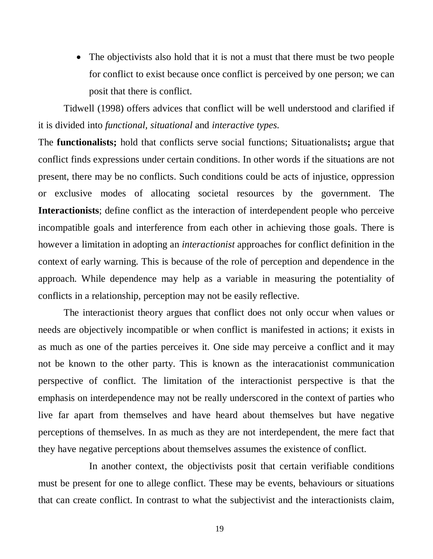• The objectivists also hold that it is not a must that there must be two people for conflict to exist because once conflict is perceived by one person; we can posit that there is conflict.

Tidwell (1998) offers advices that conflict will be well understood and clarified if it is divided into *functional, situational* and *interactive types.*

The **functionalists;** hold that conflicts serve social functions; Situationalists**;** argue that conflict finds expressions under certain conditions. In other words if the situations are not present, there may be no conflicts. Such conditions could be acts of injustice, oppression or exclusive modes of allocating societal resources by the government. The **Interactionists**; define conflict as the interaction of interdependent people who perceive incompatible goals and interference from each other in achieving those goals. There is however a limitation in adopting an *interactionist* approaches for conflict definition in the context of early warning. This is because of the role of perception and dependence in the approach. While dependence may help as a variable in measuring the potentiality of conflicts in a relationship, perception may not be easily reflective.

The interactionist theory argues that conflict does not only occur when values or needs are objectively incompatible or when conflict is manifested in actions; it exists in as much as one of the parties perceives it. One side may perceive a conflict and it may not be known to the other party. This is known as the interacationist communication perspective of conflict. The limitation of the interactionist perspective is that the emphasis on interdependence may not be really underscored in the context of parties who live far apart from themselves and have heard about themselves but have negative perceptions of themselves. In as much as they are not interdependent, the mere fact that they have negative perceptions about themselves assumes the existence of conflict.

In another context, the objectivists posit that certain verifiable conditions must be present for one to allege conflict. These may be events, behaviours or situations that can create conflict. In contrast to what the subjectivist and the interactionists claim,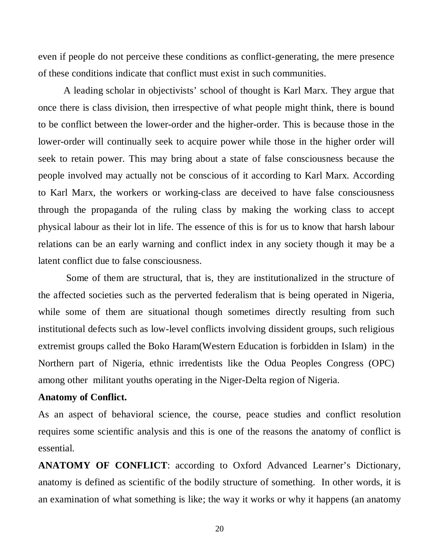even if people do not perceive these conditions as conflict-generating, the mere presence of these conditions indicate that conflict must exist in such communities.

A leading scholar in objectivists' school of thought is Karl Marx. They argue that once there is class division, then irrespective of what people might think, there is bound to be conflict between the lower-order and the higher-order. This is because those in the lower-order will continually seek to acquire power while those in the higher order will seek to retain power. This may bring about a state of false consciousness because the people involved may actually not be conscious of it according to Karl Marx. According to Karl Marx, the workers or working-class are deceived to have false consciousness through the propaganda of the ruling class by making the working class to accept physical labour as their lot in life. The essence of this is for us to know that harsh labour relations can be an early warning and conflict index in any society though it may be a latent conflict due to false consciousness.

Some of them are structural, that is, they are institutionalized in the structure of the affected societies such as the perverted federalism that is being operated in Nigeria, while some of them are situational though sometimes directly resulting from such institutional defects such as low-level conflicts involving dissident groups, such religious extremist groups called the Boko Haram(Western Education is forbidden in Islam) in the Northern part of Nigeria, ethnic irredentists like the Odua Peoples Congress (OPC) among other militant youths operating in the Niger-Delta region of Nigeria.

#### **Anatomy of Conflict.**

As an aspect of behavioral science, the course, peace studies and conflict resolution requires some scientific analysis and this is one of the reasons the anatomy of conflict is essential.

**ANATOMY OF CONFLICT**: according to Oxford Advanced Learner's Dictionary, anatomy is defined as scientific of the bodily structure of something. In other words, it is an examination of what something is like; the way it works or why it happens (an anatomy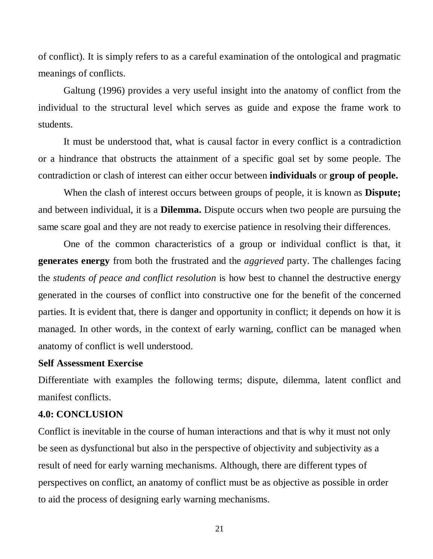of conflict). It is simply refers to as a careful examination of the ontological and pragmatic meanings of conflicts.

Galtung (1996) provides a very useful insight into the anatomy of conflict from the individual to the structural level which serves as guide and expose the frame work to students.

It must be understood that, what is causal factor in every conflict is a contradiction or a hindrance that obstructs the attainment of a specific goal set by some people. The contradiction or clash of interest can either occur between **individuals** or **group of people.**

When the clash of interest occurs between groups of people, it is known as **Dispute;**  and between individual, it is a **Dilemma.** Dispute occurs when two people are pursuing the same scare goal and they are not ready to exercise patience in resolving their differences.

One of the common characteristics of a group or individual conflict is that, it **generates energy** from both the frustrated and the *aggrieved* party. The challenges facing the *students of peace and conflict resolution* is how best to channel the destructive energy generated in the courses of conflict into constructive one for the benefit of the concerned parties. It is evident that, there is danger and opportunity in conflict; it depends on how it is managed. In other words, in the context of early warning, conflict can be managed when anatomy of conflict is well understood.

#### **Self Assessment Exercise**

Differentiate with examples the following terms; dispute, dilemma, latent conflict and manifest conflicts.

#### **4.0: CONCLUSION**

Conflict is inevitable in the course of human interactions and that is why it must not only be seen as dysfunctional but also in the perspective of objectivity and subjectivity as a result of need for early warning mechanisms. Although, there are different types of perspectives on conflict, an anatomy of conflict must be as objective as possible in order to aid the process of designing early warning mechanisms.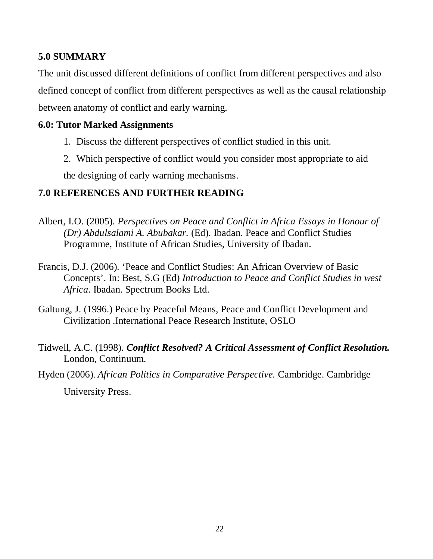# **5.0 SUMMARY**

The unit discussed different definitions of conflict from different perspectives and also defined concept of conflict from different perspectives as well as the causal relationship between anatomy of conflict and early warning.

# **6.0: Tutor Marked Assignments**

- 1. Discuss the different perspectives of conflict studied in this unit.
- 2. Which perspective of conflict would you consider most appropriate to aid

the designing of early warning mechanisms.

# **7.0 REFERENCES AND FURTHER READING**

- Albert, I.O. (2005). *Perspectives on Peace and Conflict in Africa Essays in Honour of (Dr) Abdulsalami A. Abubakar.* (Ed). Ibadan. Peace and Conflict Studies Programme, Institute of African Studies, University of Ibadan.
- Francis, D.J. (2006). 'Peace and Conflict Studies: An African Overview of Basic Concepts'. In: Best, S.G (Ed) *Introduction to Peace and Conflict Studies in west Africa*. Ibadan. Spectrum Books Ltd.
- Galtung, J. (1996.) Peace by Peaceful Means, Peace and Conflict Development and Civilization .International Peace Research Institute, OSLO
- Tidwell, A.C. (1998). *Conflict Resolved? A Critical Assessment of Conflict Resolution.* London, Continuum.
- Hyden (2006). *African Politics in Comparative Perspective.* Cambridge. Cambridge University Press.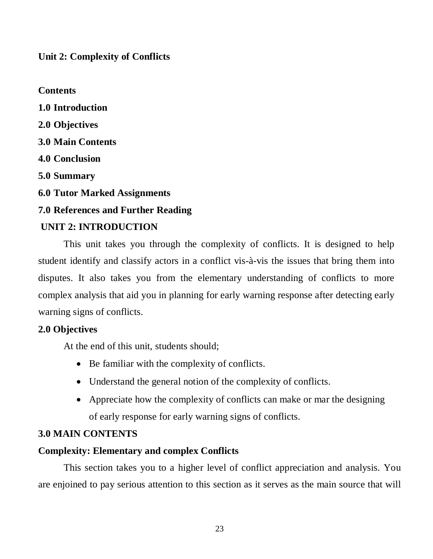**Unit 2: Complexity of Conflicts** 

**Contents 1.0 Introduction 2.0 Objectives 3.0 Main Contents 4.0 Conclusion 5.0 Summary 6.0 Tutor Marked Assignments 7.0 References and Further Reading UNIT 2: INTRODUCTION** 

This unit takes you through the complexity of conflicts. It is designed to help student identify and classify actors in a conflict vis-à-vis the issues that bring them into disputes. It also takes you from the elementary understanding of conflicts to more complex analysis that aid you in planning for early warning response after detecting early warning signs of conflicts.

# **2.0 Objectives**

At the end of this unit, students should;

- Be familiar with the complexity of conflicts.
- Understand the general notion of the complexity of conflicts.
- Appreciate how the complexity of conflicts can make or mar the designing of early response for early warning signs of conflicts.

# **3.0 MAIN CONTENTS**

# **Complexity: Elementary and complex Conflicts**

This section takes you to a higher level of conflict appreciation and analysis. You are enjoined to pay serious attention to this section as it serves as the main source that will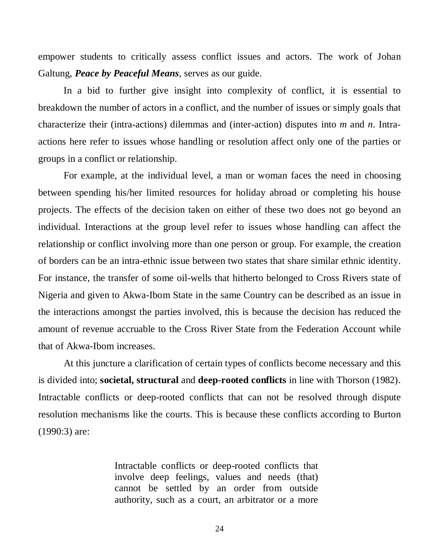empower students to critically assess conflict issues and actors. The work of Johan Galtung, *Peace by Peaceful Means,* serves as our guide.

In a bid to further give insight into complexity of conflict, it is essential to breakdown the number of actors in a conflict, and the number of issues or simply goals that characterize their (intra-actions) dilemmas and (inter-action) disputes into *m* and *n*. Intraactions here refer to issues whose handling or resolution affect only one of the parties or groups in a conflict or relationship.

For example, at the individual level, a man or woman faces the need in choosing between spending his/her limited resources for holiday abroad or completing his house projects. The effects of the decision taken on either of these two does not go beyond an individual. Interactions at the group level refer to issues whose handling can affect the relationship or conflict involving more than one person or group. For example, the creation of borders can be an intra-ethnic issue between two states that share similar ethnic identity. For instance, the transfer of some oil-wells that hitherto belonged to Cross Rivers state of Nigeria and given to Akwa-Ibom State in the same Country can be described as an issue in the interactions amongst the parties involved, this is because the decision has reduced the amount of revenue accruable to the Cross River State from the Federation Account while that of Akwa-Ibom increases.

At this juncture a clarification of certain types of conflicts become necessary and this is divided into; **societal, structural** and **deep-rooted conflicts** in line with Thorson (1982). Intractable conflicts or deep-rooted conflicts that can not be resolved through dispute resolution mechanisms like the courts. This is because these conflicts according to Burton (1990:3) are:

> Intractable conflicts or deep-rooted conflicts that involve deep feelings, values and needs (that) cannot be settled by an order from outside authority, such as a court, an arbitrator or a more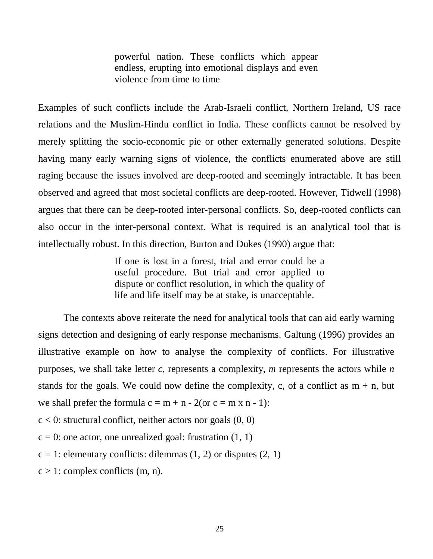powerful nation. These conflicts which appear endless, erupting into emotional displays and even violence from time to time

Examples of such conflicts include the Arab-Israeli conflict, Northern Ireland, US race relations and the Muslim-Hindu conflict in India. These conflicts cannot be resolved by merely splitting the socio-economic pie or other externally generated solutions. Despite having many early warning signs of violence, the conflicts enumerated above are still raging because the issues involved are deep-rooted and seemingly intractable. It has been observed and agreed that most societal conflicts are deep-rooted. However, Tidwell (1998) argues that there can be deep-rooted inter-personal conflicts. So, deep-rooted conflicts can also occur in the inter-personal context. What is required is an analytical tool that is intellectually robust. In this direction, Burton and Dukes (1990) argue that:

> If one is lost in a forest, trial and error could be a useful procedure. But trial and error applied to dispute or conflict resolution, in which the quality of life and life itself may be at stake, is unacceptable.

The contexts above reiterate the need for analytical tools that can aid early warning signs detection and designing of early response mechanisms. Galtung (1996) provides an illustrative example on how to analyse the complexity of conflicts. For illustrative purposes, we shall take letter *c*, represents a complexity, *m* represents the actors while *n*  stands for the goals. We could now define the complexity, c, of a conflict as  $m + n$ , but we shall prefer the formula  $c = m + n - 2$  (or  $c = m \times n - 1$ ):

 $c < 0$ : structural conflict, neither actors nor goals  $(0, 0)$ 

 $c = 0$ : one actor, one unrealized goal: frustration  $(1, 1)$ 

 $c = 1$ : elementary conflicts: dilemmas (1, 2) or disputes (2, 1)

 $c > 1$ : complex conflicts (m, n).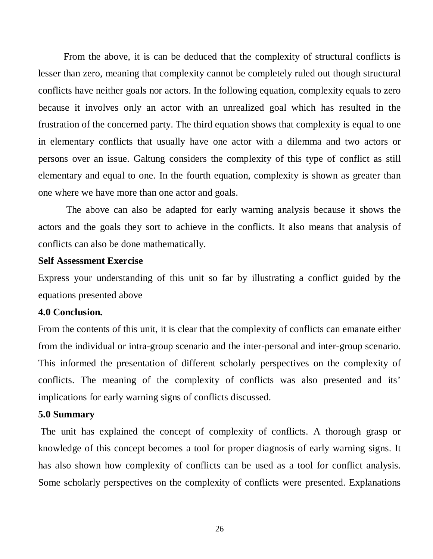From the above, it is can be deduced that the complexity of structural conflicts is lesser than zero, meaning that complexity cannot be completely ruled out though structural conflicts have neither goals nor actors. In the following equation, complexity equals to zero because it involves only an actor with an unrealized goal which has resulted in the frustration of the concerned party. The third equation shows that complexity is equal to one in elementary conflicts that usually have one actor with a dilemma and two actors or persons over an issue. Galtung considers the complexity of this type of conflict as still elementary and equal to one. In the fourth equation, complexity is shown as greater than one where we have more than one actor and goals.

The above can also be adapted for early warning analysis because it shows the actors and the goals they sort to achieve in the conflicts. It also means that analysis of conflicts can also be done mathematically.

#### **Self Assessment Exercise**

Express your understanding of this unit so far by illustrating a conflict guided by the equations presented above

#### **4.0 Conclusion.**

From the contents of this unit, it is clear that the complexity of conflicts can emanate either from the individual or intra-group scenario and the inter-personal and inter-group scenario. This informed the presentation of different scholarly perspectives on the complexity of conflicts. The meaning of the complexity of conflicts was also presented and its' implications for early warning signs of conflicts discussed.

#### **5.0 Summary**

The unit has explained the concept of complexity of conflicts. A thorough grasp or knowledge of this concept becomes a tool for proper diagnosis of early warning signs. It has also shown how complexity of conflicts can be used as a tool for conflict analysis. Some scholarly perspectives on the complexity of conflicts were presented. Explanations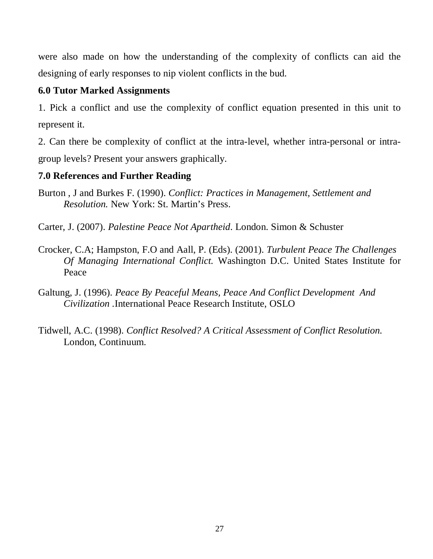were also made on how the understanding of the complexity of conflicts can aid the designing of early responses to nip violent conflicts in the bud.

# **6.0 Tutor Marked Assignments**

1. Pick a conflict and use the complexity of conflict equation presented in this unit to represent it.

2. Can there be complexity of conflict at the intra-level, whether intra-personal or intragroup levels? Present your answers graphically.

# **7.0 References and Further Reading**

Burton , J and Burkes F. (1990). *Conflict: Practices in Management, Settlement and Resolution.* New York: St. Martin's Press.

Carter, J. (2007). *Palestine Peace Not Apartheid*. London. Simon & Schuster

- Crocker, C.A; Hampston, F.O and Aall, P. (Eds). (2001). *Turbulent Peace The Challenges Of Managing International Conflict.* Washington D.C. United States Institute for Peace
- Galtung, J. (1996). *Peace By Peaceful Means, Peace And Conflict Development And Civilization .*International Peace Research Institute, OSLO
- Tidwell, A.C. (1998). *Conflict Resolved? A Critical Assessment of Conflict Resolution.* London, Continuum.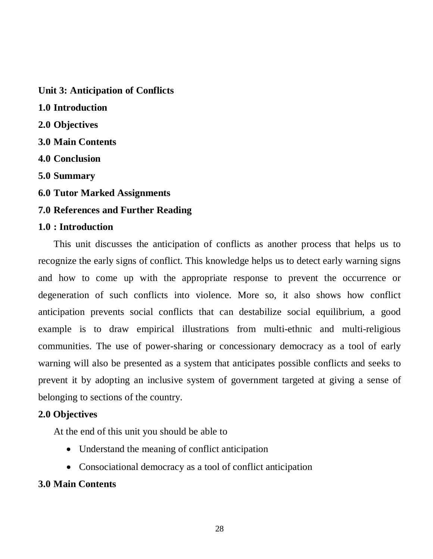**Unit 3: Anticipation of Conflicts 1.0 Introduction 2.0 Objectives 3.0 Main Contents 4.0 Conclusion 5.0 Summary 6.0 Tutor Marked Assignments 7.0 References and Further Reading** 

### **1.0 : Introduction**

This unit discusses the anticipation of conflicts as another process that helps us to recognize the early signs of conflict. This knowledge helps us to detect early warning signs and how to come up with the appropriate response to prevent the occurrence or degeneration of such conflicts into violence. More so, it also shows how conflict anticipation prevents social conflicts that can destabilize social equilibrium, a good example is to draw empirical illustrations from multi-ethnic and multi-religious communities. The use of power-sharing or concessionary democracy as a tool of early warning will also be presented as a system that anticipates possible conflicts and seeks to prevent it by adopting an inclusive system of government targeted at giving a sense of belonging to sections of the country.

#### **2.0 Objectives**

At the end of this unit you should be able to

- Understand the meaning of conflict anticipation
- Consociational democracy as a tool of conflict anticipation

#### **3.0 Main Contents**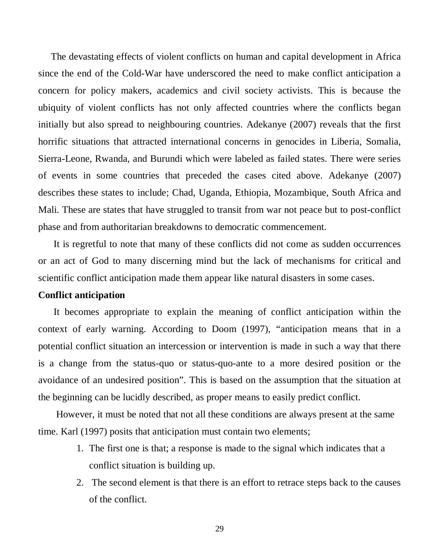The devastating effects of violent conflicts on human and capital development in Africa since the end of the Cold-War have underscored the need to make conflict anticipation a concern for policy makers, academics and civil society activists. This is because the ubiquity of violent conflicts has not only affected countries where the conflicts began initially but also spread to neighbouring countries. Adekanye (2007) reveals that the first horrific situations that attracted international concerns in genocides in Liberia, Somalia, Sierra-Leone, Rwanda, and Burundi which were labeled as failed states. There were series of events in some countries that preceded the cases cited above. Adekanye (2007) describes these states to include; Chad, Uganda, Ethiopia, Mozambique, South Africa and Mali. These are states that have struggled to transit from war not peace but to post-conflict phase and from authoritarian breakdowns to democratic commencement.

It is regretful to note that many of these conflicts did not come as sudden occurrences or an act of God to many discerning mind but the lack of mechanisms for critical and scientific conflict anticipation made them appear like natural disasters in some cases.

#### **Conflict anticipation**

It becomes appropriate to explain the meaning of conflict anticipation within the context of early warning. According to Doom (1997), "anticipation means that in a potential conflict situation an intercession or intervention is made in such a way that there is a change from the status-quo or status-quo-ante to a more desired position or the avoidance of an undesired position". This is based on the assumption that the situation at the beginning can be lucidly described, as proper means to easily predict conflict.

However, it must be noted that not all these conditions are always present at the same time. Karl (1997) posits that anticipation must contain two elements;

- 1. The first one is that; a response is made to the signal which indicates that a conflict situation is building up.
- 2. The second element is that there is an effort to retrace steps back to the causes of the conflict.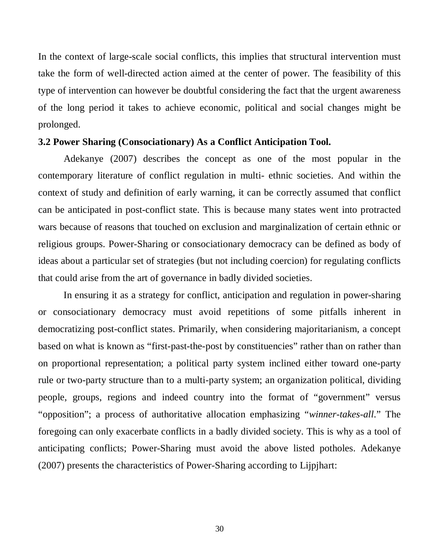In the context of large-scale social conflicts, this implies that structural intervention must take the form of well-directed action aimed at the center of power. The feasibility of this type of intervention can however be doubtful considering the fact that the urgent awareness of the long period it takes to achieve economic, political and social changes might be prolonged.

#### **3.2 Power Sharing (Consociationary) As a Conflict Anticipation Tool.**

Adekanye (2007) describes the concept as one of the most popular in the contemporary literature of conflict regulation in multi- ethnic societies. And within the context of study and definition of early warning, it can be correctly assumed that conflict can be anticipated in post-conflict state. This is because many states went into protracted wars because of reasons that touched on exclusion and marginalization of certain ethnic or religious groups. Power-Sharing or consociationary democracy can be defined as body of ideas about a particular set of strategies (but not including coercion) for regulating conflicts that could arise from the art of governance in badly divided societies.

In ensuring it as a strategy for conflict, anticipation and regulation in power-sharing or consociationary democracy must avoid repetitions of some pitfalls inherent in democratizing post-conflict states. Primarily, when considering majoritarianism, a concept based on what is known as "first-past-the-post by constituencies" rather than on rather than on proportional representation; a political party system inclined either toward one-party rule or two-party structure than to a multi-party system; an organization political, dividing people, groups, regions and indeed country into the format of "government" versus "opposition"; a process of authoritative allocation emphasizing "*winner-takes-all*." The foregoing can only exacerbate conflicts in a badly divided society. This is why as a tool of anticipating conflicts; Power-Sharing must avoid the above listed potholes. Adekanye (2007) presents the characteristics of Power-Sharing according to Lijpjhart: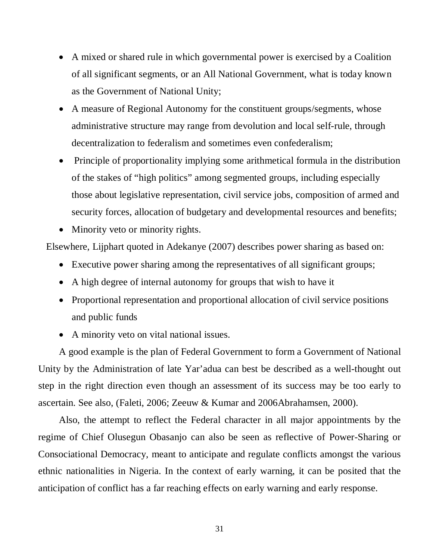- A mixed or shared rule in which governmental power is exercised by a Coalition of all significant segments, or an All National Government, what is today known as the Government of National Unity;
- A measure of Regional Autonomy for the constituent groups/segments, whose administrative structure may range from devolution and local self-rule, through decentralization to federalism and sometimes even confederalism;
- Principle of proportionality implying some arithmetical formula in the distribution of the stakes of "high politics" among segmented groups, including especially those about legislative representation, civil service jobs, composition of armed and security forces, allocation of budgetary and developmental resources and benefits;
- Minority veto or minority rights.

Elsewhere, Lijphart quoted in Adekanye (2007) describes power sharing as based on:

- Executive power sharing among the representatives of all significant groups;
- A high degree of internal autonomy for groups that wish to have it
- Proportional representation and proportional allocation of civil service positions and public funds
- A minority veto on vital national issues.

A good example is the plan of Federal Government to form a Government of National Unity by the Administration of late Yar'adua can best be described as a well-thought out step in the right direction even though an assessment of its success may be too early to ascertain. See also, (Faleti, 2006; Zeeuw & Kumar and 2006Abrahamsen, 2000).

Also, the attempt to reflect the Federal character in all major appointments by the regime of Chief Olusegun Obasanjo can also be seen as reflective of Power-Sharing or Consociational Democracy, meant to anticipate and regulate conflicts amongst the various ethnic nationalities in Nigeria. In the context of early warning, it can be posited that the anticipation of conflict has a far reaching effects on early warning and early response.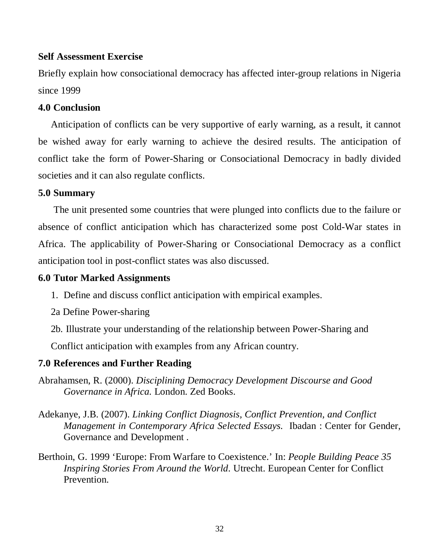### **Self Assessment Exercise**

Briefly explain how consociational democracy has affected inter-group relations in Nigeria since 1999

### **4.0 Conclusion**

Anticipation of conflicts can be very supportive of early warning, as a result, it cannot be wished away for early warning to achieve the desired results. The anticipation of conflict take the form of Power-Sharing or Consociational Democracy in badly divided societies and it can also regulate conflicts.

# **5.0 Summary**

The unit presented some countries that were plunged into conflicts due to the failure or absence of conflict anticipation which has characterized some post Cold-War states in Africa. The applicability of Power-Sharing or Consociational Democracy as a conflict anticipation tool in post-conflict states was also discussed.

# **6.0 Tutor Marked Assignments**

- 1. Define and discuss conflict anticipation with empirical examples.
- 2a Define Power-sharing
- 2b. Illustrate your understanding of the relationship between Power-Sharing and

Conflict anticipation with examples from any African country.

### **7.0 References and Further Reading**

- Abrahamsen, R. (2000). *Disciplining Democracy Development Discourse and Good Governance in Africa.* London. Zed Books.
- Adekanye, J.B. (2007). *Linking Conflict Diagnosis, Conflict Prevention, and Conflict Management in Contemporary Africa Selected Essays.* Ibadan : Center for Gender, Governance and Development .
- Berthoin, G. 1999 'Europe: From Warfare to Coexistence.' In: *People Building Peace 35 Inspiring Stories From Around the World*. Utrecht. European Center for Conflict Prevention.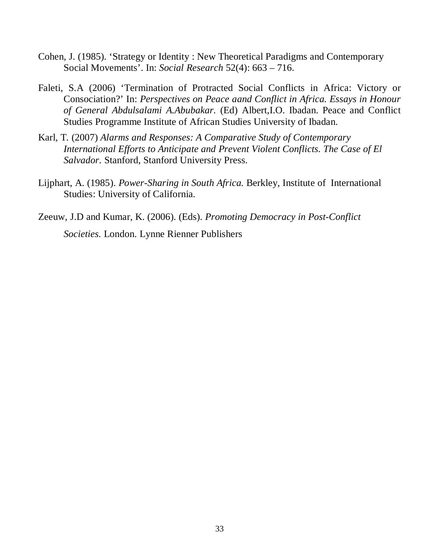- Cohen, J. (1985). 'Strategy or Identity : New Theoretical Paradigms and Contemporary Social Movements'. In: *Social Research* 52(4): 663 – 716.
- Faleti, S.A (2006) 'Termination of Protracted Social Conflicts in Africa: Victory or Consociation?' In: *Perspectives on Peace aand Conflict in Africa. Essays in Honour of General Abdulsalami A.Abubakar.* (Ed) Albert,I.O. Ibadan. Peace and Conflict Studies Programme Institute of African Studies University of Ibadan.
- Karl, T*.* (2007) *Alarms and Responses: A Comparative Study of Contemporary International Efforts to Anticipate and Prevent Violent Conflicts. The Case of El Salvador.* Stanford, Stanford University Press.
- Lijphart, A. (1985). *Power-Sharing in South Africa.* Berkley, Institute of International Studies: University of California.
- Zeeuw, J.D and Kumar, K. (2006). (Eds). *Promoting Democracy in Post-Conflict Societies.* London. Lynne Rienner Publishers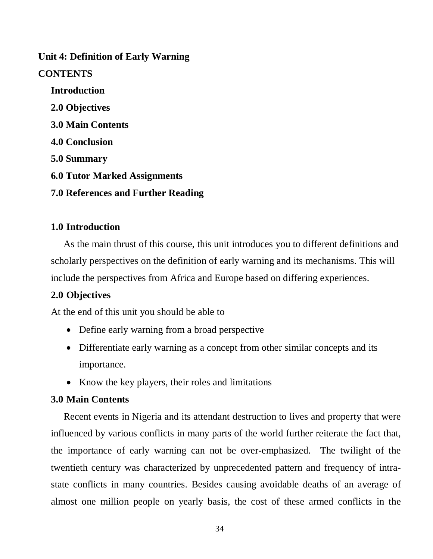# **Unit 4: Definition of Early Warning**

# **CONTENTS**

**Introduction 2.0 Objectives 3.0 Main Contents 4.0 Conclusion 5.0 Summary 6.0 Tutor Marked Assignments 7.0 References and Further Reading**

# **1.0 Introduction**

As the main thrust of this course, this unit introduces you to different definitions and scholarly perspectives on the definition of early warning and its mechanisms. This will include the perspectives from Africa and Europe based on differing experiences.

### **2.0 Objectives**

At the end of this unit you should be able to

- Define early warning from a broad perspective
- Differentiate early warning as a concept from other similar concepts and its importance.
- Know the key players, their roles and limitations

### **3.0 Main Contents**

Recent events in Nigeria and its attendant destruction to lives and property that were influenced by various conflicts in many parts of the world further reiterate the fact that, the importance of early warning can not be over-emphasized. The twilight of the twentieth century was characterized by unprecedented pattern and frequency of intrastate conflicts in many countries. Besides causing avoidable deaths of an average of almost one million people on yearly basis, the cost of these armed conflicts in the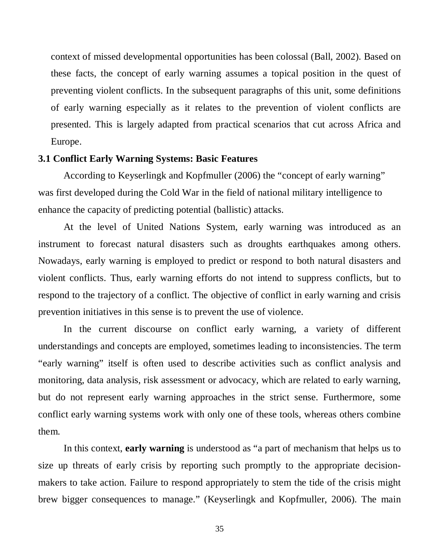context of missed developmental opportunities has been colossal (Ball, 2002). Based on these facts, the concept of early warning assumes a topical position in the quest of preventing violent conflicts. In the subsequent paragraphs of this unit, some definitions of early warning especially as it relates to the prevention of violent conflicts are presented. This is largely adapted from practical scenarios that cut across Africa and Europe.

#### **3.1 Conflict Early Warning Systems: Basic Features**

According to Keyserlingk and Kopfmuller (2006) the "concept of early warning" was first developed during the Cold War in the field of national military intelligence to enhance the capacity of predicting potential (ballistic) attacks.

At the level of United Nations System, early warning was introduced as an instrument to forecast natural disasters such as droughts earthquakes among others. Nowadays, early warning is employed to predict or respond to both natural disasters and violent conflicts. Thus, early warning efforts do not intend to suppress conflicts, but to respond to the trajectory of a conflict. The objective of conflict in early warning and crisis prevention initiatives in this sense is to prevent the use of violence.

In the current discourse on conflict early warning, a variety of different understandings and concepts are employed, sometimes leading to inconsistencies. The term "early warning" itself is often used to describe activities such as conflict analysis and monitoring, data analysis, risk assessment or advocacy, which are related to early warning, but do not represent early warning approaches in the strict sense. Furthermore, some conflict early warning systems work with only one of these tools, whereas others combine them.

In this context, **early warning** is understood as "a part of mechanism that helps us to size up threats of early crisis by reporting such promptly to the appropriate decisionmakers to take action. Failure to respond appropriately to stem the tide of the crisis might brew bigger consequences to manage." (Keyserlingk and Kopfmuller, 2006). The main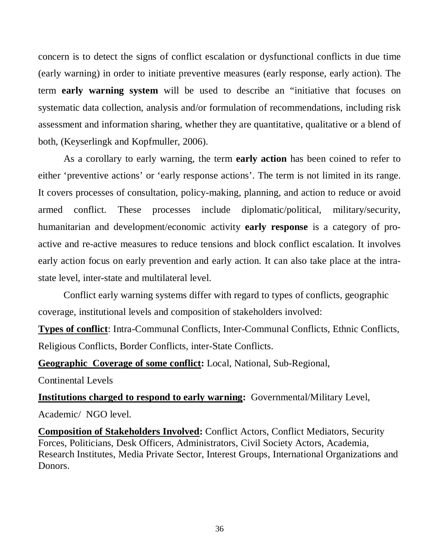concern is to detect the signs of conflict escalation or dysfunctional conflicts in due time (early warning) in order to initiate preventive measures (early response, early action). The term **early warning system** will be used to describe an "initiative that focuses on systematic data collection, analysis and/or formulation of recommendations, including risk assessment and information sharing, whether they are quantitative, qualitative or a blend of both, (Keyserlingk and Kopfmuller, 2006).

As a corollary to early warning, the term **early action** has been coined to refer to either 'preventive actions' or 'early response actions'. The term is not limited in its range. It covers processes of consultation, policy-making, planning, and action to reduce or avoid armed conflict. These processes include diplomatic/political, military/security, humanitarian and development/economic activity **early response** is a category of proactive and re-active measures to reduce tensions and block conflict escalation. It involves early action focus on early prevention and early action. It can also take place at the intrastate level, inter-state and multilateral level.

Conflict early warning systems differ with regard to types of conflicts, geographic coverage, institutional levels and composition of stakeholders involved:

**Types of conflict**: Intra-Communal Conflicts, Inter-Communal Conflicts, Ethnic Conflicts, Religious Conflicts, Border Conflicts, inter-State Conflicts.

**Geographic Coverage of some conflict:** Local, National, Sub-Regional,

Continental Levels

**Institutions charged to respond to early warning:** Governmental/Military Level, Academic/ NGO level.

**Composition of Stakeholders Involved:** Conflict Actors, Conflict Mediators, Security Forces, Politicians, Desk Officers, Administrators, Civil Society Actors, Academia, Research Institutes, Media Private Sector, Interest Groups, International Organizations and Donors.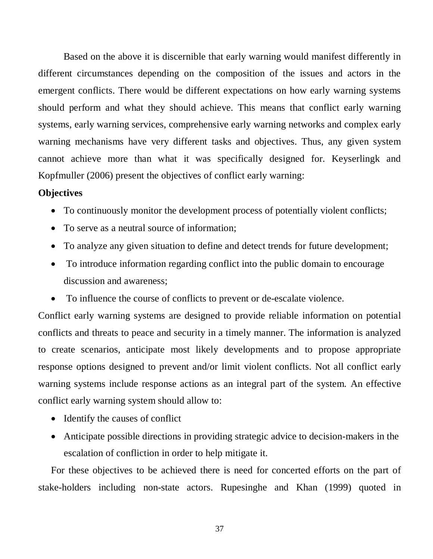Based on the above it is discernible that early warning would manifest differently in different circumstances depending on the composition of the issues and actors in the emergent conflicts. There would be different expectations on how early warning systems should perform and what they should achieve. This means that conflict early warning systems, early warning services, comprehensive early warning networks and complex early warning mechanisms have very different tasks and objectives. Thus, any given system cannot achieve more than what it was specifically designed for. Keyserlingk and Kopfmuller (2006) present the objectives of conflict early warning:

### **Objectives**

- To continuously monitor the development process of potentially violent conflicts;
- To serve as a neutral source of information:
- To analyze any given situation to define and detect trends for future development;
- To introduce information regarding conflict into the public domain to encourage discussion and awareness;
- To influence the course of conflicts to prevent or de-escalate violence.

Conflict early warning systems are designed to provide reliable information on potential conflicts and threats to peace and security in a timely manner. The information is analyzed to create scenarios, anticipate most likely developments and to propose appropriate response options designed to prevent and/or limit violent conflicts. Not all conflict early warning systems include response actions as an integral part of the system. An effective conflict early warning system should allow to:

- Identify the causes of conflict
- Anticipate possible directions in providing strategic advice to decision-makers in the escalation of confliction in order to help mitigate it.

For these objectives to be achieved there is need for concerted efforts on the part of stake-holders including non-state actors. Rupesinghe and Khan (1999) quoted in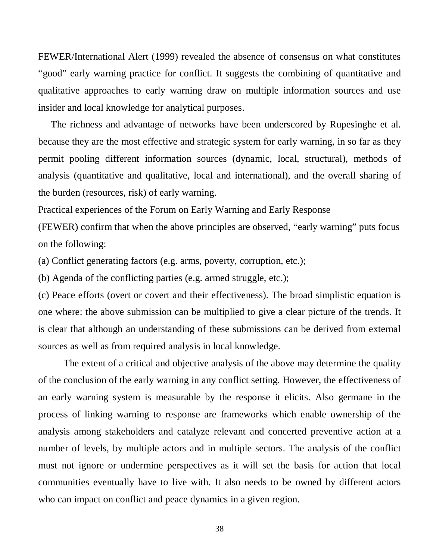FEWER/International Alert (1999) revealed the absence of consensus on what constitutes "good" early warning practice for conflict. It suggests the combining of quantitative and qualitative approaches to early warning draw on multiple information sources and use insider and local knowledge for analytical purposes.

The richness and advantage of networks have been underscored by Rupesinghe et al. because they are the most effective and strategic system for early warning, in so far as they permit pooling different information sources (dynamic, local, structural), methods of analysis (quantitative and qualitative, local and international), and the overall sharing of the burden (resources, risk) of early warning.

Practical experiences of the Forum on Early Warning and Early Response

(FEWER) confirm that when the above principles are observed, "early warning" puts focus on the following:

(a) Conflict generating factors (e.g. arms, poverty, corruption, etc.);

(b) Agenda of the conflicting parties (e.g. armed struggle, etc.);

(c) Peace efforts (overt or covert and their effectiveness). The broad simplistic equation is one where: the above submission can be multiplied to give a clear picture of the trends. It is clear that although an understanding of these submissions can be derived from external sources as well as from required analysis in local knowledge.

The extent of a critical and objective analysis of the above may determine the quality of the conclusion of the early warning in any conflict setting. However, the effectiveness of an early warning system is measurable by the response it elicits. Also germane in the process of linking warning to response are frameworks which enable ownership of the analysis among stakeholders and catalyze relevant and concerted preventive action at a number of levels, by multiple actors and in multiple sectors. The analysis of the conflict must not ignore or undermine perspectives as it will set the basis for action that local communities eventually have to live with. It also needs to be owned by different actors who can impact on conflict and peace dynamics in a given region.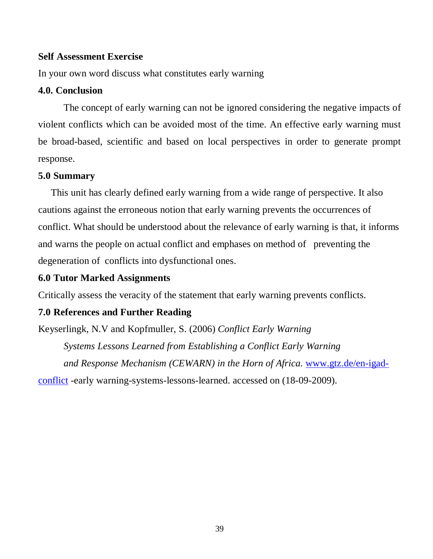### **Self Assessment Exercise**

In your own word discuss what constitutes early warning

### **4.0. Conclusion**

The concept of early warning can not be ignored considering the negative impacts of violent conflicts which can be avoided most of the time. An effective early warning must be broad-based, scientific and based on local perspectives in order to generate prompt response.

#### **5.0 Summary**

This unit has clearly defined early warning from a wide range of perspective. It also cautions against the erroneous notion that early warning prevents the occurrences of conflict. What should be understood about the relevance of early warning is that, it informs and warns the people on actual conflict and emphases on method of preventing the degeneration of conflicts into dysfunctional ones.

### **6.0 Tutor Marked Assignments**

Critically assess the veracity of the statement that early warning prevents conflicts.

### **7.0 References and Further Reading**

Keyserlingk, N.V and Kopfmuller, S. (2006) *Conflict Early Warning Systems Lessons Learned from Establishing a Conflict Early Warning and Response Mechanism (CEWARN) in the Horn of Africa.* [www.gtz.de/en-igad](http://www.gtz.de/en-igad-conflict)[conflict](http://www.gtz.de/en-igad-conflict) -early warning-systems-lessons-learned. accessed on (18-09-2009).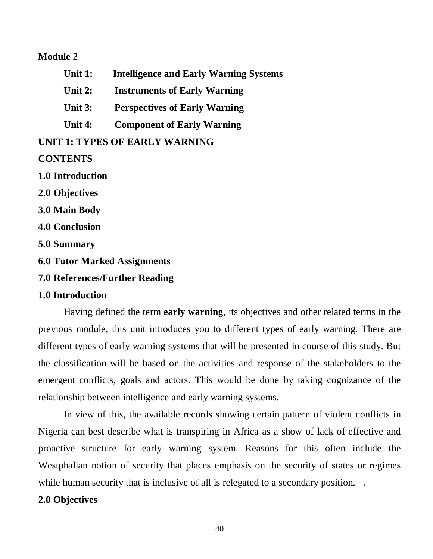#### **Module 2**

- **Unit 1: Intelligence and Early Warning Systems**
- **Unit 2: Instruments of Early Warning**
- **Unit 3: Perspectives of Early Warning**
- **Unit 4: Component of Early Warning**

## **UNIT 1: TYPES OF EARLY WARNING**

### **CONTENTS**

**1.0 Introduction** 

- **2.0 Objectives**
- **3.0 Main Body**
- **4.0 Conclusion**
- **5.0 Summary**
- **6.0 Tutor Marked Assignments**
- **7.0 References/Further Reading**

#### **1.0 Introduction**

Having defined the term **early warning**, its objectives and other related terms in the previous module, this unit introduces you to different types of early warning. There are different types of early warning systems that will be presented in course of this study. But the classification will be based on the activities and response of the stakeholders to the emergent conflicts, goals and actors. This would be done by taking cognizance of the relationship between intelligence and early warning systems.

In view of this, the available records showing certain pattern of violent conflicts in Nigeria can best describe what is transpiring in Africa as a show of lack of effective and proactive structure for early warning system. Reasons for this often include the Westphalian notion of security that places emphasis on the security of states or regimes while human security that is inclusive of all is relegated to a secondary position...

### **2.0 Objectives**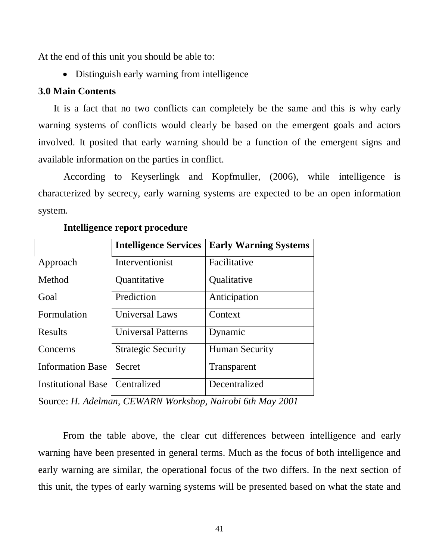At the end of this unit you should be able to:

• Distinguish early warning from intelligence

#### **3.0 Main Contents**

It is a fact that no two conflicts can completely be the same and this is why early warning systems of conflicts would clearly be based on the emergent goals and actors involved. It posited that early warning should be a function of the emergent signs and available information on the parties in conflict.

According to Keyserlingk and Kopfmuller, (2006), while intelligence is characterized by secrecy, early warning systems are expected to be an open information system.

|                                       | <b>Intelligence Services</b> | <b>Early Warning Systems</b> |
|---------------------------------------|------------------------------|------------------------------|
| Approach                              | Interventionist              | Facilitative                 |
| Method                                | Quantitative                 | Qualitative                  |
| Goal                                  | Prediction                   | Anticipation                 |
| Formulation                           | <b>Universal Laws</b>        | Context                      |
| <b>Results</b>                        | <b>Universal Patterns</b>    | Dynamic                      |
| Concerns                              | <b>Strategic Security</b>    | <b>Human Security</b>        |
| <b>Information Base</b> Secret        |                              | Transparent                  |
| <b>Institutional Base Centralized</b> |                              | Decentralized                |

#### **Intelligence report procedure**

Source: *H. Adelman, CEWARN Workshop, Nairobi 6th May 2001*

 From the table above, the clear cut differences between intelligence and early warning have been presented in general terms. Much as the focus of both intelligence and early warning are similar, the operational focus of the two differs. In the next section of this unit, the types of early warning systems will be presented based on what the state and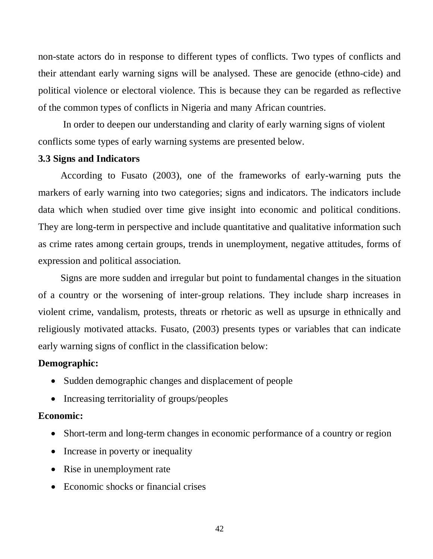non-state actors do in response to different types of conflicts. Two types of conflicts and their attendant early warning signs will be analysed. These are genocide (ethno-cide) and political violence or electoral violence. This is because they can be regarded as reflective of the common types of conflicts in Nigeria and many African countries.

 In order to deepen our understanding and clarity of early warning signs of violent conflicts some types of early warning systems are presented below.

#### **3.3 Signs and Indicators**

 According to Fusato (2003), one of the frameworks of early-warning puts the markers of early warning into two categories; signs and indicators. The indicators include data which when studied over time give insight into economic and political conditions. They are long-term in perspective and include quantitative and qualitative information such as crime rates among certain groups, trends in unemployment, negative attitudes, forms of expression and political association.

 Signs are more sudden and irregular but point to fundamental changes in the situation of a country or the worsening of inter-group relations. They include sharp increases in violent crime, vandalism, protests, threats or rhetoric as well as upsurge in ethnically and religiously motivated attacks. Fusato, (2003) presents types or variables that can indicate early warning signs of conflict in the classification below:

## **Demographic:**

- Sudden demographic changes and displacement of people
- Increasing territoriality of groups/peoples

#### **Economic:**

- Short-term and long-term changes in economic performance of a country or region
- Increase in poverty or inequality
- Rise in unemployment rate
- Economic shocks or financial crises

42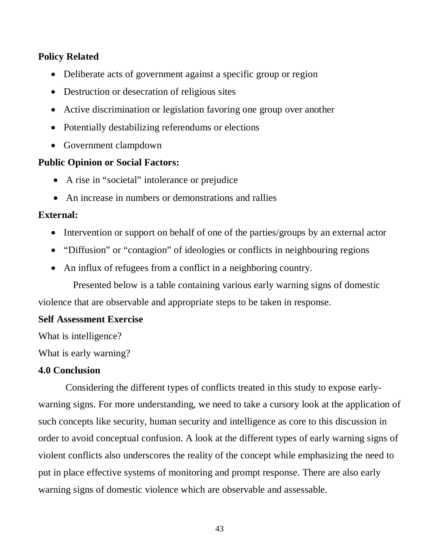## **Policy Related**

- Deliberate acts of government against a specific group or region
- Destruction or desecration of religious sites
- Active discrimination or legislation favoring one group over another
- Potentially destabilizing referendums or elections
- Government clampdown

# **Public Opinion or Social Factors:**

- A rise in "societal" intolerance or prejudice
- An increase in numbers or demonstrations and rallies

## **External:**

- Intervention or support on behalf of one of the parties/groups by an external actor
- "Diffusion" or "contagion" of ideologies or conflicts in neighbouring regions
- An influx of refugees from a conflict in a neighboring country.

 Presented below is a table containing various early warning signs of domestic violence that are observable and appropriate steps to be taken in response.

## **Self Assessment Exercise**

What is intelligence?

What is early warning?

## **4.0 Conclusion**

 Considering the different types of conflicts treated in this study to expose earlywarning signs. For more understanding, we need to take a cursory look at the application of such concepts like security, human security and intelligence as core to this discussion in order to avoid conceptual confusion. A look at the different types of early warning signs of violent conflicts also underscores the reality of the concept while emphasizing the need to put in place effective systems of monitoring and prompt response. There are also early warning signs of domestic violence which are observable and assessable.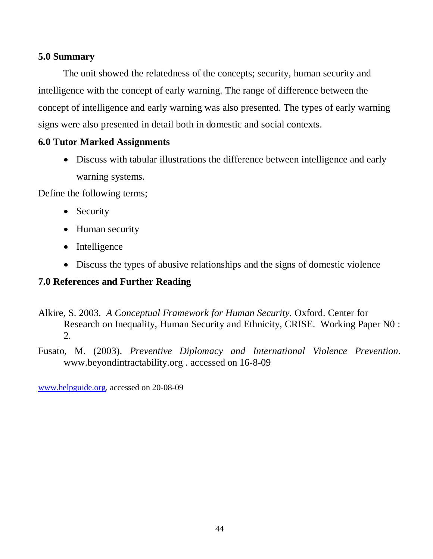## **5.0 Summary**

 The unit showed the relatedness of the concepts; security, human security and intelligence with the concept of early warning. The range of difference between the concept of intelligence and early warning was also presented. The types of early warning signs were also presented in detail both in domestic and social contexts.

## **6.0 Tutor Marked Assignments**

• Discuss with tabular illustrations the difference between intelligence and early warning systems.

Define the following terms;

- Security
- Human security
- Intelligence
- Discuss the types of abusive relationships and the signs of domestic violence

## **7.0 References and Further Reading**

- Alkire, S. 2003. *A Conceptual Framework for Human Security.* Oxford. Center for Research on Inequality, Human Security and Ethnicity, CRISE. Working Paper N0 : 2.
- Fusato, M. (2003). *Preventive Diplomacy and International Violence Prevention*. www.beyondintractability.org . accessed on 16-8-09

[www.helpguide.org,](http://www.helpguide.org/) accessed on 20-08-09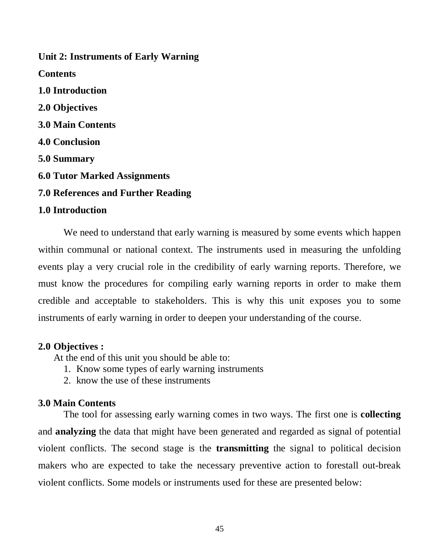**Unit 2: Instruments of Early Warning Contents 1.0 Introduction 2.0 Objectives 3.0 Main Contents 4.0 Conclusion 5.0 Summary 6.0 Tutor Marked Assignments 7.0 References and Further Reading 1.0 Introduction** 

We need to understand that early warning is measured by some events which happen within communal or national context. The instruments used in measuring the unfolding events play a very crucial role in the credibility of early warning reports. Therefore, we must know the procedures for compiling early warning reports in order to make them credible and acceptable to stakeholders. This is why this unit exposes you to some instruments of early warning in order to deepen your understanding of the course.

#### **2.0 Objectives :**

At the end of this unit you should be able to:

- 1. Know some types of early warning instruments
- 2. know the use of these instruments

#### **3.0 Main Contents**

The tool for assessing early warning comes in two ways. The first one is **collecting**  and **analyzing** the data that might have been generated and regarded as signal of potential violent conflicts. The second stage is the **transmitting** the signal to political decision makers who are expected to take the necessary preventive action to forestall out-break violent conflicts. Some models or instruments used for these are presented below: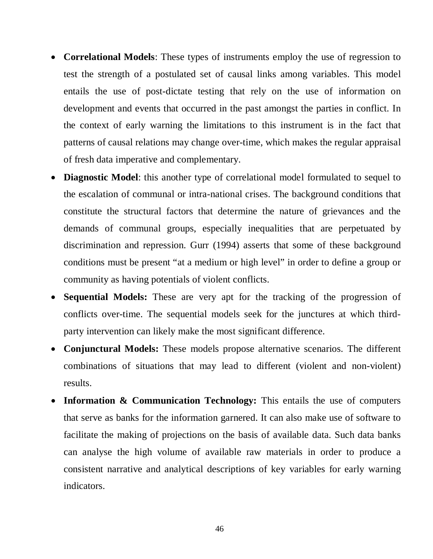- **Correlational Models**: These types of instruments employ the use of regression to test the strength of a postulated set of causal links among variables. This model entails the use of post-dictate testing that rely on the use of information on development and events that occurred in the past amongst the parties in conflict. In the context of early warning the limitations to this instrument is in the fact that patterns of causal relations may change over-time, which makes the regular appraisal of fresh data imperative and complementary.
- **Diagnostic Model**: this another type of correlational model formulated to sequel to the escalation of communal or intra-national crises. The background conditions that constitute the structural factors that determine the nature of grievances and the demands of communal groups, especially inequalities that are perpetuated by discrimination and repression. Gurr (1994) asserts that some of these background conditions must be present "at a medium or high level" in order to define a group or community as having potentials of violent conflicts.
- **Sequential Models:** These are very apt for the tracking of the progression of conflicts over-time. The sequential models seek for the junctures at which thirdparty intervention can likely make the most significant difference.
- **Conjunctural Models:** These models propose alternative scenarios. The different combinations of situations that may lead to different (violent and non-violent) results.
- **Information & Communication Technology:** This entails the use of computers that serve as banks for the information garnered. It can also make use of software to facilitate the making of projections on the basis of available data. Such data banks can analyse the high volume of available raw materials in order to produce a consistent narrative and analytical descriptions of key variables for early warning indicators.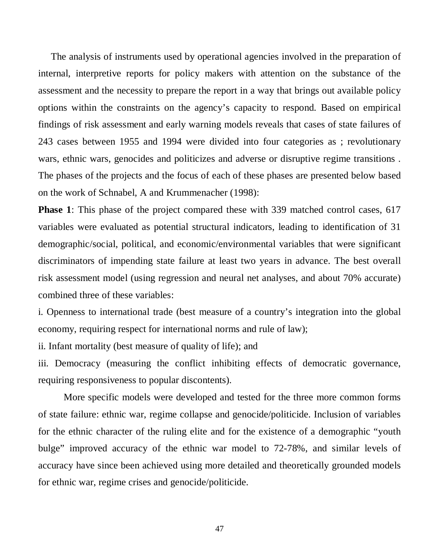The analysis of instruments used by operational agencies involved in the preparation of internal, interpretive reports for policy makers with attention on the substance of the assessment and the necessity to prepare the report in a way that brings out available policy options within the constraints on the agency's capacity to respond. Based on empirical findings of risk assessment and early warning models reveals that cases of state failures of 243 cases between 1955 and 1994 were divided into four categories as ; revolutionary wars, ethnic wars, genocides and politicizes and adverse or disruptive regime transitions . The phases of the projects and the focus of each of these phases are presented below based on the work of Schnabel, A and Krummenacher (1998):

**Phase 1**: This phase of the project compared these with 339 matched control cases, 617 variables were evaluated as potential structural indicators, leading to identification of 31 demographic/social, political, and economic/environmental variables that were significant discriminators of impending state failure at least two years in advance. The best overall risk assessment model (using regression and neural net analyses, and about 70% accurate) combined three of these variables:

i. Openness to international trade (best measure of a country's integration into the global economy, requiring respect for international norms and rule of law);

ii. Infant mortality (best measure of quality of life); and

iii. Democracy (measuring the conflict inhibiting effects of democratic governance, requiring responsiveness to popular discontents).

More specific models were developed and tested for the three more common forms of state failure: ethnic war, regime collapse and genocide/politicide. Inclusion of variables for the ethnic character of the ruling elite and for the existence of a demographic "youth bulge" improved accuracy of the ethnic war model to 72-78%, and similar levels of accuracy have since been achieved using more detailed and theoretically grounded models for ethnic war, regime crises and genocide/politicide.

47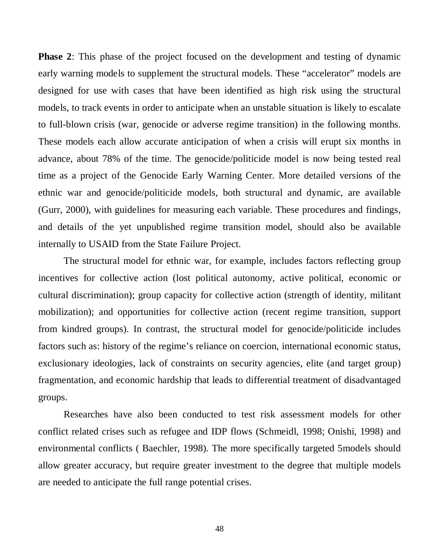**Phase 2:** This phase of the project focused on the development and testing of dynamic early warning models to supplement the structural models. These "accelerator" models are designed for use with cases that have been identified as high risk using the structural models, to track events in order to anticipate when an unstable situation is likely to escalate to full-blown crisis (war, genocide or adverse regime transition) in the following months. These models each allow accurate anticipation of when a crisis will erupt six months in advance, about 78% of the time. The genocide/politicide model is now being tested real time as a project of the Genocide Early Warning Center. More detailed versions of the ethnic war and genocide/politicide models, both structural and dynamic, are available (Gurr, 2000), with guidelines for measuring each variable. These procedures and findings, and details of the yet unpublished regime transition model, should also be available internally to USAID from the State Failure Project.

The structural model for ethnic war, for example, includes factors reflecting group incentives for collective action (lost political autonomy, active political, economic or cultural discrimination); group capacity for collective action (strength of identity, militant mobilization); and opportunities for collective action (recent regime transition, support from kindred groups). In contrast, the structural model for genocide/politicide includes factors such as: history of the regime's reliance on coercion, international economic status, exclusionary ideologies, lack of constraints on security agencies, elite (and target group) fragmentation, and economic hardship that leads to differential treatment of disadvantaged groups.

Researches have also been conducted to test risk assessment models for other conflict related crises such as refugee and IDP flows (Schmeidl, 1998; Onishi, 1998) and environmental conflicts ( Baechler, 1998). The more specifically targeted 5models should allow greater accuracy, but require greater investment to the degree that multiple models are needed to anticipate the full range potential crises.

48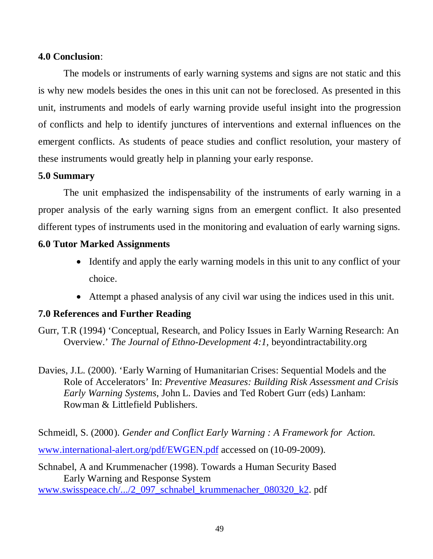### **4.0 Conclusion**:

The models or instruments of early warning systems and signs are not static and this is why new models besides the ones in this unit can not be foreclosed. As presented in this unit, instruments and models of early warning provide useful insight into the progression of conflicts and help to identify junctures of interventions and external influences on the emergent conflicts. As students of peace studies and conflict resolution, your mastery of these instruments would greatly help in planning your early response.

## **5.0 Summary**

The unit emphasized the indispensability of the instruments of early warning in a proper analysis of the early warning signs from an emergent conflict. It also presented different types of instruments used in the monitoring and evaluation of early warning signs.

## **6.0 Tutor Marked Assignments**

- Identify and apply the early warning models in this unit to any conflict of your choice.
- Attempt a phased analysis of any civil war using the indices used in this unit.

# **7.0 References and Further Reading**

Gurr, T.R (1994) 'Conceptual, Research, and Policy Issues in Early Warning Research: An Overview.' *The Journal of Ethno-Development 4:1,* beyondintractability.org

Davies, J.L. (2000). 'Early Warning of Humanitarian Crises: Sequential Models and the Role of Accelerators' In: *Preventive Measures: Building Risk Assessment and Crisis Early Warning Systems*, John L. Davies and Ted Robert Gurr (eds) Lanham: Rowman & Littlefield Publishers.

Schmeidl, S. (2000). *Gender and Conflict Early Warning : A Framework for Action.*  [www.international-alert.org/pdf/EWGEN.pdf](http://www.international-alert.org/pdf/EWGEN.pdf) accessed on (10-09-2009).

Schnabel, A and Krummenacher (1998). Towards a Human Security Based Early Warning and Response System [www.swisspeace.ch/.../2\\_097\\_schnabel\\_krummenacher\\_080320\\_k2.](http://www.swisspeace.ch/.../2_097_schnabel_krummenacher_080320_k2) pdf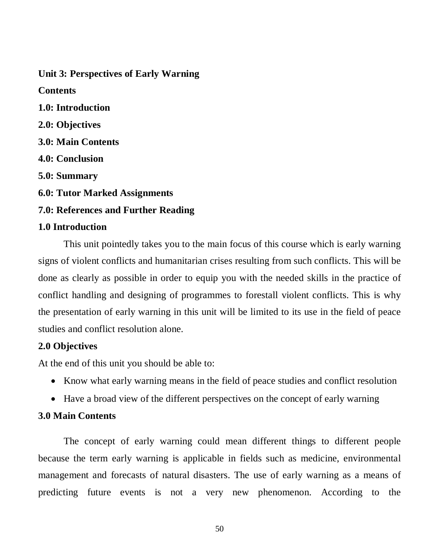# **Unit 3: Perspectives of Early Warning**

**Contents 1.0: Introduction 2.0: Objectives 3.0: Main Contents 4.0: Conclusion 5.0: Summary 6.0: Tutor Marked Assignments 7.0: References and Further Reading 1.0 Introduction** 

This unit pointedly takes you to the main focus of this course which is early warning signs of violent conflicts and humanitarian crises resulting from such conflicts. This will be done as clearly as possible in order to equip you with the needed skills in the practice of conflict handling and designing of programmes to forestall violent conflicts. This is why the presentation of early warning in this unit will be limited to its use in the field of peace studies and conflict resolution alone.

## **2.0 Objectives**

At the end of this unit you should be able to:

- Know what early warning means in the field of peace studies and conflict resolution
- Have a broad view of the different perspectives on the concept of early warning

## **3.0 Main Contents**

The concept of early warning could mean different things to different people because the term early warning is applicable in fields such as medicine, environmental management and forecasts of natural disasters. The use of early warning as a means of predicting future events is not a very new phenomenon. According to the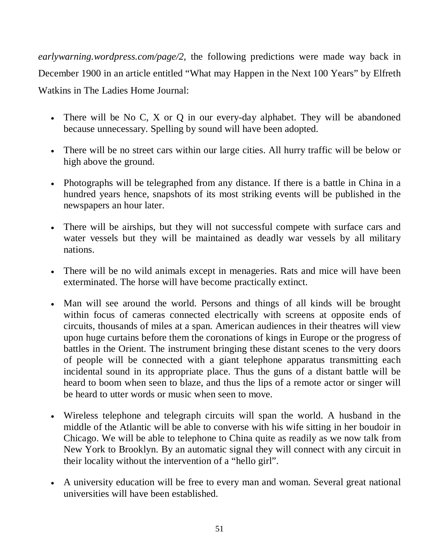*earlywarning.wordpress.com/page/2,* the following predictions were made way back in December 1900 in an article entitled "What may Happen in the Next 100 Years" by Elfreth Watkins in The Ladies Home Journal:

- There will be No C, X or Q in our every-day alphabet. They will be abandoned because unnecessary. Spelling by sound will have been adopted.
- There will be no street cars within our large cities. All hurry traffic will be below or high above the ground.
- Photographs will be telegraphed from any distance. If there is a battle in China in a hundred years hence, snapshots of its most striking events will be published in the newspapers an hour later.
- There will be airships, but they will not successful compete with surface cars and water vessels but they will be maintained as deadly war vessels by all military nations.
- There will be no wild animals except in menageries. Rats and mice will have been exterminated. The horse will have become practically extinct.
- Man will see around the world. Persons and things of all kinds will be brought within focus of cameras connected electrically with screens at opposite ends of circuits, thousands of miles at a span. American audiences in their theatres will view upon huge curtains before them the coronations of kings in Europe or the progress of battles in the Orient. The instrument bringing these distant scenes to the very doors of people will be connected with a giant telephone apparatus transmitting each incidental sound in its appropriate place. Thus the guns of a distant battle will be heard to boom when seen to blaze, and thus the lips of a remote actor or singer will be heard to utter words or music when seen to move.
- Wireless telephone and telegraph circuits will span the world. A husband in the middle of the Atlantic will be able to converse with his wife sitting in her boudoir in Chicago. We will be able to telephone to China quite as readily as we now talk from New York to Brooklyn. By an automatic signal they will connect with any circuit in their locality without the intervention of a "hello girl".
- A university education will be free to every man and woman. Several great national universities will have been established.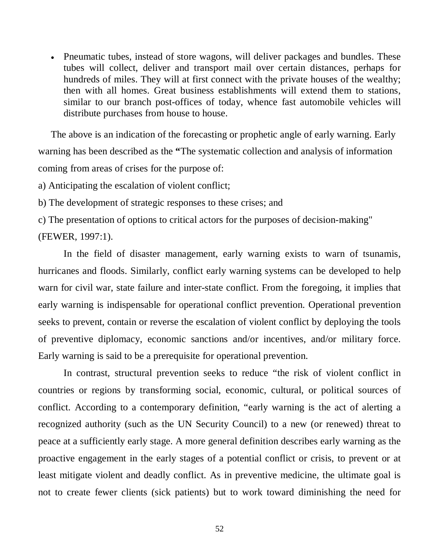• Pneumatic tubes, instead of store wagons, will deliver packages and bundles. These tubes will collect, deliver and transport mail over certain distances, perhaps for hundreds of miles. They will at first connect with the private houses of the wealthy; then with all homes. Great business establishments will extend them to stations, similar to our branch post-offices of today, whence fast automobile vehicles will distribute purchases from house to house.

The above is an indication of the forecasting or prophetic angle of early warning. Early warning has been described as the **"**The systematic collection and analysis of information coming from areas of crises for the purpose of:

a) Anticipating the escalation of violent conflict;

b) The development of strategic responses to these crises; and

c) The presentation of options to critical actors for the purposes of decision-making" (FEWER, 1997:1).

In the field of disaster management, early warning exists to warn of tsunamis, hurricanes and floods. Similarly, conflict early warning systems can be developed to help warn for civil war, state failure and inter-state conflict. From the foregoing, it implies that early warning is indispensable for operational conflict prevention. Operational prevention seeks to prevent, contain or reverse the escalation of violent conflict by deploying the tools of preventive diplomacy, economic sanctions and/or incentives, and/or military force. Early warning is said to be a prerequisite for operational prevention.

In contrast, structural prevention seeks to reduce "the risk of violent conflict in countries or regions by transforming social, economic, cultural, or political sources of conflict. According to a contemporary definition, "early warning is the act of alerting a recognized authority (such as the UN Security Council) to a new (or renewed) threat to peace at a sufficiently early stage. A more general definition describes early warning as the proactive engagement in the early stages of a potential conflict or crisis, to prevent or at least mitigate violent and deadly conflict. As in preventive medicine, the ultimate goal is not to create fewer clients (sick patients) but to work toward diminishing the need for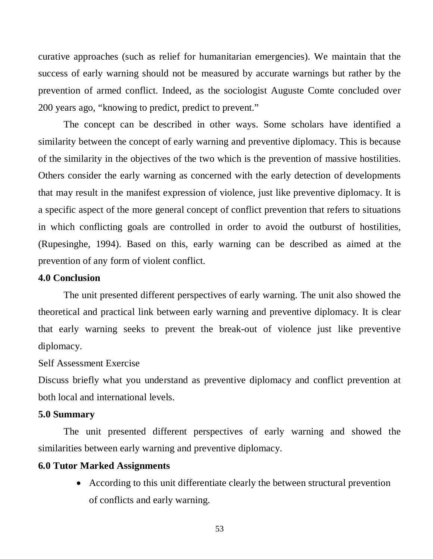curative approaches (such as relief for humanitarian emergencies). We maintain that the success of early warning should not be measured by accurate warnings but rather by the prevention of armed conflict. Indeed, as the sociologist Auguste Comte concluded over 200 years ago, "knowing to predict, predict to prevent."

The concept can be described in other ways. Some scholars have identified a similarity between the concept of early warning and preventive diplomacy. This is because of the similarity in the objectives of the two which is the prevention of massive hostilities. Others consider the early warning as concerned with the early detection of developments that may result in the manifest expression of violence, just like preventive diplomacy. It is a specific aspect of the more general concept of conflict prevention that refers to situations in which conflicting goals are controlled in order to avoid the outburst of hostilities, (Rupesinghe, 1994). Based on this, early warning can be described as aimed at the prevention of any form of violent conflict.

#### **4.0 Conclusion**

The unit presented different perspectives of early warning. The unit also showed the theoretical and practical link between early warning and preventive diplomacy. It is clear that early warning seeks to prevent the break-out of violence just like preventive diplomacy.

### Self Assessment Exercise

Discuss briefly what you understand as preventive diplomacy and conflict prevention at both local and international levels.

#### **5.0 Summary**

The unit presented different perspectives of early warning and showed the similarities between early warning and preventive diplomacy.

#### **6.0 Tutor Marked Assignments**

• According to this unit differentiate clearly the between structural prevention of conflicts and early warning.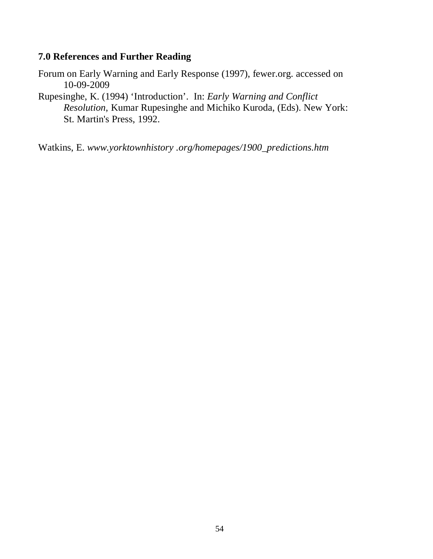## **7.0 References and Further Reading**

Forum on Early Warning and Early Response (1997), fewer.org. accessed on 10-09-2009

Rupesinghe, K. (1994) 'Introduction'. In: *Early Warning and Conflict Resolution*, Kumar Rupesinghe and Michiko Kuroda, (Eds). New York: St. Martin's Press, 1992.

Watkins, E. *www.yorktownhistory .org/homepages/1900\_predictions.htm*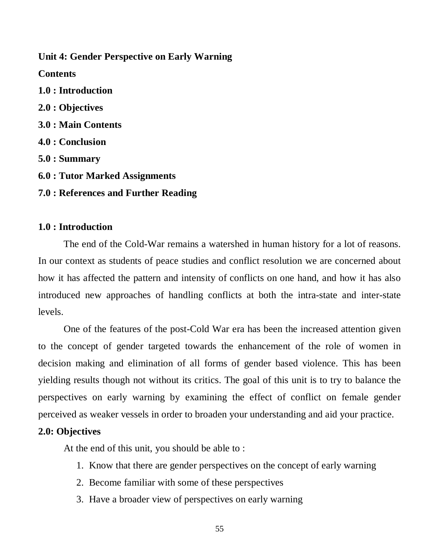## **Unit 4: Gender Perspective on Early Warning**

**Contents** 

**1.0 : Introduction 2.0 : Objectives 3.0 : Main Contents 4.0 : Conclusion 5.0 : Summary 6.0 : Tutor Marked Assignments** 

**7.0 : References and Further Reading** 

### **1.0 : Introduction**

The end of the Cold-War remains a watershed in human history for a lot of reasons. In our context as students of peace studies and conflict resolution we are concerned about how it has affected the pattern and intensity of conflicts on one hand, and how it has also introduced new approaches of handling conflicts at both the intra-state and inter-state levels.

One of the features of the post-Cold War era has been the increased attention given to the concept of gender targeted towards the enhancement of the role of women in decision making and elimination of all forms of gender based violence. This has been yielding results though not without its critics. The goal of this unit is to try to balance the perspectives on early warning by examining the effect of conflict on female gender perceived as weaker vessels in order to broaden your understanding and aid your practice.

### **2.0: Objectives**

At the end of this unit, you should be able to :

- 1. Know that there are gender perspectives on the concept of early warning
- 2. Become familiar with some of these perspectives
- 3. Have a broader view of perspectives on early warning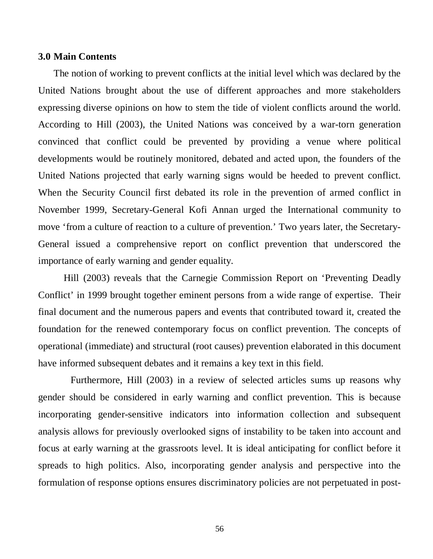#### **3.0 Main Contents**

The notion of working to prevent conflicts at the initial level which was declared by the United Nations brought about the use of different approaches and more stakeholders expressing diverse opinions on how to stem the tide of violent conflicts around the world. According to Hill (2003), the United Nations was conceived by a war-torn generation convinced that conflict could be prevented by providing a venue where political developments would be routinely monitored, debated and acted upon, the founders of the United Nations projected that early warning signs would be heeded to prevent conflict. When the Security Council first debated its role in the prevention of armed conflict in November 1999, Secretary-General Kofi Annan urged the International community to move 'from a culture of reaction to a culture of prevention.' Two years later, the Secretary-General issued a comprehensive report on conflict prevention that underscored the importance of early warning and gender equality.

Hill (2003) reveals that the Carnegie Commission Report on 'Preventing Deadly Conflict' in 1999 brought together eminent persons from a wide range of expertise. Their final document and the numerous papers and events that contributed toward it, created the foundation for the renewed contemporary focus on conflict prevention. The concepts of operational (immediate) and structural (root causes) prevention elaborated in this document have informed subsequent debates and it remains a key text in this field.

Furthermore, Hill (2003) in a review of selected articles sums up reasons why gender should be considered in early warning and conflict prevention. This is because incorporating gender-sensitive indicators into information collection and subsequent analysis allows for previously overlooked signs of instability to be taken into account and focus at early warning at the grassroots level. It is ideal anticipating for conflict before it spreads to high politics. Also, incorporating gender analysis and perspective into the formulation of response options ensures discriminatory policies are not perpetuated in post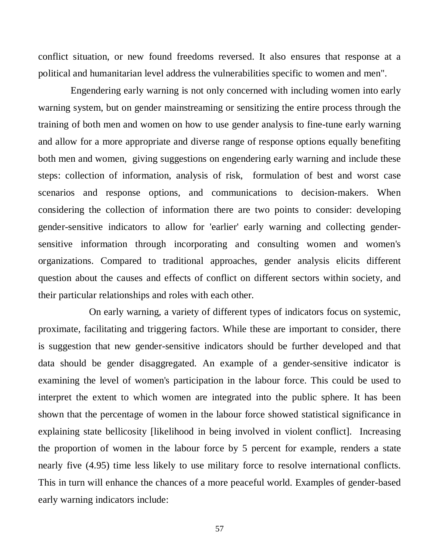conflict situation, or new found freedoms reversed. It also ensures that response at a political and humanitarian level address the vulnerabilities specific to women and men".

Engendering early warning is not only concerned with including women into early warning system, but on gender mainstreaming or sensitizing the entire process through the training of both men and women on how to use gender analysis to fine-tune early warning and allow for a more appropriate and diverse range of response options equally benefiting both men and women, giving suggestions on engendering early warning and include these steps: collection of information, analysis of risk, formulation of best and worst case scenarios and response options, and communications to decision-makers. When considering the collection of information there are two points to consider: developing gender-sensitive indicators to allow for 'earlier' early warning and collecting gendersensitive information through incorporating and consulting women and women's organizations. Compared to traditional approaches, gender analysis elicits different question about the causes and effects of conflict on different sectors within society, and their particular relationships and roles with each other.

On early warning, a variety of different types of indicators focus on systemic, proximate, facilitating and triggering factors. While these are important to consider, there is suggestion that new gender-sensitive indicators should be further developed and that data should be gender disaggregated. An example of a gender-sensitive indicator is examining the level of women's participation in the labour force. This could be used to interpret the extent to which women are integrated into the public sphere. It has been shown that the percentage of women in the labour force showed statistical significance in explaining state bellicosity [likelihood in being involved in violent conflict]. Increasing the proportion of women in the labour force by 5 percent for example, renders a state nearly five (4.95) time less likely to use military force to resolve international conflicts. This in turn will enhance the chances of a more peaceful world. Examples of gender-based early warning indicators include: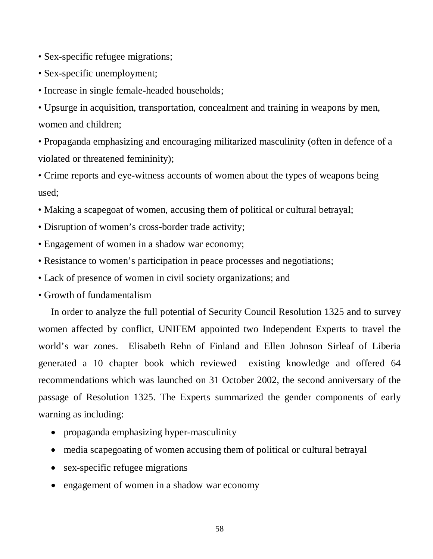- Sex-specific refugee migrations;
- Sex-specific unemployment;
- Increase in single female-headed households;

• Upsurge in acquisition, transportation, concealment and training in weapons by men, women and children;

• Propaganda emphasizing and encouraging militarized masculinity (often in defence of a violated or threatened femininity);

• Crime reports and eye-witness accounts of women about the types of weapons being used;

- Making a scapegoat of women, accusing them of political or cultural betrayal;
- Disruption of women's cross-border trade activity;
- Engagement of women in a shadow war economy;
- Resistance to women's participation in peace processes and negotiations;
- Lack of presence of women in civil society organizations; and
- Growth of fundamentalism

In order to analyze the full potential of Security Council Resolution 1325 and to survey women affected by conflict, UNIFEM appointed two Independent Experts to travel the world's war zones. Elisabeth Rehn of Finland and Ellen Johnson Sirleaf of Liberia generated a 10 chapter book which reviewed existing knowledge and offered 64 recommendations which was launched on 31 October 2002, the second anniversary of the passage of Resolution 1325. The Experts summarized the gender components of early warning as including:

- propaganda emphasizing hyper-masculinity
- media scapegoating of women accusing them of political or cultural betrayal
- sex-specific refugee migrations
- engagement of women in a shadow war economy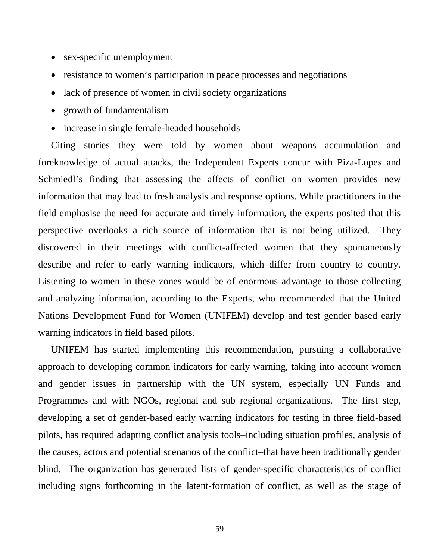- sex-specific unemployment
- resistance to women's participation in peace processes and negotiations
- lack of presence of women in civil society organizations
- growth of fundamentalism
- increase in single female-headed households

Citing stories they were told by women about weapons accumulation and foreknowledge of actual attacks, the Independent Experts concur with Piza-Lopes and Schmiedl's finding that assessing the affects of conflict on women provides new information that may lead to fresh analysis and response options. While practitioners in the field emphasise the need for accurate and timely information, the experts posited that this perspective overlooks a rich source of information that is not being utilized. They discovered in their meetings with conflict-affected women that they spontaneously describe and refer to early warning indicators, which differ from country to country. Listening to women in these zones would be of enormous advantage to those collecting and analyzing information, according to the Experts, who recommended that the United Nations Development Fund for Women (UNIFEM) develop and test gender based early warning indicators in field based pilots.

UNIFEM has started implementing this recommendation, pursuing a collaborative approach to developing common indicators for early warning, taking into account women and gender issues in partnership with the UN system, especially UN Funds and Programmes and with NGOs, regional and sub regional organizations. The first step, developing a set of gender-based early warning indicators for testing in three field-based pilots, has required adapting conflict analysis tools–including situation profiles, analysis of the causes, actors and potential scenarios of the conflict–that have been traditionally gender blind. The organization has generated lists of gender-specific characteristics of conflict including signs forthcoming in the latent-formation of conflict, as well as the stage of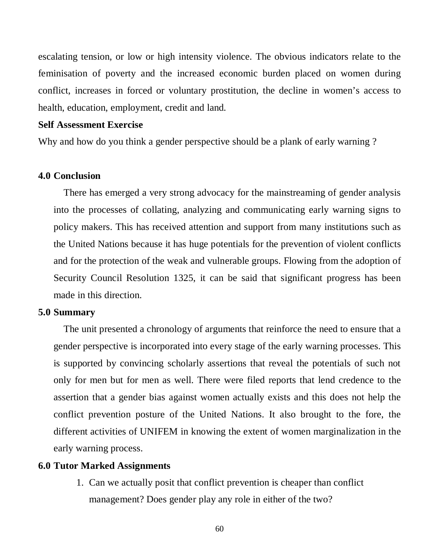escalating tension, or low or high intensity violence. The obvious indicators relate to the feminisation of poverty and the increased economic burden placed on women during conflict, increases in forced or voluntary prostitution, the decline in women's access to health, education, employment, credit and land.

#### **Self Assessment Exercise**

Why and how do you think a gender perspective should be a plank of early warning?

#### **4.0 Conclusion**

There has emerged a very strong advocacy for the mainstreaming of gender analysis into the processes of collating, analyzing and communicating early warning signs to policy makers. This has received attention and support from many institutions such as the United Nations because it has huge potentials for the prevention of violent conflicts and for the protection of the weak and vulnerable groups. Flowing from the adoption of Security Council Resolution 1325, it can be said that significant progress has been made in this direction.

#### **5.0 Summary**

The unit presented a chronology of arguments that reinforce the need to ensure that a gender perspective is incorporated into every stage of the early warning processes. This is supported by convincing scholarly assertions that reveal the potentials of such not only for men but for men as well. There were filed reports that lend credence to the assertion that a gender bias against women actually exists and this does not help the conflict prevention posture of the United Nations. It also brought to the fore, the different activities of UNIFEM in knowing the extent of women marginalization in the early warning process.

#### **6.0 Tutor Marked Assignments**

1. Can we actually posit that conflict prevention is cheaper than conflict management? Does gender play any role in either of the two?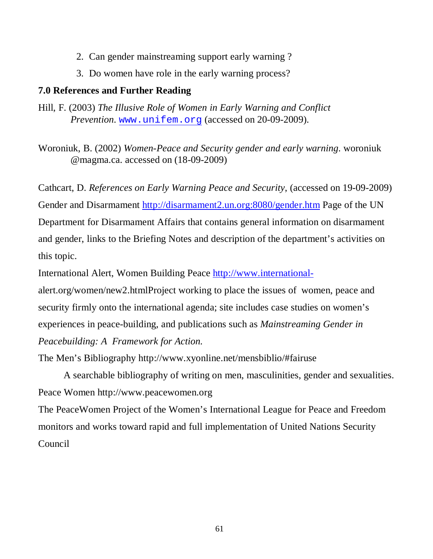- 2. Can gender mainstreaming support early warning ?
- 3. Do women have role in the early warning process?

## **7.0 References and Further Reading**

Hill, F. (2003) *The Illusive Role of Women in Early Warning and Conflict Prevention*. [www.unifem.org](http://www.unifem.org/) (accessed on 20-09-2009).

Woroniuk, B. (2002) *Women-Peace and Security gender and early warning*. woroniuk @magma.ca. accessed on (18-09-2009)

Cathcart, D. *References on Early Warning Peace and Security*, (accessed on 19-09-2009) Gender and Disarmament<http://disarmament2.un.org:8080/gender.htm> Page of the UN Department for Disarmament Affairs that contains general information on disarmament and gender, links to the Briefing Notes and description of the department's activities on this topic.

International Alert, Women Building Peace [http://www.international-](http://www.international-/)

alert.org/women/new2.htmlProject working to place the issues of women, peace and security firmly onto the international agenda; site includes case studies on women's experiences in peace-building, and publications such as *Mainstreaming Gender in Peacebuilding: A Framework for Action.*

The Men's Bibliography http://www.xyonline.net/mensbiblio/#fairuse

A searchable bibliography of writing on men, masculinities, gender and sexualities. Peace Women http://www.peacewomen.org

The PeaceWomen Project of the Women's International League for Peace and Freedom monitors and works toward rapid and full implementation of United Nations Security Council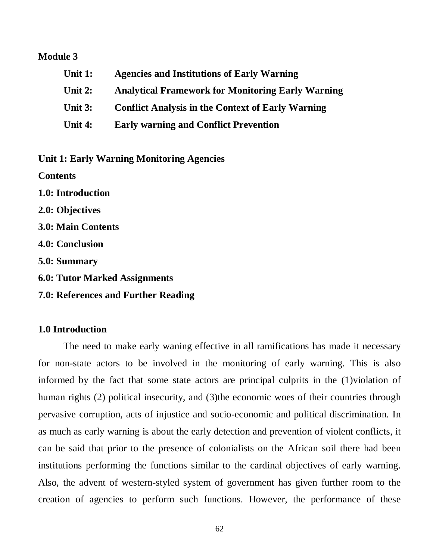#### **Module 3**

**Unit 1: Agencies and Institutions of Early Warning Unit 2: Analytical Framework for Monitoring Early Warning Unit 3: Conflict Analysis in the Context of Early Warning Unit 4: Early warning and Conflict Prevention** 

**Unit 1: Early Warning Monitoring Agencies**

**Contents** 

**1.0: Introduction** 

**2.0: Objectives** 

**3.0: Main Contents** 

**4.0: Conclusion** 

**5.0: Summary** 

**6.0: Tutor Marked Assignments** 

**7.0: References and Further Reading** 

### **1.0 Introduction**

The need to make early waning effective in all ramifications has made it necessary for non-state actors to be involved in the monitoring of early warning. This is also informed by the fact that some state actors are principal culprits in the (1)violation of human rights (2) political insecurity, and (3)the economic woes of their countries through pervasive corruption, acts of injustice and socio-economic and political discrimination. In as much as early warning is about the early detection and prevention of violent conflicts, it can be said that prior to the presence of colonialists on the African soil there had been institutions performing the functions similar to the cardinal objectives of early warning. Also, the advent of western-styled system of government has given further room to the creation of agencies to perform such functions. However, the performance of these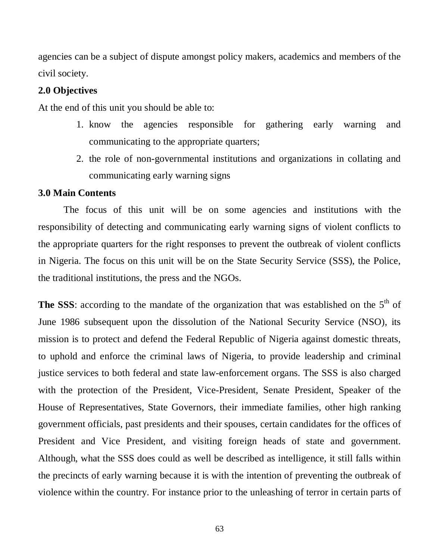agencies can be a subject of dispute amongst policy makers, academics and members of the civil society.

### **2.0 Objectives**

At the end of this unit you should be able to:

- 1. know the agencies responsible for gathering early warning and communicating to the appropriate quarters;
- 2. the role of non-governmental institutions and organizations in collating and communicating early warning signs

#### **3.0 Main Contents**

The focus of this unit will be on some agencies and institutions with the responsibility of detecting and communicating early warning signs of violent conflicts to the appropriate quarters for the right responses to prevent the outbreak of violent conflicts in Nigeria. The focus on this unit will be on the State Security Service (SSS), the Police, the traditional institutions, the press and the NGOs.

The SSS: according to the mandate of the organization that was established on the 5<sup>th</sup> of June 1986 subsequent upon the dissolution of the National Security Service (NSO), its mission is to protect and defend the Federal Republic of Nigeria against domestic threats, to uphold and enforce the criminal laws of Nigeria, to provide leadership and criminal justice services to both federal and state law-enforcement organs. The SSS is also charged with the protection of the President, Vice-President, Senate President, Speaker of the House of Representatives, State Governors, their immediate families, other high ranking government officials, past presidents and their spouses, certain candidates for the offices of President and Vice President, and visiting foreign heads of state and government. Although, what the SSS does could as well be described as intelligence, it still falls within the precincts of early warning because it is with the intention of preventing the outbreak of violence within the country. For instance prior to the unleashing of terror in certain parts of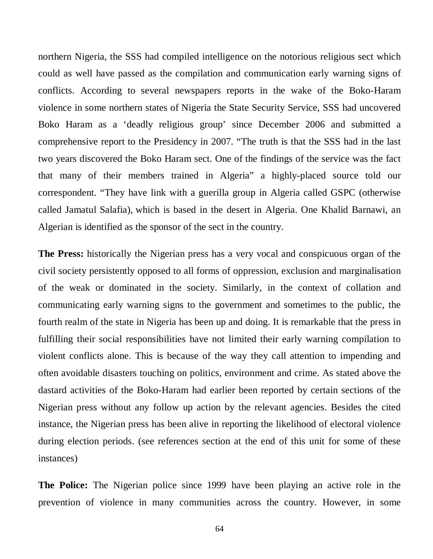northern Nigeria, the SSS had compiled intelligence on the notorious religious sect which could as well have passed as the compilation and communication early warning signs of conflicts. According to several newspapers reports in the wake of the Boko-Haram violence in some northern states of Nigeria the State Security Service, SSS had uncovered Boko Haram as a 'deadly religious group' since December 2006 and submitted a comprehensive report to the Presidency in 2007. "The truth is that the SSS had in the last two years discovered the Boko Haram sect. One of the findings of the service was the fact that many of their members trained in Algeria" a highly-placed source told our correspondent. "They have link with a guerilla group in Algeria called GSPC (otherwise called Jamatul Salafia), which is based in the desert in Algeria. One Khalid Barnawi, an Algerian is identified as the sponsor of the sect in the country.

**The Press:** historically the Nigerian press has a very vocal and conspicuous organ of the civil society persistently opposed to all forms of oppression, exclusion and marginalisation of the weak or dominated in the society. Similarly, in the context of collation and communicating early warning signs to the government and sometimes to the public, the fourth realm of the state in Nigeria has been up and doing. It is remarkable that the press in fulfilling their social responsibilities have not limited their early warning compilation to violent conflicts alone. This is because of the way they call attention to impending and often avoidable disasters touching on politics, environment and crime. As stated above the dastard activities of the Boko-Haram had earlier been reported by certain sections of the Nigerian press without any follow up action by the relevant agencies. Besides the cited instance, the Nigerian press has been alive in reporting the likelihood of electoral violence during election periods. (see references section at the end of this unit for some of these instances)

**The Police:** The Nigerian police since 1999 have been playing an active role in the prevention of violence in many communities across the country. However, in some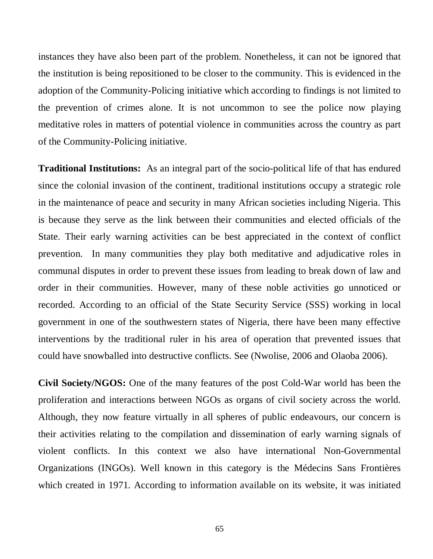instances they have also been part of the problem. Nonetheless, it can not be ignored that the institution is being repositioned to be closer to the community. This is evidenced in the adoption of the Community-Policing initiative which according to findings is not limited to the prevention of crimes alone. It is not uncommon to see the police now playing meditative roles in matters of potential violence in communities across the country as part of the Community-Policing initiative.

**Traditional Institutions:** As an integral part of the socio-political life of that has endured since the colonial invasion of the continent, traditional institutions occupy a strategic role in the maintenance of peace and security in many African societies including Nigeria. This is because they serve as the link between their communities and elected officials of the State. Their early warning activities can be best appreciated in the context of conflict prevention. In many communities they play both meditative and adjudicative roles in communal disputes in order to prevent these issues from leading to break down of law and order in their communities. However, many of these noble activities go unnoticed or recorded. According to an official of the State Security Service (SSS) working in local government in one of the southwestern states of Nigeria, there have been many effective interventions by the traditional ruler in his area of operation that prevented issues that could have snowballed into destructive conflicts. See (Nwolise, 2006 and Olaoba 2006).

**Civil Society/NGOS:** One of the many features of the post Cold-War world has been the proliferation and interactions between NGOs as organs of civil society across the world. Although, they now feature virtually in all spheres of public endeavours, our concern is their activities relating to the compilation and dissemination of early warning signals of violent conflicts. In this context we also have international Non-Governmental Organizations (INGOs). Well known in this category is the Médecins Sans Frontières which created in 1971. According to information available on its website, it was initiated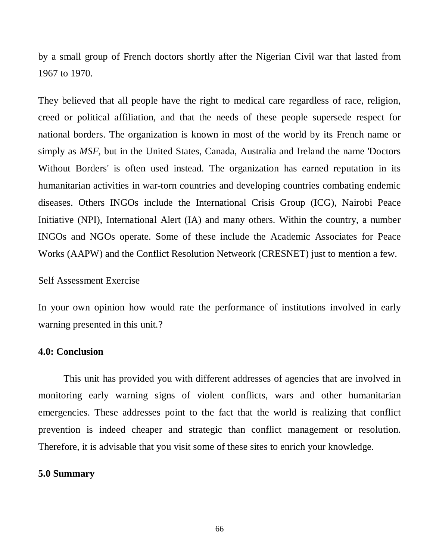by a small group of French doctors shortly after the Nigerian Civil war that lasted from 1967 to 1970.

They believed that all people have the right to medical care regardless of race, religion, creed or political affiliation, and that the needs of these people supersede respect for national borders. The organization is known in most of the world by its French name or simply as *MSF*, but in the United States, Canada, Australia and Ireland the name 'Doctors Without Borders' is often used instead. The organization has earned reputation in its humanitarian activities in war-torn countries and developing countries combating endemic diseases. Others INGOs include the International Crisis Group (ICG), Nairobi Peace Initiative (NPI), International Alert (IA) and many others. Within the country, a number INGOs and NGOs operate. Some of these include the Academic Associates for Peace Works (AAPW) and the Conflict Resolution Netweork (CRESNET) just to mention a few.

### Self Assessment Exercise

In your own opinion how would rate the performance of institutions involved in early warning presented in this unit.?

#### **4.0: Conclusion**

This unit has provided you with different addresses of agencies that are involved in monitoring early warning signs of violent conflicts, wars and other humanitarian emergencies. These addresses point to the fact that the world is realizing that conflict prevention is indeed cheaper and strategic than conflict management or resolution. Therefore, it is advisable that you visit some of these sites to enrich your knowledge.

#### **5.0 Summary**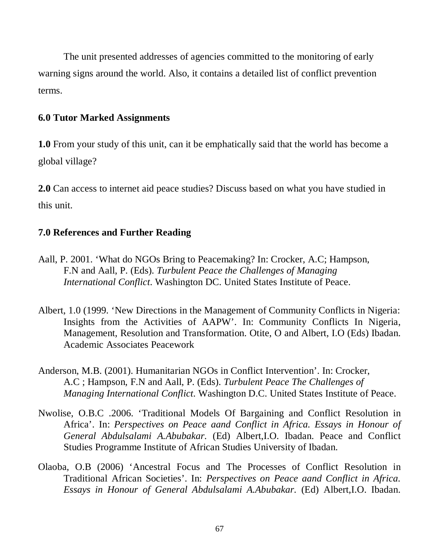The unit presented addresses of agencies committed to the monitoring of early warning signs around the world. Also, it contains a detailed list of conflict prevention terms.

## **6.0 Tutor Marked Assignments**

**1.0** From your study of this unit, can it be emphatically said that the world has become a global village?

**2.0** Can access to internet aid peace studies? Discuss based on what you have studied in this unit.

## **7.0 References and Further Reading**

- Aall, P. 2001. 'What do NGOs Bring to Peacemaking? In: Crocker, A.C; Hampson, F.N and Aall, P. (Eds). *Turbulent Peace the Challenges of Managing International Conflict*. Washington DC. United States Institute of Peace.
- Albert, 1.0 (1999. 'New Directions in the Management of Community Conflicts in Nigeria: Insights from the Activities of AAPW'. In: Community Conflicts In Nigeria, Management, Resolution and Transformation. Otite, O and Albert, I.O (Eds) Ibadan. Academic Associates Peacework
- Anderson, M.B. (2001). Humanitarian NGOs in Conflict Intervention'. In: Crocker, A.C ; Hampson, F.N and Aall, P. (Eds). *Turbulent Peace The Challenges of Managing International Conflict*. Washington D.C. United States Institute of Peace.
- Nwolise, O.B.C .2006. 'Traditional Models Of Bargaining and Conflict Resolution in Africa'. In: *Perspectives on Peace aand Conflict in Africa. Essays in Honour of General Abdulsalami A.Abubakar.* (Ed) Albert,I.O. Ibadan. Peace and Conflict Studies Programme Institute of African Studies University of Ibadan.
- Olaoba, O.B (2006) 'Ancestral Focus and The Processes of Conflict Resolution in Traditional African Societies'. In: *Perspectives on Peace aand Conflict in Africa. Essays in Honour of General Abdulsalami A.Abubakar.* (Ed) Albert,I.O. Ibadan.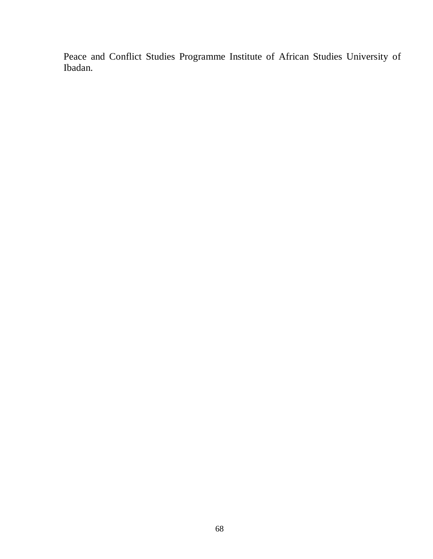Peace and Conflict Studies Programme Institute of African Studies University of Ibadan.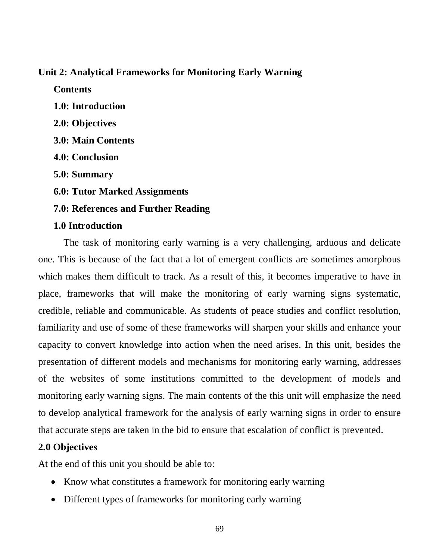### **Unit 2: Analytical Frameworks for Monitoring Early Warning**

**Contents** 

**1.0: Introduction 2.0: Objectives 3.0: Main Contents 4.0: Conclusion 5.0: Summary 6.0: Tutor Marked Assignments 7.0: References and Further Reading 1.0 Introduction** 

The task of monitoring early warning is a very challenging, arduous and delicate one. This is because of the fact that a lot of emergent conflicts are sometimes amorphous which makes them difficult to track. As a result of this, it becomes imperative to have in place, frameworks that will make the monitoring of early warning signs systematic, credible, reliable and communicable. As students of peace studies and conflict resolution, familiarity and use of some of these frameworks will sharpen your skills and enhance your capacity to convert knowledge into action when the need arises. In this unit, besides the presentation of different models and mechanisms for monitoring early warning, addresses of the websites of some institutions committed to the development of models and monitoring early warning signs. The main contents of the this unit will emphasize the need to develop analytical framework for the analysis of early warning signs in order to ensure that accurate steps are taken in the bid to ensure that escalation of conflict is prevented.

### **2.0 Objectives**

At the end of this unit you should be able to:

- Know what constitutes a framework for monitoring early warning
- Different types of frameworks for monitoring early warning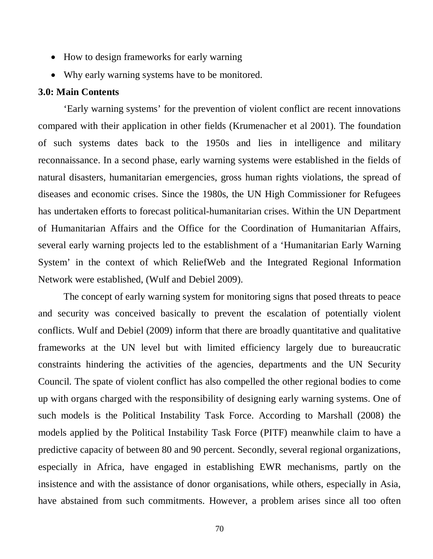- How to design frameworks for early warning
- Why early warning systems have to be monitored.

#### **3.0: Main Contents**

'Early warning systems' for the prevention of violent conflict are recent innovations compared with their application in other fields (Krumenacher et al 2001). The foundation of such systems dates back to the 1950s and lies in intelligence and military reconnaissance. In a second phase, early warning systems were established in the fields of natural disasters, humanitarian emergencies, gross human rights violations, the spread of diseases and economic crises. Since the 1980s, the UN High Commissioner for Refugees has undertaken efforts to forecast political-humanitarian crises. Within the UN Department of Humanitarian Affairs and the Office for the Coordination of Humanitarian Affairs, several early warning projects led to the establishment of a 'Humanitarian Early Warning System' in the context of which ReliefWeb and the Integrated Regional Information Network were established, (Wulf and Debiel 2009).

The concept of early warning system for monitoring signs that posed threats to peace and security was conceived basically to prevent the escalation of potentially violent conflicts. Wulf and Debiel (2009) inform that there are broadly quantitative and qualitative frameworks at the UN level but with limited efficiency largely due to bureaucratic constraints hindering the activities of the agencies, departments and the UN Security Council. The spate of violent conflict has also compelled the other regional bodies to come up with organs charged with the responsibility of designing early warning systems. One of such models is the Political Instability Task Force. According to Marshall (2008) the models applied by the Political Instability Task Force (PITF) meanwhile claim to have a predictive capacity of between 80 and 90 percent. Secondly, several regional organizations, especially in Africa, have engaged in establishing EWR mechanisms, partly on the insistence and with the assistance of donor organisations, while others, especially in Asia, have abstained from such commitments. However, a problem arises since all too often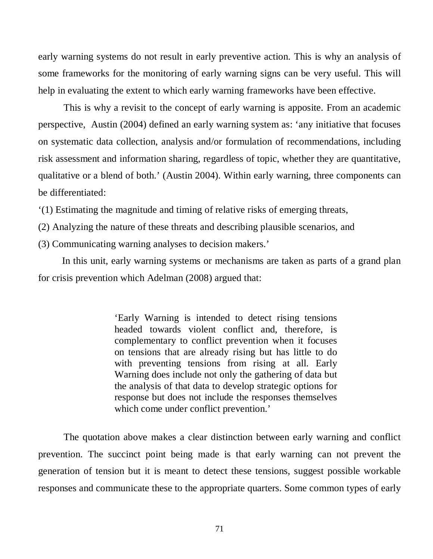early warning systems do not result in early preventive action. This is why an analysis of some frameworks for the monitoring of early warning signs can be very useful. This will help in evaluating the extent to which early warning frameworks have been effective.

This is why a revisit to the concept of early warning is apposite. From an academic perspective, Austin (2004) defined an early warning system as: 'any initiative that focuses on systematic data collection, analysis and/or formulation of recommendations, including risk assessment and information sharing, regardless of topic, whether they are quantitative, qualitative or a blend of both.' (Austin 2004). Within early warning, three components can be differentiated:

'(1) Estimating the magnitude and timing of relative risks of emerging threats,

- (2) Analyzing the nature of these threats and describing plausible scenarios, and
- (3) Communicating warning analyses to decision makers.'

 In this unit, early warning systems or mechanisms are taken as parts of a grand plan for crisis prevention which Adelman (2008) argued that:

> 'Early Warning is intended to detect rising tensions headed towards violent conflict and, therefore, is complementary to conflict prevention when it focuses on tensions that are already rising but has little to do with preventing tensions from rising at all. Early Warning does include not only the gathering of data but the analysis of that data to develop strategic options for response but does not include the responses themselves which come under conflict prevention.'

The quotation above makes a clear distinction between early warning and conflict prevention. The succinct point being made is that early warning can not prevent the generation of tension but it is meant to detect these tensions, suggest possible workable responses and communicate these to the appropriate quarters. Some common types of early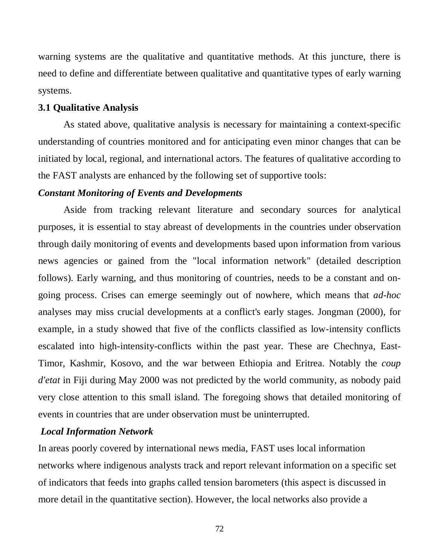warning systems are the qualitative and quantitative methods. At this juncture, there is need to define and differentiate between qualitative and quantitative types of early warning systems.

#### **3.1 Qualitative Analysis**

As stated above, qualitative analysis is necessary for maintaining a context-specific understanding of countries monitored and for anticipating even minor changes that can be initiated by local, regional, and international actors. The features of qualitative according to the FAST analysts are enhanced by the following set of supportive tools:

#### *Constant Monitoring of Events and Developments*

Aside from tracking relevant literature and secondary sources for analytical purposes, it is essential to stay abreast of developments in the countries under observation through daily monitoring of events and developments based upon information from various news agencies or gained from the "local information network" (detailed description follows). Early warning, and thus monitoring of countries, needs to be a constant and ongoing process. Crises can emerge seemingly out of nowhere, which means that *ad-hoc*  analyses may miss crucial developments at a conflict's early stages. Jongman (2000), for example, in a study showed that five of the conflicts classified as low-intensity conflicts escalated into high-intensity-conflicts within the past year. These are Chechnya, East-Timor, Kashmir, Kosovo, and the war between Ethiopia and Eritrea. Notably the *coup d'etat* in Fiji during May 2000 was not predicted by the world community, as nobody paid very close attention to this small island. The foregoing shows that detailed monitoring of events in countries that are under observation must be uninterrupted.

## *Local Information Network*

In areas poorly covered by international news media, FAST uses local information networks where indigenous analysts track and report relevant information on a specific set of indicators that feeds into graphs called tension barometers (this aspect is discussed in more detail in the quantitative section). However, the local networks also provide a

72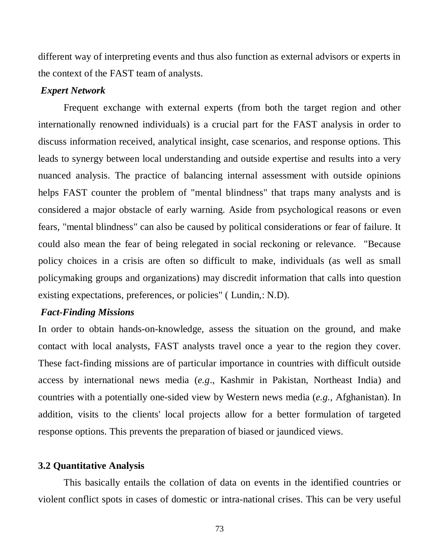different way of interpreting events and thus also function as external advisors or experts in the context of the FAST team of analysts.

#### *Expert Network*

Frequent exchange with external experts (from both the target region and other internationally renowned individuals) is a crucial part for the FAST analysis in order to discuss information received, analytical insight, case scenarios, and response options. This leads to synergy between local understanding and outside expertise and results into a very nuanced analysis. The practice of balancing internal assessment with outside opinions helps FAST counter the problem of "mental blindness" that traps many analysts and is considered a major obstacle of early warning. Aside from psychological reasons or even fears, "mental blindness" can also be caused by political considerations or fear of failure. It could also mean the fear of being relegated in social reckoning or relevance. "Because policy choices in a crisis are often so difficult to make, individuals (as well as small policymaking groups and organizations) may discredit information that calls into question existing expectations, preferences, or policies" ( Lundin,: N.D).

## *Fact-Finding Missions*

In order to obtain hands-on-knowledge, assess the situation on the ground, and make contact with local analysts, FAST analysts travel once a year to the region they cover. These fact-finding missions are of particular importance in countries with difficult outside access by international news media (*e.g*., Kashmir in Pakistan, Northeast India) and countries with a potentially one-sided view by Western news media (*e.g.,* Afghanistan). In addition, visits to the clients' local projects allow for a better formulation of targeted response options. This prevents the preparation of biased or jaundiced views.

## **3.2 Quantitative Analysis**

This basically entails the collation of data on events in the identified countries or violent conflict spots in cases of domestic or intra-national crises. This can be very useful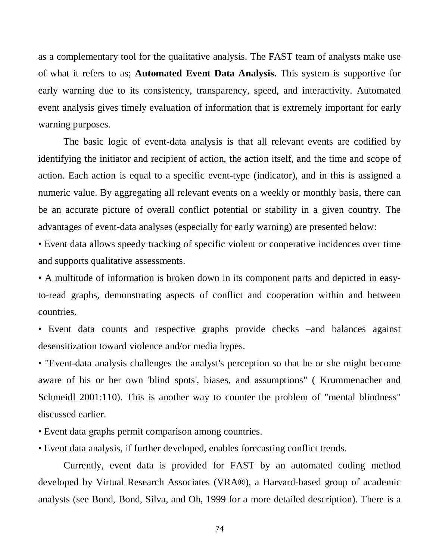as a complementary tool for the qualitative analysis. The FAST team of analysts make use of what it refers to as; **Automated Event Data Analysis.** This system is supportive for early warning due to its consistency, transparency, speed, and interactivity. Automated event analysis gives timely evaluation of information that is extremely important for early warning purposes.

The basic logic of event-data analysis is that all relevant events are codified by identifying the initiator and recipient of action, the action itself, and the time and scope of action. Each action is equal to a specific event-type (indicator), and in this is assigned a numeric value. By aggregating all relevant events on a weekly or monthly basis, there can be an accurate picture of overall conflict potential or stability in a given country. The advantages of event-data analyses (especially for early warning) are presented below:

• Event data allows speedy tracking of specific violent or cooperative incidences over time and supports qualitative assessments.

• A multitude of information is broken down in its component parts and depicted in easyto-read graphs, demonstrating aspects of conflict and cooperation within and between countries.

• Event data counts and respective graphs provide checks –and balances against desensitization toward violence and/or media hypes.

• "Event-data analysis challenges the analyst's perception so that he or she might become aware of his or her own 'blind spots', biases, and assumptions" ( Krummenacher and Schmeidl 2001:110). This is another way to counter the problem of "mental blindness" discussed earlier.

• Event data graphs permit comparison among countries.

• Event data analysis, if further developed, enables forecasting conflict trends.

Currently, event data is provided for FAST by an automated coding method developed by Virtual Research Associates (VRA®), a Harvard-based group of academic analysts (see Bond, Bond, Silva, and Oh, 1999 for a more detailed description). There is a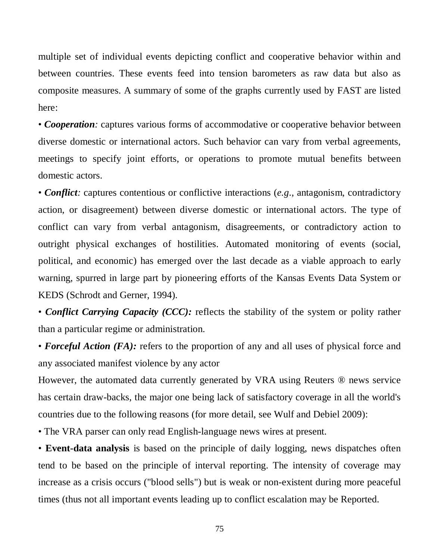multiple set of individual events depicting conflict and cooperative behavior within and between countries. These events feed into tension barometers as raw data but also as composite measures. A summary of some of the graphs currently used by FAST are listed here:

• *Cooperation*: captures various forms of accommodative or cooperative behavior between diverse domestic or international actors. Such behavior can vary from verbal agreements, meetings to specify joint efforts, or operations to promote mutual benefits between domestic actors.

• *Conflict*: captures contentious or conflictive interactions (*e.g.*, antagonism, contradictory action, or disagreement) between diverse domestic or international actors. The type of conflict can vary from verbal antagonism, disagreements, or contradictory action to outright physical exchanges of hostilities. Automated monitoring of events (social, political, and economic) has emerged over the last decade as a viable approach to early warning, spurred in large part by pioneering efforts of the Kansas Events Data System or KEDS (Schrodt and Gerner, 1994).

• *Conflict Carrying Capacity (CCC):* reflects the stability of the system or polity rather than a particular regime or administration.

• **Forceful Action** (FA): refers to the proportion of any and all uses of physical force and any associated manifest violence by any actor

However, the automated data currently generated by VRA using Reuters ® news service has certain draw-backs, the major one being lack of satisfactory coverage in all the world's countries due to the following reasons (for more detail, see Wulf and Debiel 2009):

• The VRA parser can only read English-language news wires at present.

• **Event-data analysis** is based on the principle of daily logging, news dispatches often tend to be based on the principle of interval reporting. The intensity of coverage may increase as a crisis occurs ("blood sells") but is weak or non-existent during more peaceful times (thus not all important events leading up to conflict escalation may be Reported.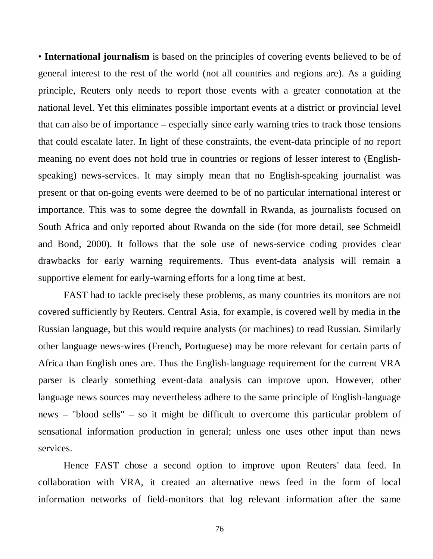• **International journalism** is based on the principles of covering events believed to be of general interest to the rest of the world (not all countries and regions are). As a guiding principle, Reuters only needs to report those events with a greater connotation at the national level. Yet this eliminates possible important events at a district or provincial level that can also be of importance – especially since early warning tries to track those tensions that could escalate later. In light of these constraints, the event-data principle of no report meaning no event does not hold true in countries or regions of lesser interest to (Englishspeaking) news-services. It may simply mean that no English-speaking journalist was present or that on-going events were deemed to be of no particular international interest or importance. This was to some degree the downfall in Rwanda, as journalists focused on South Africa and only reported about Rwanda on the side (for more detail, see Schmeidl and Bond, 2000). It follows that the sole use of news-service coding provides clear drawbacks for early warning requirements. Thus event-data analysis will remain a supportive element for early-warning efforts for a long time at best.

FAST had to tackle precisely these problems, as many countries its monitors are not covered sufficiently by Reuters. Central Asia, for example, is covered well by media in the Russian language, but this would require analysts (or machines) to read Russian. Similarly other language news-wires (French, Portuguese) may be more relevant for certain parts of Africa than English ones are. Thus the English-language requirement for the current VRA parser is clearly something event-data analysis can improve upon. However, other language news sources may nevertheless adhere to the same principle of English-language news – "blood sells" – so it might be difficult to overcome this particular problem of sensational information production in general; unless one uses other input than news services.

Hence FAST chose a second option to improve upon Reuters' data feed. In collaboration with VRA, it created an alternative news feed in the form of local information networks of field-monitors that log relevant information after the same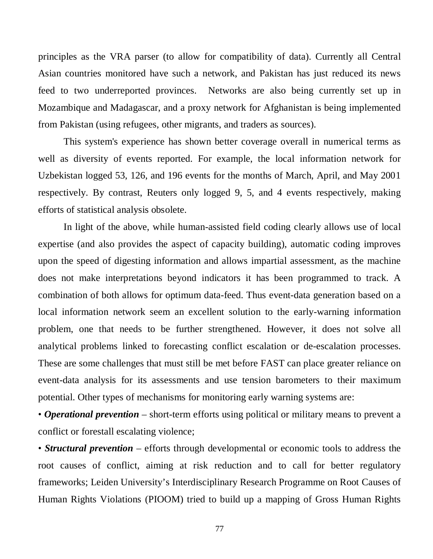principles as the VRA parser (to allow for compatibility of data). Currently all Central Asian countries monitored have such a network, and Pakistan has just reduced its news feed to two underreported provinces. Networks are also being currently set up in Mozambique and Madagascar, and a proxy network for Afghanistan is being implemented from Pakistan (using refugees, other migrants, and traders as sources).

This system's experience has shown better coverage overall in numerical terms as well as diversity of events reported. For example, the local information network for Uzbekistan logged 53, 126, and 196 events for the months of March, April, and May 2001 respectively. By contrast, Reuters only logged 9, 5, and 4 events respectively, making efforts of statistical analysis obsolete.

In light of the above, while human-assisted field coding clearly allows use of local expertise (and also provides the aspect of capacity building), automatic coding improves upon the speed of digesting information and allows impartial assessment, as the machine does not make interpretations beyond indicators it has been programmed to track. A combination of both allows for optimum data-feed. Thus event-data generation based on a local information network seem an excellent solution to the early-warning information problem, one that needs to be further strengthened. However, it does not solve all analytical problems linked to forecasting conflict escalation or de-escalation processes. These are some challenges that must still be met before FAST can place greater reliance on event-data analysis for its assessments and use tension barometers to their maximum potential. Other types of mechanisms for monitoring early warning systems are:

• *Operational prevention* – short-term efforts using political or military means to prevent a conflict or forestall escalating violence;

• *Structural prevention* – efforts through developmental or economic tools to address the root causes of conflict, aiming at risk reduction and to call for better regulatory frameworks; Leiden University's Interdisciplinary Research Programme on Root Causes of Human Rights Violations (PIOOM) tried to build up a mapping of Gross Human Rights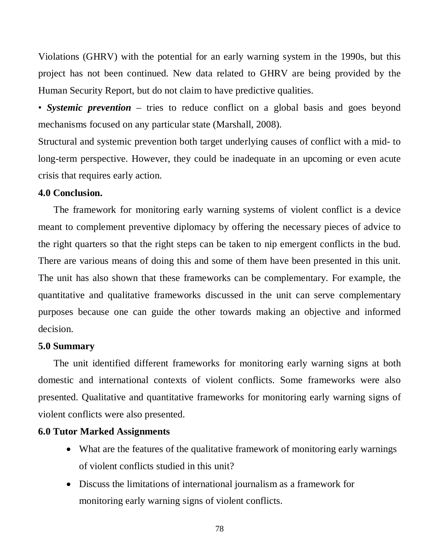Violations (GHRV) with the potential for an early warning system in the 1990s, but this project has not been continued. New data related to GHRV are being provided by the Human Security Report, but do not claim to have predictive qualities.

• *Systemic prevention* – tries to reduce conflict on a global basis and goes beyond mechanisms focused on any particular state (Marshall, 2008).

Structural and systemic prevention both target underlying causes of conflict with a mid- to long-term perspective. However, they could be inadequate in an upcoming or even acute crisis that requires early action.

## **4.0 Conclusion.**

The framework for monitoring early warning systems of violent conflict is a device meant to complement preventive diplomacy by offering the necessary pieces of advice to the right quarters so that the right steps can be taken to nip emergent conflicts in the bud. There are various means of doing this and some of them have been presented in this unit. The unit has also shown that these frameworks can be complementary. For example, the quantitative and qualitative frameworks discussed in the unit can serve complementary purposes because one can guide the other towards making an objective and informed decision.

#### **5.0 Summary**

The unit identified different frameworks for monitoring early warning signs at both domestic and international contexts of violent conflicts. Some frameworks were also presented. Qualitative and quantitative frameworks for monitoring early warning signs of violent conflicts were also presented.

## **6.0 Tutor Marked Assignments**

- What are the features of the qualitative framework of monitoring early warnings of violent conflicts studied in this unit?
- Discuss the limitations of international journalism as a framework for monitoring early warning signs of violent conflicts.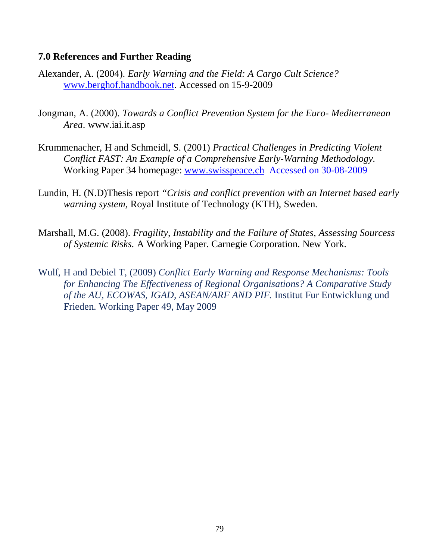## **7.0 References and Further Reading**

- Alexander, A. (2004). *Early Warning and the Field: A Cargo Cult Science?*  [www.berghof.handbook.net.](http://www.berghof.handbook.net/) Accessed on 15-9-2009
- Jongman, A. (2000). *Towards a Conflict Prevention System for the Euro- Mediterranean Area*. www.iai.it.asp
- Krummenacher, H and Schmeidl, S. (2001) *Practical Challenges in Predicting Violent Conflict FAST: An Example of a Comprehensive Early-Warning Methodology.* Working Paper 34 homepage: [www.swisspeace.ch](http://www.swisspeace.ch/) Accessed on 30-08-2009
- Lundin, H. (N.D)Thesis report *"Crisis and conflict prevention with an Internet based early warning system*, Royal Institute of Technology (KTH), Sweden.
- Marshall, M.G. (2008). *Fragility, Instability and the Failure of States, Assessing Sourcess of Systemic Risks.* A Working Paper. Carnegie Corporation. New York.
- Wulf, H and Debiel T, (2009) *Conflict Early Warning and Response Mechanisms: Tools for Enhancing The Effectiveness of Regional Organisations? A Comparative Study of the AU, ECOWAS, IGAD, ASEAN/ARF AND PIF.* Institut Fur Entwicklung und Frieden. Working Paper 49, May 2009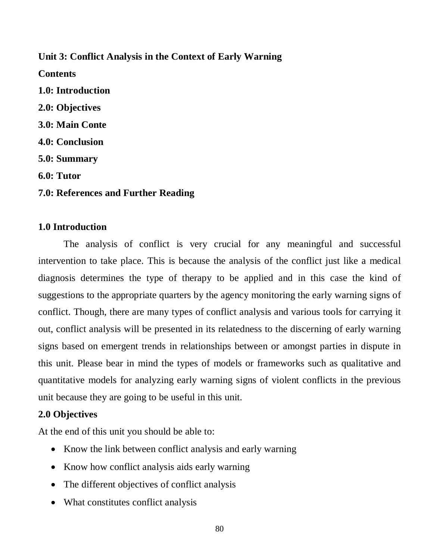# **Unit 3: Conflict Analysis in the Context of Early Warning**

- **Contents**
- **1.0: Introduction 2.0: Objectives 3.0: Main Conte 4.0: Conclusion 5.0: Summary 6.0: Tutor**
- **7.0: References and Further Reading**

## **1.0 Introduction**

The analysis of conflict is very crucial for any meaningful and successful intervention to take place. This is because the analysis of the conflict just like a medical diagnosis determines the type of therapy to be applied and in this case the kind of suggestions to the appropriate quarters by the agency monitoring the early warning signs of conflict. Though, there are many types of conflict analysis and various tools for carrying it out, conflict analysis will be presented in its relatedness to the discerning of early warning signs based on emergent trends in relationships between or amongst parties in dispute in this unit. Please bear in mind the types of models or frameworks such as qualitative and quantitative models for analyzing early warning signs of violent conflicts in the previous unit because they are going to be useful in this unit.

# **2.0 Objectives**

At the end of this unit you should be able to:

- Know the link between conflict analysis and early warning
- Know how conflict analysis aids early warning
- The different objectives of conflict analysis
- What constitutes conflict analysis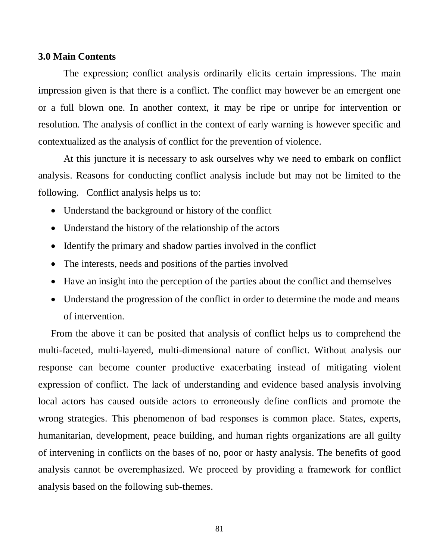#### **3.0 Main Contents**

The expression; conflict analysis ordinarily elicits certain impressions. The main impression given is that there is a conflict. The conflict may however be an emergent one or a full blown one. In another context, it may be ripe or unripe for intervention or resolution. The analysis of conflict in the context of early warning is however specific and contextualized as the analysis of conflict for the prevention of violence.

At this juncture it is necessary to ask ourselves why we need to embark on conflict analysis. Reasons for conducting conflict analysis include but may not be limited to the following. Conflict analysis helps us to:

- Understand the background or history of the conflict
- Understand the history of the relationship of the actors
- Identify the primary and shadow parties involved in the conflict
- The interests, needs and positions of the parties involved
- Have an insight into the perception of the parties about the conflict and themselves
- Understand the progression of the conflict in order to determine the mode and means of intervention.

From the above it can be posited that analysis of conflict helps us to comprehend the multi-faceted, multi-layered, multi-dimensional nature of conflict. Without analysis our response can become counter productive exacerbating instead of mitigating violent expression of conflict. The lack of understanding and evidence based analysis involving local actors has caused outside actors to erroneously define conflicts and promote the wrong strategies. This phenomenon of bad responses is common place. States, experts, humanitarian, development, peace building, and human rights organizations are all guilty of intervening in conflicts on the bases of no, poor or hasty analysis. The benefits of good analysis cannot be overemphasized. We proceed by providing a framework for conflict analysis based on the following sub-themes.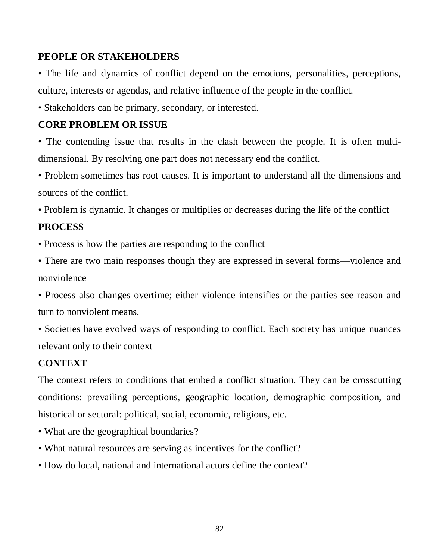# **PEOPLE OR STAKEHOLDERS**

• The life and dynamics of conflict depend on the emotions, personalities, perceptions, culture, interests or agendas, and relative influence of the people in the conflict.

• Stakeholders can be primary, secondary, or interested.

# **CORE PROBLEM OR ISSUE**

• The contending issue that results in the clash between the people. It is often multidimensional. By resolving one part does not necessary end the conflict.

• Problem sometimes has root causes. It is important to understand all the dimensions and sources of the conflict.

• Problem is dynamic. It changes or multiplies or decreases during the life of the conflict

# **PROCESS**

• Process is how the parties are responding to the conflict

• There are two main responses though they are expressed in several forms—violence and nonviolence

• Process also changes overtime; either violence intensifies or the parties see reason and turn to nonviolent means.

• Societies have evolved ways of responding to conflict. Each society has unique nuances relevant only to their context

## **CONTEXT**

The context refers to conditions that embed a conflict situation. They can be crosscutting conditions: prevailing perceptions, geographic location, demographic composition, and historical or sectoral: political, social, economic, religious, etc.

- What are the geographical boundaries?
- What natural resources are serving as incentives for the conflict?
- How do local, national and international actors define the context?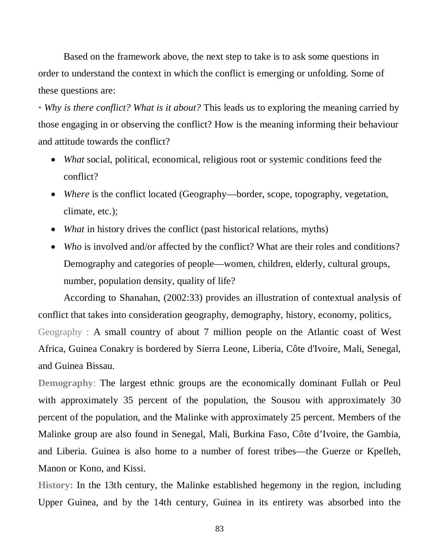Based on the framework above, the next step to take is to ask some questions in order to understand the context in which the conflict is emerging or unfolding. Some of these questions are:

• *Why is there conflict? What is it about?* This leads us to exploring the meaning carried by those engaging in or observing the conflict? How is the meaning informing their behaviour and attitude towards the conflict?

- *What* social, political, economical, religious root or systemic conditions feed the conflict?
- *Where* is the conflict located (Geography—border, scope, topography, vegetation, climate, etc.);
- *What* in history drives the conflict (past historical relations, myths)
- *Who* is involved and/or affected by the conflict? What are their roles and conditions? Demography and categories of people—women, children, elderly, cultural groups, number, population density, quality of life?

According to Shanahan, (2002:33) provides an illustration of contextual analysis of conflict that takes into consideration geography, demography, history, economy, politics, Geography : A small country of about 7 million people on the Atlantic coast of West Africa, Guinea Conakry is bordered by Sierra Leone, Liberia, Côte d'Ivoire, Mali, Senegal, and Guinea Bissau.

**Demography**: The largest ethnic groups are the economically dominant Fullah or Peul with approximately 35 percent of the population, the Sousou with approximately 30 percent of the population, and the Malinke with approximately 25 percent. Members of the Malinke group are also found in Senegal, Mali, Burkina Faso, Côte d'Ivoire, the Gambia, and Liberia. Guinea is also home to a number of forest tribes—the Guerze or Kpelleh, Manon or Kono, and Kissi.

**History:** In the 13th century, the Malinke established hegemony in the region, including Upper Guinea, and by the 14th century, Guinea in its entirety was absorbed into the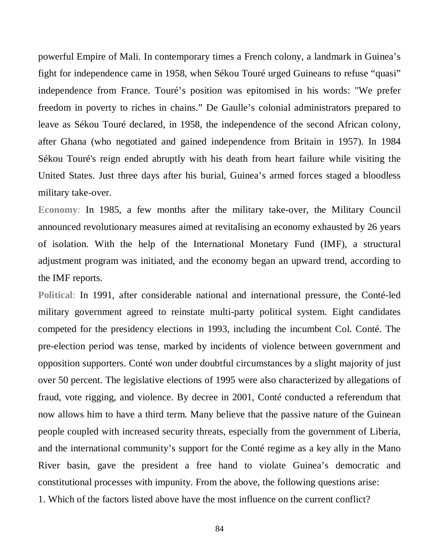powerful Empire of Mali. In contemporary times a French colony, a landmark in Guinea's fight for independence came in 1958, when Sékou Touré urged Guineans to refuse "quasi" independence from France. Touré's position was epitomised in his words: "We prefer freedom in poverty to riches in chains." De Gaulle's colonial administrators prepared to leave as Sékou Touré declared, in 1958, the independence of the second African colony, after Ghana (who negotiated and gained independence from Britain in 1957). In 1984 Sékou Touré's reign ended abruptly with his death from heart failure while visiting the United States. Just three days after his burial, Guinea's armed forces staged a bloodless military take-over.

**Economy**: In 1985, a few months after the military take-over, the Military Council announced revolutionary measures aimed at revitalising an economy exhausted by 26 years of isolation. With the help of the International Monetary Fund (IMF), a structural adjustment program was initiated, and the economy began an upward trend, according to the IMF reports.

**Political**: In 1991, after considerable national and international pressure, the Conté-led military government agreed to reinstate multi-party political system. Eight candidates competed for the presidency elections in 1993, including the incumbent Col. Conté. The pre-election period was tense, marked by incidents of violence between government and opposition supporters. Conté won under doubtful circumstances by a slight majority of just over 50 percent. The legislative elections of 1995 were also characterized by allegations of fraud, vote rigging, and violence. By decree in 2001, Conté conducted a referendum that now allows him to have a third term. Many believe that the passive nature of the Guinean people coupled with increased security threats, especially from the government of Liberia, and the international community's support for the Conté regime as a key ally in the Mano River basin, gave the president a free hand to violate Guinea's democratic and constitutional processes with impunity. From the above, the following questions arise:

1. Which of the factors listed above have the most influence on the current conflict?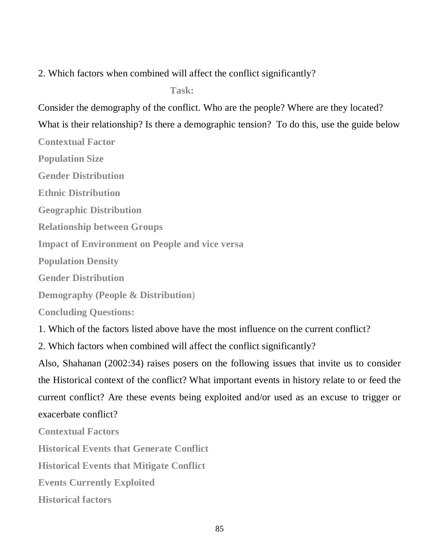2. Which factors when combined will affect the conflict significantly?

 $Task:$ 

Consider the demography of the conflict. Who are the people? Where are they located? What is their relationship? Is there a demographic tension? To do this, use the guide below

**Contextual Factor**

**Population Size**

**Gender Distribution**

**Ethnic Distribution**

**Geographic Distribution**

**Relationship between Groups**

**Impact of Environment on People and vice versa**

**Population Density**

**Gender Distribution**

**Demography (People & Distribution**)

**Concluding Questions:**

1. Which of the factors listed above have the most influence on the current conflict?

2. Which factors when combined will affect the conflict significantly?

Also, Shahanan (2002:34) raises posers on the following issues that invite us to consider the Historical context of the conflict? What important events in history relate to or feed the current conflict? Are these events being exploited and/or used as an excuse to trigger or exacerbate conflict?

**Contextual Factors**

**Historical Events that Generate Conflict**

**Historical Events that Mitigate Conflict**

**Events Currently Exploited**

**Historical factors**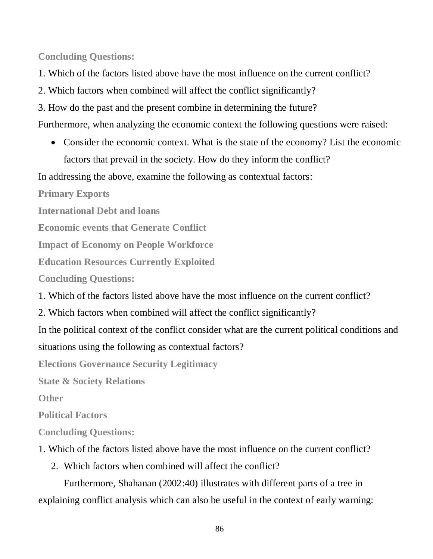**Concluding Questions:**

- 1. Which of the factors listed above have the most influence on the current conflict?
- 2. Which factors when combined will affect the conflict significantly?
- 3. How do the past and the present combine in determining the future?

Furthermore, when analyzing the economic context the following questions were raised:

• Consider the economic context. What is the state of the economy? List the economic factors that prevail in the society. How do they inform the conflict?

In addressing the above, examine the following as contextual factors:

**Primary Exports**

**International Debt and loans**

**Economic events that Generate Conflict**

**Impact of Economy on People Workforce**

**Education Resources Currently Exploited**

**Concluding Questions:**

1. Which of the factors listed above have the most influence on the current conflict?

2. Which factors when combined will affect the conflict significantly?

In the political context of the conflict consider what are the current political conditions and situations using the following as contextual factors?

**Elections Governance Security Legitimacy**

**State & Society Relations**

**Other**

**Political Factors**

**Concluding Questions:**

- 1. Which of the factors listed above have the most influence on the current conflict?
	- 2. Which factors when combined will affect the conflict?

Furthermore, Shahanan (2002:40) illustrates with different parts of a tree in explaining conflict analysis which can also be useful in the context of early warning: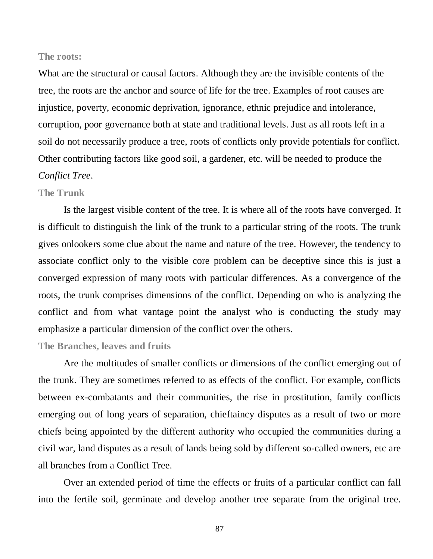#### **The roots:**

What are the structural or causal factors. Although they are the invisible contents of the tree, the roots are the anchor and source of life for the tree. Examples of root causes are injustice, poverty, economic deprivation, ignorance, ethnic prejudice and intolerance, corruption, poor governance both at state and traditional levels. Just as all roots left in a soil do not necessarily produce a tree, roots of conflicts only provide potentials for conflict. Other contributing factors like good soil, a gardener, etc. will be needed to produce the *Conflict Tree*.

#### **The Trunk**

Is the largest visible content of the tree. It is where all of the roots have converged. It is difficult to distinguish the link of the trunk to a particular string of the roots. The trunk gives onlookers some clue about the name and nature of the tree. However, the tendency to associate conflict only to the visible core problem can be deceptive since this is just a converged expression of many roots with particular differences. As a convergence of the roots, the trunk comprises dimensions of the conflict. Depending on who is analyzing the conflict and from what vantage point the analyst who is conducting the study may emphasize a particular dimension of the conflict over the others.

#### **The Branches, leaves and fruits**

Are the multitudes of smaller conflicts or dimensions of the conflict emerging out of the trunk. They are sometimes referred to as effects of the conflict. For example, conflicts between ex-combatants and their communities, the rise in prostitution, family conflicts emerging out of long years of separation, chieftaincy disputes as a result of two or more chiefs being appointed by the different authority who occupied the communities during a civil war, land disputes as a result of lands being sold by different so-called owners, etc are all branches from a Conflict Tree.

Over an extended period of time the effects or fruits of a particular conflict can fall into the fertile soil, germinate and develop another tree separate from the original tree.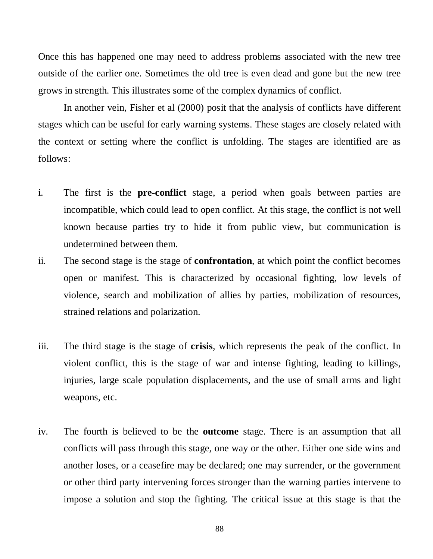Once this has happened one may need to address problems associated with the new tree outside of the earlier one. Sometimes the old tree is even dead and gone but the new tree grows in strength. This illustrates some of the complex dynamics of conflict.

In another vein, Fisher et al (2000) posit that the analysis of conflicts have different stages which can be useful for early warning systems. These stages are closely related with the context or setting where the conflict is unfolding. The stages are identified are as follows:

- i. The first is the **pre-conflict** stage, a period when goals between parties are incompatible, which could lead to open conflict. At this stage, the conflict is not well known because parties try to hide it from public view, but communication is undetermined between them.
- ii. The second stage is the stage of **confrontation**, at which point the conflict becomes open or manifest. This is characterized by occasional fighting, low levels of violence, search and mobilization of allies by parties, mobilization of resources, strained relations and polarization.
- iii. The third stage is the stage of **crisis**, which represents the peak of the conflict. In violent conflict, this is the stage of war and intense fighting, leading to killings, injuries, large scale population displacements, and the use of small arms and light weapons, etc.
- iv. The fourth is believed to be the **outcome** stage. There is an assumption that all conflicts will pass through this stage, one way or the other. Either one side wins and another loses, or a ceasefire may be declared; one may surrender, or the government or other third party intervening forces stronger than the warning parties intervene to impose a solution and stop the fighting. The critical issue at this stage is that the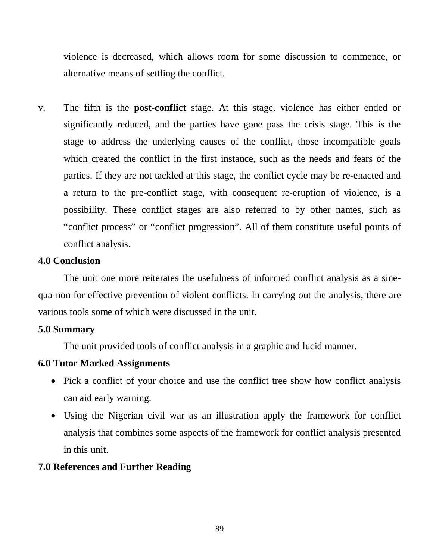violence is decreased, which allows room for some discussion to commence, or alternative means of settling the conflict.

v. The fifth is the **post-conflict** stage. At this stage, violence has either ended or significantly reduced, and the parties have gone pass the crisis stage. This is the stage to address the underlying causes of the conflict, those incompatible goals which created the conflict in the first instance, such as the needs and fears of the parties. If they are not tackled at this stage, the conflict cycle may be re-enacted and a return to the pre-conflict stage, with consequent re-eruption of violence, is a possibility. These conflict stages are also referred to by other names, such as "conflict process" or "conflict progression". All of them constitute useful points of conflict analysis.

# **4.0 Conclusion**

The unit one more reiterates the usefulness of informed conflict analysis as a sinequa-non for effective prevention of violent conflicts. In carrying out the analysis, there are various tools some of which were discussed in the unit.

## **5.0 Summary**

The unit provided tools of conflict analysis in a graphic and lucid manner.

## **6.0 Tutor Marked Assignments**

- Pick a conflict of your choice and use the conflict tree show how conflict analysis can aid early warning.
- Using the Nigerian civil war as an illustration apply the framework for conflict analysis that combines some aspects of the framework for conflict analysis presented in this unit.

## **7.0 References and Further Reading**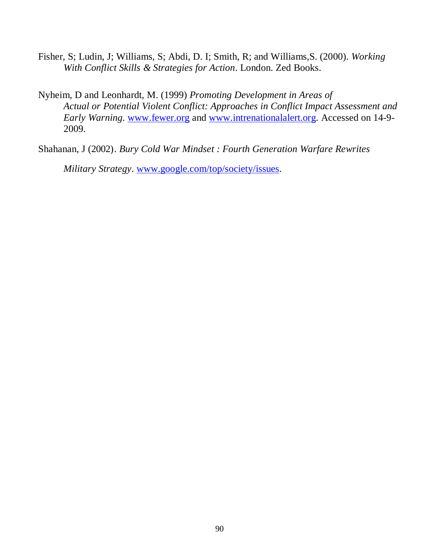- Fisher, S; Ludin, J; Williams, S; Abdi, D. I; Smith, R; and Williams,S. (2000). *Working With Conflict Skills & Strategies for Action*. London. Zed Books.
- Nyheim, D and Leonhardt, M. (1999) *Promoting Development in Areas of Actual or Potential Violent Conflict: Approaches in Conflict Impact Assessment and Early Warning*. [www.fewer.org](http://www.fewer.org/) and [www.intrenationalalert.org.](http://www.intrenationalalert.org/) Accessed on 14-9- 2009.
- Shahanan, J (2002). *Bury Cold War Mindset : Fourth Generation Warfare Rewrites*

*Military Strategy*. [www.google.com/top/society/issues.](http://www.google.com/top/society/issues)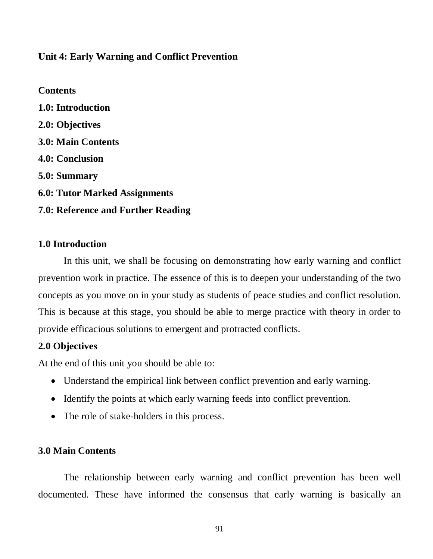## **Unit 4: Early Warning and Conflict Prevention**

**Contents 1.0: Introduction 2.0: Objectives 3.0: Main Contents 4.0: Conclusion 5.0: Summary 6.0: Tutor Marked Assignments 7.0: Reference and Further Reading** 

## **1.0 Introduction**

In this unit, we shall be focusing on demonstrating how early warning and conflict prevention work in practice. The essence of this is to deepen your understanding of the two concepts as you move on in your study as students of peace studies and conflict resolution. This is because at this stage, you should be able to merge practice with theory in order to provide efficacious solutions to emergent and protracted conflicts.

## **2.0 Objectives**

At the end of this unit you should be able to:

- Understand the empirical link between conflict prevention and early warning.
- Identify the points at which early warning feeds into conflict prevention.
- The role of stake-holders in this process.

## **3.0 Main Contents**

The relationship between early warning and conflict prevention has been well documented. These have informed the consensus that early warning is basically an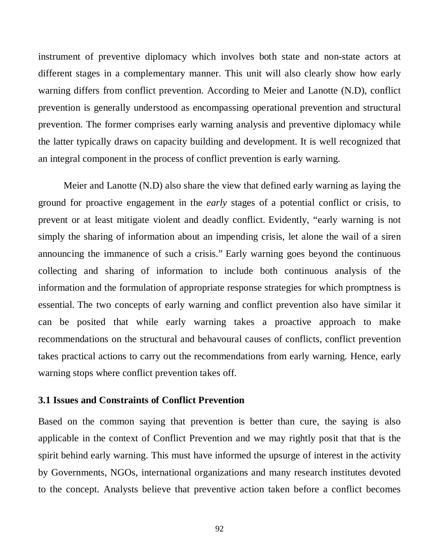instrument of preventive diplomacy which involves both state and non-state actors at different stages in a complementary manner. This unit will also clearly show how early warning differs from conflict prevention. According to Meier and Lanotte (N.D), conflict prevention is generally understood as encompassing operational prevention and structural prevention. The former comprises early warning analysis and preventive diplomacy while the latter typically draws on capacity building and development. It is well recognized that an integral component in the process of conflict prevention is early warning.

Meier and Lanotte (N.D) also share the view that defined early warning as laying the ground for proactive engagement in the *early* stages of a potential conflict or crisis, to prevent or at least mitigate violent and deadly conflict. Evidently, "early warning is not simply the sharing of information about an impending crisis, let alone the wail of a siren announcing the immanence of such a crisis." Early warning goes beyond the continuous collecting and sharing of information to include both continuous analysis of the information and the formulation of appropriate response strategies for which promptness is essential. The two concepts of early warning and conflict prevention also have similar it can be posited that while early warning takes a proactive approach to make recommendations on the structural and behavoural causes of conflicts, conflict prevention takes practical actions to carry out the recommendations from early warning. Hence, early warning stops where conflict prevention takes off.

## **3.1 Issues and Constraints of Conflict Prevention**

Based on the common saying that prevention is better than cure, the saying is also applicable in the context of Conflict Prevention and we may rightly posit that that is the spirit behind early warning. This must have informed the upsurge of interest in the activity by Governments, NGOs, international organizations and many research institutes devoted to the concept. Analysts believe that preventive action taken before a conflict becomes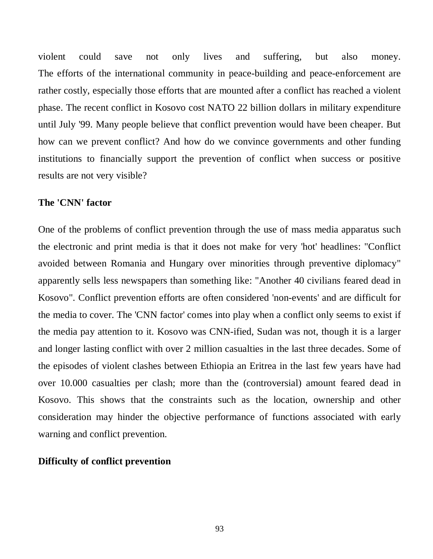violent could save not only lives and suffering, but also money. The efforts of the international community in peace-building and peace-enforcement are rather costly, especially those efforts that are mounted after a conflict has reached a violent phase. The recent conflict in Kosovo cost NATO 22 billion dollars in military expenditure until July '99. Many people believe that conflict prevention would have been cheaper. But how can we prevent conflict? And how do we convince governments and other funding institutions to financially support the prevention of conflict when success or positive results are not very visible?

## **The 'CNN' factor**

One of the problems of conflict prevention through the use of mass media apparatus such the electronic and print media is that it does not make for very 'hot' headlines: "Conflict avoided between Romania and Hungary over minorities through preventive diplomacy" apparently sells less newspapers than something like: "Another 40 civilians feared dead in Kosovo". Conflict prevention efforts are often considered 'non-events' and are difficult for the media to cover. The 'CNN factor' comes into play when a conflict only seems to exist if the media pay attention to it. Kosovo was CNN-ified, Sudan was not, though it is a larger and longer lasting conflict with over 2 million casualties in the last three decades. Some of the episodes of violent clashes between Ethiopia an Eritrea in the last few years have had over 10.000 casualties per clash; more than the (controversial) amount feared dead in Kosovo. This shows that the constraints such as the location, ownership and other consideration may hinder the objective performance of functions associated with early warning and conflict prevention.

#### **Difficulty of conflict prevention**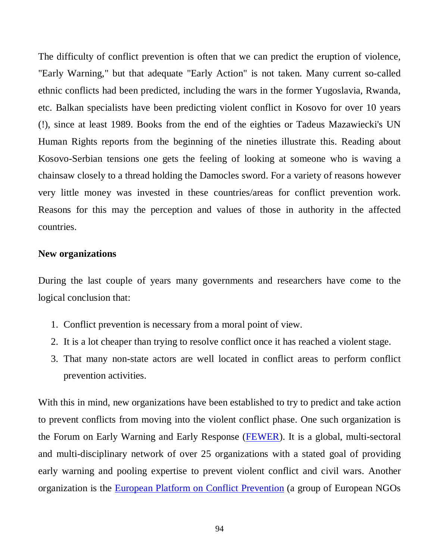The difficulty of conflict prevention is often that we can predict the eruption of violence, "Early Warning," but that adequate "Early Action" is not taken. Many current so-called ethnic conflicts had been predicted, including the wars in the former Yugoslavia, Rwanda, etc. Balkan specialists have been predicting violent conflict in Kosovo for over 10 years (!), since at least 1989. Books from the end of the eighties or Tadeus Mazawiecki's UN Human Rights reports from the beginning of the nineties illustrate this. Reading about Kosovo-Serbian tensions one gets the feeling of looking at someone who is waving a chainsaw closely to a thread holding the Damocles sword. For a variety of reasons however very little money was invested in these countries/areas for conflict prevention work. Reasons for this may the perception and values of those in authority in the affected countries.

#### **New organizations**

During the last couple of years many governments and researchers have come to the logical conclusion that:

- 1. Conflict prevention is necessary from a moral point of view.
- 2. It is a lot cheaper than trying to resolve conflict once it has reached a violent stage.
- 3. That many non-state actors are well located in conflict areas to perform conflict prevention activities.

With this in mind, new organizations have been established to try to predict and take action to prevent conflicts from moving into the violent conflict phase. One such organization is the Forum on Early Warning and Early Response [\(FEWER\)](http://www.fewer.org/). It is a global, multi-sectoral and multi-disciplinary network of over 25 organizations with a stated goal of providing early warning and pooling expertise to prevent violent conflict and civil wars. Another organization is the **European Platform on Conflict Prevention** (a group of European NGOs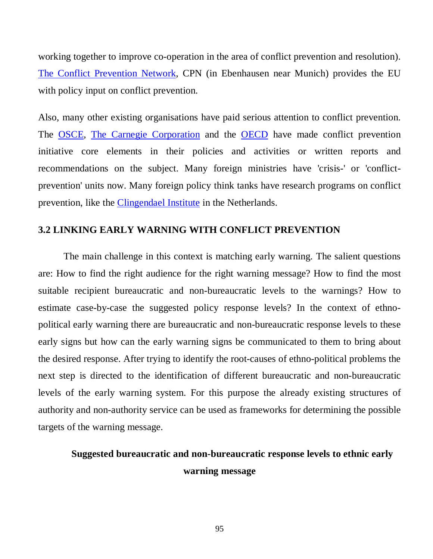working together to improve co-operation in the area of conflict prevention and resolution). [The Conflict Prevention Network,](http://www.lrz-muenchen.de/%7Ecpn/) CPN (in Ebenhausen near Munich) provides the EU with policy input on conflict prevention.

Also, many other existing organisations have paid serious attention to conflict prevention. The [OSCE,](http://www.osce.org/hcnm/index.htm) [The Carnegie Corporation](http://www.carnegie.org/) and the [OECD](http://www.oecd.org/dac/htm/pubsfoc.htm#Conflict) have made conflict prevention initiative core elements in their policies and activities or written reports and recommendations on the subject. Many foreign ministries have 'crisis-' or 'conflictprevention' units now. Many foreign policy think tanks have research programs on conflict prevention, like the [Clingendael Institute](http://www.clingendael.nl/) in the Netherlands.

## **3.2 LINKING EARLY WARNING WITH CONFLICT PREVENTION**

The main challenge in this context is matching early warning. The salient questions are: How to find the right audience for the right warning message? How to find the most suitable recipient bureaucratic and non-bureaucratic levels to the warnings? How to estimate case-by-case the suggested policy response levels? In the context of ethnopolitical early warning there are bureaucratic and non-bureaucratic response levels to these early signs but how can the early warning signs be communicated to them to bring about the desired response. After trying to identify the root-causes of ethno-political problems the next step is directed to the identification of different bureaucratic and non-bureaucratic levels of the early warning system. For this purpose the already existing structures of authority and non-authority service can be used as frameworks for determining the possible targets of the warning message.

# **Suggested bureaucratic and non-bureaucratic response levels to ethnic early warning message**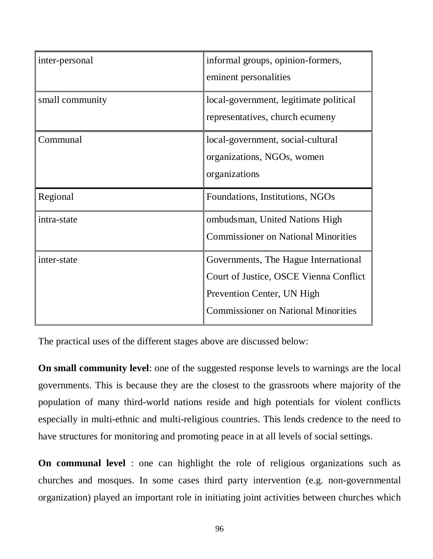| inter-personal  | informal groups, opinion-formers,<br>eminent personalities                                                                                                 |
|-----------------|------------------------------------------------------------------------------------------------------------------------------------------------------------|
| small community | local-government, legitimate political<br>representatives, church ecumeny                                                                                  |
| Communal        | local-government, social-cultural<br>organizations, NGOs, women<br>organizations                                                                           |
| Regional        | Foundations, Institutions, NGOs                                                                                                                            |
| intra-state     | ombudsman, United Nations High<br><b>Commissioner on National Minorities</b>                                                                               |
| inter-state     | Governments, The Hague International<br>Court of Justice, OSCE Vienna Conflict<br>Prevention Center, UN High<br><b>Commissioner on National Minorities</b> |

The practical uses of the different stages above are discussed below:

**On small community level**: one of the suggested response levels to warnings are the local governments. This is because they are the closest to the grassroots where majority of the population of many third-world nations reside and high potentials for violent conflicts especially in multi-ethnic and multi-religious countries. This lends credence to the need to have structures for monitoring and promoting peace in at all levels of social settings.

**On communal level** : one can highlight the role of religious organizations such as churches and mosques. In some cases third party intervention (e.g. non-governmental organization) played an important role in initiating joint activities between churches which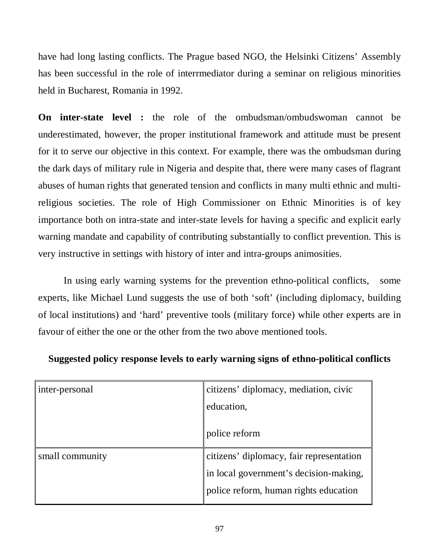have had long lasting conflicts. The Prague based NGO, the Helsinki Citizens' Assembly has been successful in the role of interrmediator during a seminar on religious minorities held in Bucharest, Romania in 1992.

**On inter-state level :** the role of the ombudsman/ombudswoman cannot be underestimated, however, the proper institutional framework and attitude must be present for it to serve our objective in this context. For example, there was the ombudsman during the dark days of military rule in Nigeria and despite that, there were many cases of flagrant abuses of human rights that generated tension and conflicts in many multi ethnic and multireligious societies. The role of High Commissioner on Ethnic Minorities is of key importance both on intra-state and inter-state levels for having a specific and explicit early warning mandate and capability of contributing substantially to conflict prevention. This is very instructive in settings with history of inter and intra-groups animosities.

In using early warning systems for the prevention ethno-political conflicts, some experts, like Michael Lund suggests the use of both 'soft' (including diplomacy, building of local institutions) and 'hard' preventive tools (military force) while other experts are in favour of either the one or the other from the two above mentioned tools.

| citizens' diplomacy, mediation, civic    |
|------------------------------------------|
| education,                               |
| police reform                            |
| citizens' diplomacy, fair representation |
| in local government's decision-making,   |
| police reform, human rights education    |
|                                          |

## **Suggested policy response levels to early warning signs of ethno-political conflicts**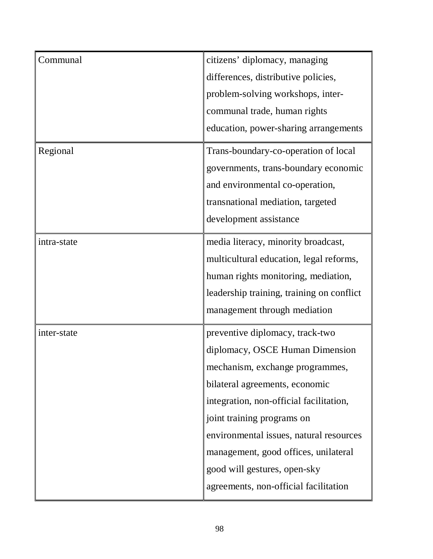| Communal    | citizens' diplomacy, managing             |
|-------------|-------------------------------------------|
|             | differences, distributive policies,       |
|             | problem-solving workshops, inter-         |
|             | communal trade, human rights              |
|             | education, power-sharing arrangements     |
| Regional    | Trans-boundary-co-operation of local      |
|             | governments, trans-boundary economic      |
|             | and environmental co-operation,           |
|             | transnational mediation, targeted         |
|             | development assistance                    |
| intra-state | media literacy, minority broadcast,       |
|             | multicultural education, legal reforms,   |
|             | human rights monitoring, mediation,       |
|             | leadership training, training on conflict |
|             | management through mediation              |
| inter-state | preventive diplomacy, track-two           |
|             | diplomacy, OSCE Human Dimension           |
|             | mechanism, exchange programmes,           |
|             | bilateral agreements, economic            |
|             | integration, non-official facilitation,   |
|             | joint training programs on                |
|             | environmental issues, natural resources   |
|             | management, good offices, unilateral      |
|             | good will gestures, open-sky              |
|             | agreements, non-official facilitation     |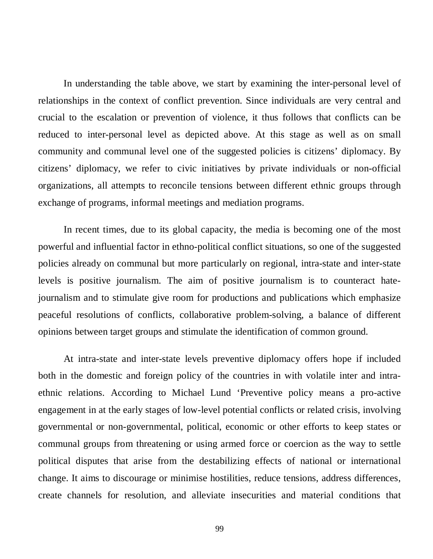In understanding the table above, we start by examining the inter-personal level of relationships in the context of conflict prevention. Since individuals are very central and crucial to the escalation or prevention of violence, it thus follows that conflicts can be reduced to inter-personal level as depicted above. At this stage as well as on small community and communal level one of the suggested policies is citizens' diplomacy. By citizens' diplomacy, we refer to civic initiatives by private individuals or non-official organizations, all attempts to reconcile tensions between different ethnic groups through exchange of programs, informal meetings and mediation programs.

In recent times, due to its global capacity, the media is becoming one of the most powerful and influential factor in ethno-political conflict situations, so one of the suggested policies already on communal but more particularly on regional, intra-state and inter-state levels is positive journalism. The aim of positive journalism is to counteract hatejournalism and to stimulate give room for productions and publications which emphasize peaceful resolutions of conflicts, collaborative problem-solving, a balance of different opinions between target groups and stimulate the identification of common ground.

At intra-state and inter-state levels preventive diplomacy offers hope if included both in the domestic and foreign policy of the countries in with volatile inter and intraethnic relations. According to Michael Lund 'Preventive policy means a pro-active engagement in at the early stages of low-level potential conflicts or related crisis, involving governmental or non-governmental, political, economic or other efforts to keep states or communal groups from threatening or using armed force or coercion as the way to settle political disputes that arise from the destabilizing effects of national or international change. It aims to discourage or minimise hostilities, reduce tensions, address differences, create channels for resolution, and alleviate insecurities and material conditions that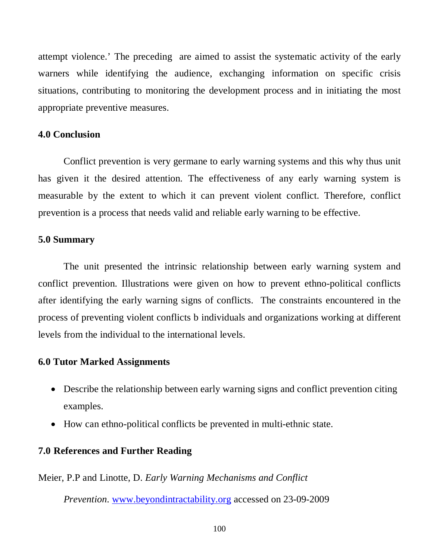attempt violence.' The preceding are aimed to assist the systematic activity of the early warners while identifying the audience, exchanging information on specific crisis situations, contributing to monitoring the development process and in initiating the most appropriate preventive measures.

## **4.0 Conclusion**

Conflict prevention is very germane to early warning systems and this why thus unit has given it the desired attention. The effectiveness of any early warning system is measurable by the extent to which it can prevent violent conflict. Therefore, conflict prevention is a process that needs valid and reliable early warning to be effective.

#### **5.0 Summary**

The unit presented the intrinsic relationship between early warning system and conflict prevention. Illustrations were given on how to prevent ethno-political conflicts after identifying the early warning signs of conflicts. The constraints encountered in the process of preventing violent conflicts b individuals and organizations working at different levels from the individual to the international levels.

## **6.0 Tutor Marked Assignments**

- Describe the relationship between early warning signs and conflict prevention citing examples.
- How can ethno-political conflicts be prevented in multi-ethnic state.

## **7.0 References and Further Reading**

Meier, P.P and Linotte, D. *Early Warning Mechanisms and Conflict* 

*Prevention*. [www.beyondintractability.org](http://www.beyondintractability.org/) accessed on 23-09-2009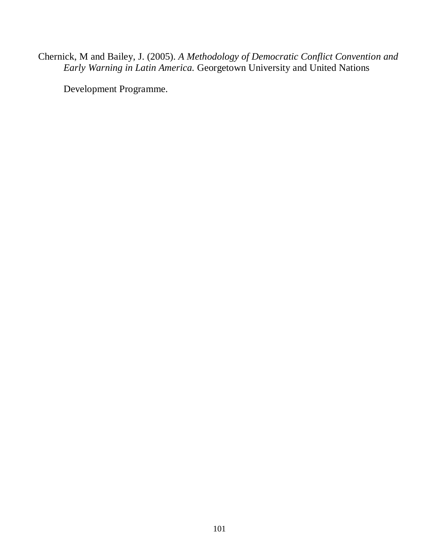Chernick, M and Bailey, J. (2005). *A Methodology of Democratic Conflict Convention and Early Warning in Latin America.* Georgetown University and United Nations

Development Programme.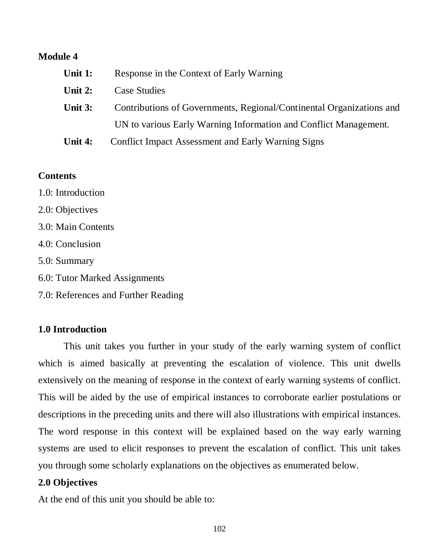# **Module 4**

| Unit 1:   | Response in the Context of Early Warning                             |
|-----------|----------------------------------------------------------------------|
| Unit 2:   | Case Studies                                                         |
| Unit $3:$ | Contributions of Governments, Regional/Continental Organizations and |
|           | UN to various Early Warning Information and Conflict Management.     |
| Unit 4:   | <b>Conflict Impact Assessment and Early Warning Signs</b>            |

## **Contents**

- 1.0: Introduction 2.0: Objectives
- 3.0: Main Contents
- 4.0: Conclusion
- 5.0: Summary
- 6.0: Tutor Marked Assignments
- 7.0: References and Further Reading

# **1.0 Introduction**

This unit takes you further in your study of the early warning system of conflict which is aimed basically at preventing the escalation of violence. This unit dwells extensively on the meaning of response in the context of early warning systems of conflict. This will be aided by the use of empirical instances to corroborate earlier postulations or descriptions in the preceding units and there will also illustrations with empirical instances. The word response in this context will be explained based on the way early warning systems are used to elicit responses to prevent the escalation of conflict. This unit takes you through some scholarly explanations on the objectives as enumerated below.

## **2.0 Objectives**

At the end of this unit you should be able to: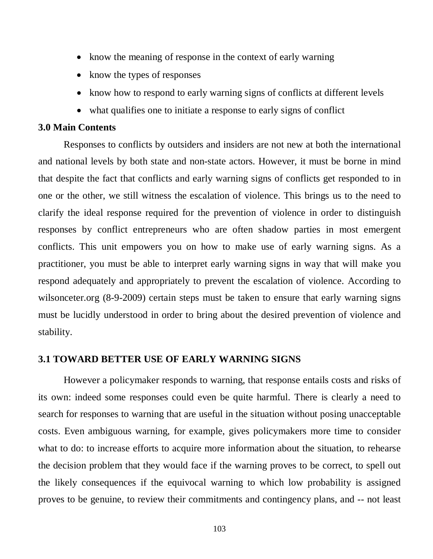- know the meaning of response in the context of early warning
- know the types of responses
- know how to respond to early warning signs of conflicts at different levels
- what qualifies one to initiate a response to early signs of conflict

#### **3.0 Main Contents**

Responses to conflicts by outsiders and insiders are not new at both the international and national levels by both state and non-state actors. However, it must be borne in mind that despite the fact that conflicts and early warning signs of conflicts get responded to in one or the other, we still witness the escalation of violence. This brings us to the need to clarify the ideal response required for the prevention of violence in order to distinguish responses by conflict entrepreneurs who are often shadow parties in most emergent conflicts. This unit empowers you on how to make use of early warning signs. As a practitioner, you must be able to interpret early warning signs in way that will make you respond adequately and appropriately to prevent the escalation of violence. According to wilsonceter.org (8-9-2009) certain steps must be taken to ensure that early warning signs must be lucidly understood in order to bring about the desired prevention of violence and stability.

## **3.1 TOWARD BETTER USE OF EARLY WARNING SIGNS**

However a policymaker responds to warning, that response entails costs and risks of its own: indeed some responses could even be quite harmful. There is clearly a need to search for responses to warning that are useful in the situation without posing unacceptable costs. Even ambiguous warning, for example, gives policymakers more time to consider what to do: to increase efforts to acquire more information about the situation, to rehearse the decision problem that they would face if the warning proves to be correct, to spell out the likely consequences if the equivocal warning to which low probability is assigned proves to be genuine, to review their commitments and contingency plans, and -- not least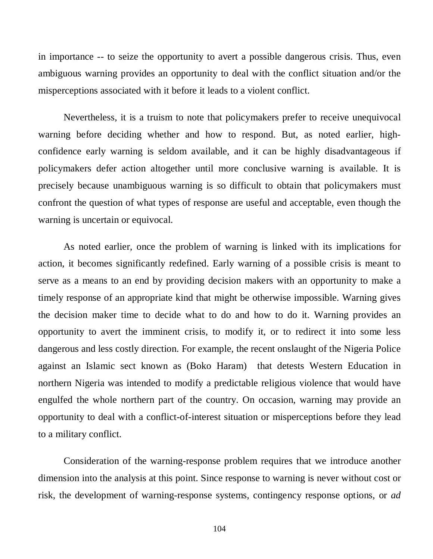in importance -- to seize the opportunity to avert a possible dangerous crisis. Thus, even ambiguous warning provides an opportunity to deal with the conflict situation and/or the misperceptions associated with it before it leads to a violent conflict.

Nevertheless, it is a truism to note that policymakers prefer to receive unequivocal warning before deciding whether and how to respond. But, as noted earlier, highconfidence early warning is seldom available, and it can be highly disadvantageous if policymakers defer action altogether until more conclusive warning is available. It is precisely because unambiguous warning is so difficult to obtain that policymakers must confront the question of what types of response are useful and acceptable, even though the warning is uncertain or equivocal.

As noted earlier, once the problem of warning is linked with its implications for action, it becomes significantly redefined. Early warning of a possible crisis is meant to serve as a means to an end by providing decision makers with an opportunity to make a timely response of an appropriate kind that might be otherwise impossible. Warning gives the decision maker time to decide what to do and how to do it. Warning provides an opportunity to avert the imminent crisis, to modify it, or to redirect it into some less dangerous and less costly direction. For example, the recent onslaught of the Nigeria Police against an Islamic sect known as (Boko Haram) that detests Western Education in northern Nigeria was intended to modify a predictable religious violence that would have engulfed the whole northern part of the country. On occasion, warning may provide an opportunity to deal with a conflict-of-interest situation or misperceptions before they lead to a military conflict.

Consideration of the warning-response problem requires that we introduce another dimension into the analysis at this point. Since response to warning is never without cost or risk, the development of warning-response systems, contingency response options, or *ad*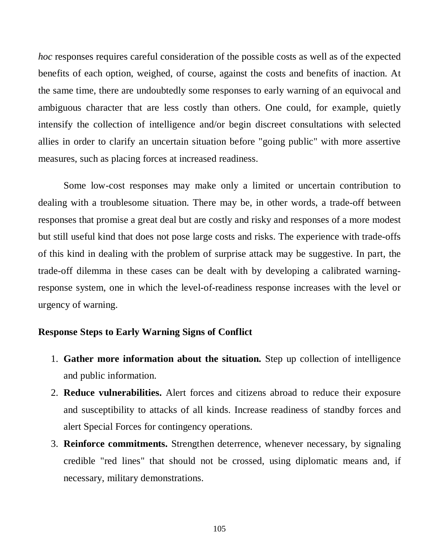*hoc* responses requires careful consideration of the possible costs as well as of the expected benefits of each option, weighed, of course, against the costs and benefits of inaction. At the same time, there are undoubtedly some responses to early warning of an equivocal and ambiguous character that are less costly than others. One could, for example, quietly intensify the collection of intelligence and/or begin discreet consultations with selected allies in order to clarify an uncertain situation before "going public" with more assertive measures, such as placing forces at increased readiness.

Some low-cost responses may make only a limited or uncertain contribution to dealing with a troublesome situation. There may be, in other words, a trade-off between responses that promise a great deal but are costly and risky and responses of a more modest but still useful kind that does not pose large costs and risks. The experience with trade-offs of this kind in dealing with the problem of surprise attack may be suggestive. In part, the trade-off dilemma in these cases can be dealt with by developing a calibrated warningresponse system, one in which the level-of-readiness response increases with the level or urgency of warning.

#### **Response Steps to Early Warning Signs of Conflict**

- 1. **Gather more information about the situation.** Step up collection of intelligence and public information.
- 2. **Reduce vulnerabilities.** Alert forces and citizens abroad to reduce their exposure and susceptibility to attacks of all kinds. Increase readiness of standby forces and alert Special Forces for contingency operations.
- 3. **Reinforce commitments.** Strengthen deterrence, whenever necessary, by signaling credible "red lines" that should not be crossed, using diplomatic means and, if necessary, military demonstrations.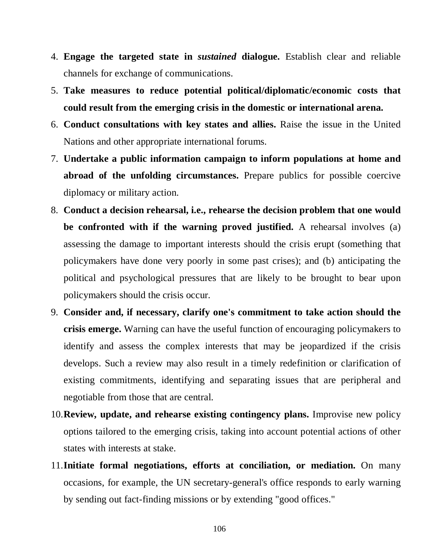- 4. **Engage the targeted state in** *sustained* **dialogue.** Establish clear and reliable channels for exchange of communications.
- 5. **Take measures to reduce potential political/diplomatic/economic costs that could result from the emerging crisis in the domestic or international arena.**
- 6. **Conduct consultations with key states and allies.** Raise the issue in the United Nations and other appropriate international forums.
- 7. **Undertake a public information campaign to inform populations at home and abroad of the unfolding circumstances.** Prepare publics for possible coercive diplomacy or military action.
- 8. **Conduct a decision rehearsal, i.e., rehearse the decision problem that one would be confronted with if the warning proved justified.** A rehearsal involves (a) assessing the damage to important interests should the crisis erupt (something that policymakers have done very poorly in some past crises); and (b) anticipating the political and psychological pressures that are likely to be brought to bear upon policymakers should the crisis occur.
- 9. **Consider and, if necessary, clarify one's commitment to take action should the crisis emerge.** Warning can have the useful function of encouraging policymakers to identify and assess the complex interests that may be jeopardized if the crisis develops. Such a review may also result in a timely redefinition or clarification of existing commitments, identifying and separating issues that are peripheral and negotiable from those that are central.
- 10.**Review, update, and rehearse existing contingency plans.** Improvise new policy options tailored to the emerging crisis, taking into account potential actions of other states with interests at stake.
- 11.**Initiate formal negotiations, efforts at conciliation, or mediation.** On many occasions, for example, the UN secretary-general's office responds to early warning by sending out fact-finding missions or by extending "good offices."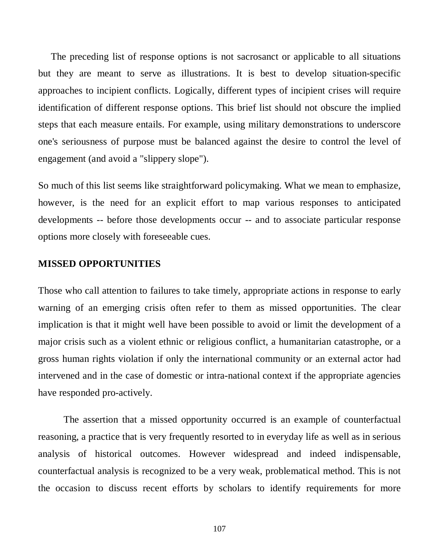The preceding list of response options is not sacrosanct or applicable to all situations but they are meant to serve as illustrations. It is best to develop situation-specific approaches to incipient conflicts. Logically, different types of incipient crises will require identification of different response options. This brief list should not obscure the implied steps that each measure entails. For example, using military demonstrations to underscore one's seriousness of purpose must be balanced against the desire to control the level of engagement (and avoid a "slippery slope").

So much of this list seems like straightforward policymaking. What we mean to emphasize, however, is the need for an explicit effort to map various responses to anticipated developments -- before those developments occur -- and to associate particular response options more closely with foreseeable cues.

#### **MISSED OPPORTUNITIES**

Those who call attention to failures to take timely, appropriate actions in response to early warning of an emerging crisis often refer to them as missed opportunities. The clear implication is that it might well have been possible to avoid or limit the development of a major crisis such as a violent ethnic or religious conflict, a humanitarian catastrophe, or a gross human rights violation if only the international community or an external actor had intervened and in the case of domestic or intra-national context if the appropriate agencies have responded pro-actively.

The assertion that a missed opportunity occurred is an example of counterfactual reasoning, a practice that is very frequently resorted to in everyday life as well as in serious analysis of historical outcomes. However widespread and indeed indispensable, counterfactual analysis is recognized to be a very weak, problematical method. This is not the occasion to discuss recent efforts by scholars to identify requirements for more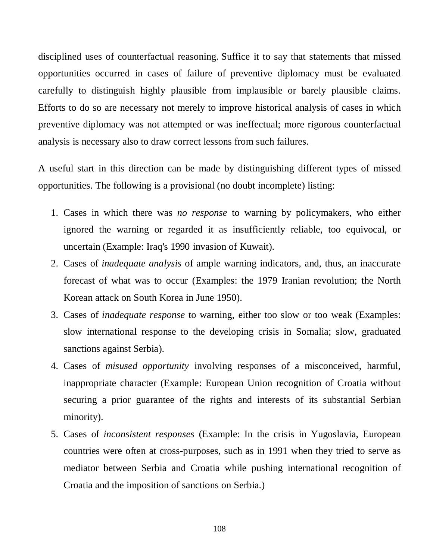disciplined uses of counterfactual reasoning. Suffice it to say that statements that missed opportunities occurred in cases of failure of preventive diplomacy must be evaluated carefully to distinguish highly plausible from implausible or barely plausible claims. Efforts to do so are necessary not merely to improve historical analysis of cases in which preventive diplomacy was not attempted or was ineffectual; more rigorous counterfactual analysis is necessary also to draw correct lessons from such failures.

A useful start in this direction can be made by distinguishing different types of missed opportunities. The following is a provisional (no doubt incomplete) listing:

- 1. Cases in which there was *no response* to warning by policymakers, who either ignored the warning or regarded it as insufficiently reliable, too equivocal, or uncertain (Example: Iraq's 1990 invasion of Kuwait).
- 2. Cases of *inadequate analysis* of ample warning indicators, and, thus, an inaccurate forecast of what was to occur (Examples: the 1979 Iranian revolution; the North Korean attack on South Korea in June 1950).
- 3. Cases of *inadequate response* to warning, either too slow or too weak (Examples: slow international response to the developing crisis in Somalia; slow, graduated sanctions against Serbia).
- 4. Cases of *misused opportunity* involving responses of a misconceived, harmful, inappropriate character (Example: European Union recognition of Croatia without securing a prior guarantee of the rights and interests of its substantial Serbian minority).
- 5. Cases of *inconsistent responses* (Example: In the crisis in Yugoslavia, European countries were often at cross-purposes, such as in 1991 when they tried to serve as mediator between Serbia and Croatia while pushing international recognition of Croatia and the imposition of sanctions on Serbia.)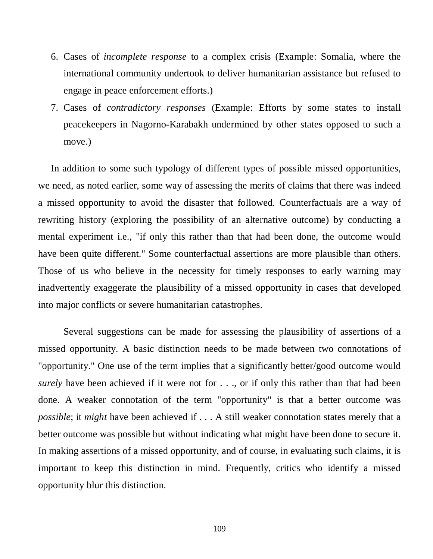- 6. Cases of *incomplete response* to a complex crisis (Example: Somalia, where the international community undertook to deliver humanitarian assistance but refused to engage in peace enforcement efforts.)
- 7. Cases of *contradictory responses* (Example: Efforts by some states to install peacekeepers in Nagorno-Karabakh undermined by other states opposed to such a move.)

In addition to some such typology of different types of possible missed opportunities, we need, as noted earlier, some way of assessing the merits of claims that there was indeed a missed opportunity to avoid the disaster that followed. Counterfactuals are a way of rewriting history (exploring the possibility of an alternative outcome) by conducting a mental experiment i.e., "if only this rather than that had been done, the outcome would have been quite different." Some counterfactual assertions are more plausible than others. Those of us who believe in the necessity for timely responses to early warning may inadvertently exaggerate the plausibility of a missed opportunity in cases that developed into major conflicts or severe humanitarian catastrophes.

Several suggestions can be made for assessing the plausibility of assertions of a missed opportunity. A basic distinction needs to be made between two connotations of "opportunity." One use of the term implies that a significantly better/good outcome would *surely* have been achieved if it were not for . . ., or if only this rather than that had been done. A weaker connotation of the term "opportunity" is that a better outcome was *possible*; it *might* have been achieved if . . . A still weaker connotation states merely that a better outcome was possible but without indicating what might have been done to secure it. In making assertions of a missed opportunity, and of course, in evaluating such claims, it is important to keep this distinction in mind. Frequently, critics who identify a missed opportunity blur this distinction.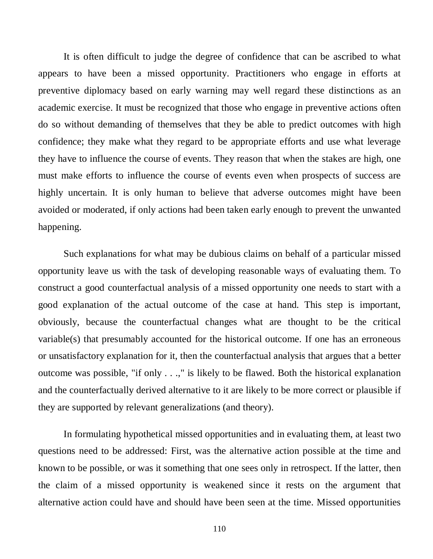It is often difficult to judge the degree of confidence that can be ascribed to what appears to have been a missed opportunity. Practitioners who engage in efforts at preventive diplomacy based on early warning may well regard these distinctions as an academic exercise. It must be recognized that those who engage in preventive actions often do so without demanding of themselves that they be able to predict outcomes with high confidence; they make what they regard to be appropriate efforts and use what leverage they have to influence the course of events. They reason that when the stakes are high, one must make efforts to influence the course of events even when prospects of success are highly uncertain. It is only human to believe that adverse outcomes might have been avoided or moderated, if only actions had been taken early enough to prevent the unwanted happening.

Such explanations for what may be dubious claims on behalf of a particular missed opportunity leave us with the task of developing reasonable ways of evaluating them. To construct a good counterfactual analysis of a missed opportunity one needs to start with a good explanation of the actual outcome of the case at hand. This step is important, obviously, because the counterfactual changes what are thought to be the critical variable(s) that presumably accounted for the historical outcome. If one has an erroneous or unsatisfactory explanation for it, then the counterfactual analysis that argues that a better outcome was possible, "if only . . .," is likely to be flawed. Both the historical explanation and the counterfactually derived alternative to it are likely to be more correct or plausible if they are supported by relevant generalizations (and theory).

In formulating hypothetical missed opportunities and in evaluating them, at least two questions need to be addressed: First, was the alternative action possible at the time and known to be possible, or was it something that one sees only in retrospect. If the latter, then the claim of a missed opportunity is weakened since it rests on the argument that alternative action could have and should have been seen at the time. Missed opportunities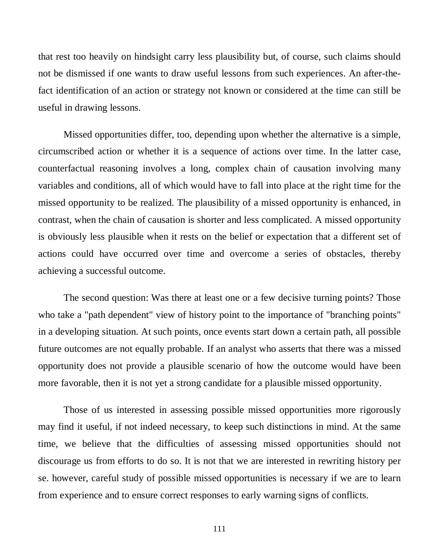that rest too heavily on hindsight carry less plausibility but, of course, such claims should not be dismissed if one wants to draw useful lessons from such experiences. An after-thefact identification of an action or strategy not known or considered at the time can still be useful in drawing lessons.

Missed opportunities differ, too, depending upon whether the alternative is a simple, circumscribed action or whether it is a sequence of actions over time. In the latter case, counterfactual reasoning involves a long, complex chain of causation involving many variables and conditions, all of which would have to fall into place at the right time for the missed opportunity to be realized. The plausibility of a missed opportunity is enhanced, in contrast, when the chain of causation is shorter and less complicated. A missed opportunity is obviously less plausible when it rests on the belief or expectation that a different set of actions could have occurred over time and overcome a series of obstacles, thereby achieving a successful outcome.

The second question: Was there at least one or a few decisive turning points? Those who take a "path dependent" view of history point to the importance of "branching points" in a developing situation. At such points, once events start down a certain path, all possible future outcomes are not equally probable. If an analyst who asserts that there was a missed opportunity does not provide a plausible scenario of how the outcome would have been more favorable, then it is not yet a strong candidate for a plausible missed opportunity.

Those of us interested in assessing possible missed opportunities more rigorously may find it useful, if not indeed necessary, to keep such distinctions in mind. At the same time, we believe that the difficulties of assessing missed opportunities should not discourage us from efforts to do so. It is not that we are interested in rewriting history per se. however, careful study of possible missed opportunities is necessary if we are to learn from experience and to ensure correct responses to early warning signs of conflicts.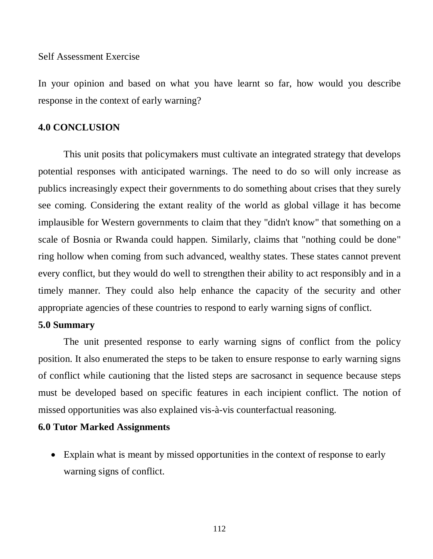Self Assessment Exercise

In your opinion and based on what you have learnt so far, how would you describe response in the context of early warning?

## **4.0 CONCLUSION**

This unit posits that policymakers must cultivate an integrated strategy that develops potential responses with anticipated warnings. The need to do so will only increase as publics increasingly expect their governments to do something about crises that they surely see coming. Considering the extant reality of the world as global village it has become implausible for Western governments to claim that they "didn't know" that something on a scale of Bosnia or Rwanda could happen. Similarly, claims that "nothing could be done" ring hollow when coming from such advanced, wealthy states. These states cannot prevent every conflict, but they would do well to strengthen their ability to act responsibly and in a timely manner. They could also help enhance the capacity of the security and other appropriate agencies of these countries to respond to early warning signs of conflict.

## **5.0 Summary**

The unit presented response to early warning signs of conflict from the policy position. It also enumerated the steps to be taken to ensure response to early warning signs of conflict while cautioning that the listed steps are sacrosanct in sequence because steps must be developed based on specific features in each incipient conflict. The notion of missed opportunities was also explained vis-à-vis counterfactual reasoning.

### **6.0 Tutor Marked Assignments**

• Explain what is meant by missed opportunities in the context of response to early warning signs of conflict.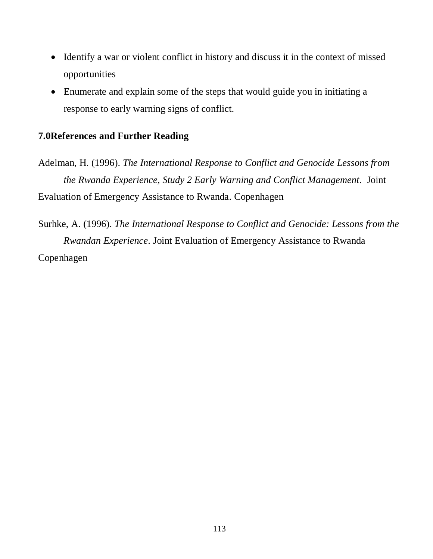- Identify a war or violent conflict in history and discuss it in the context of missed opportunities
- Enumerate and explain some of the steps that would guide you in initiating a response to early warning signs of conflict.

## **7.0References and Further Reading**

Adelman, H. (1996). *The International Response to Conflict and Genocide Lessons from the Rwanda Experience, Study 2 Early Warning and Conflict Management*. Joint Evaluation of Emergency Assistance to Rwanda. Copenhagen

Surhke, A. (1996). *The International Response to Conflict and Genocide: Lessons from the Rwandan Experience*. Joint Evaluation of Emergency Assistance to Rwanda Copenhagen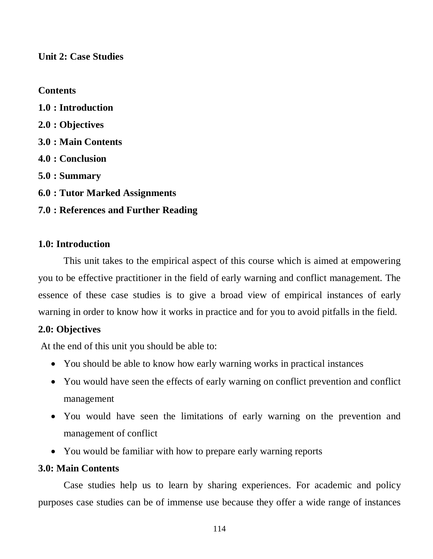**Unit 2: Case Studies**

# **Contents**

**1.0 : Introduction 2.0 : Objectives 3.0 : Main Contents 4.0 : Conclusion 5.0 : Summary 6.0 : Tutor Marked Assignments 7.0 : References and Further Reading** 

# **1.0: Introduction**

This unit takes to the empirical aspect of this course which is aimed at empowering you to be effective practitioner in the field of early warning and conflict management. The essence of these case studies is to give a broad view of empirical instances of early warning in order to know how it works in practice and for you to avoid pitfalls in the field.

# **2.0: Objectives**

At the end of this unit you should be able to:

- You should be able to know how early warning works in practical instances
- You would have seen the effects of early warning on conflict prevention and conflict management
- You would have seen the limitations of early warning on the prevention and management of conflict
- You would be familiar with how to prepare early warning reports

# **3.0: Main Contents**

Case studies help us to learn by sharing experiences. For academic and policy purposes case studies can be of immense use because they offer a wide range of instances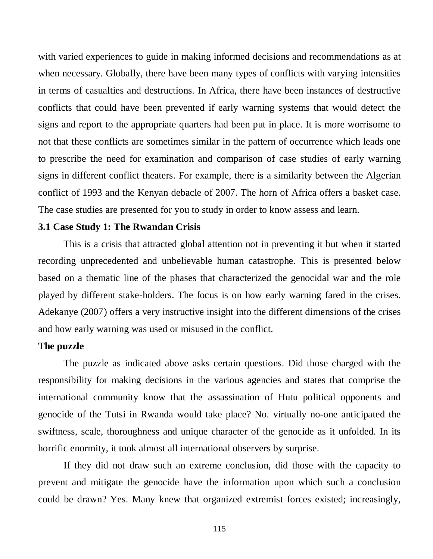with varied experiences to guide in making informed decisions and recommendations as at when necessary. Globally, there have been many types of conflicts with varying intensities in terms of casualties and destructions. In Africa, there have been instances of destructive conflicts that could have been prevented if early warning systems that would detect the signs and report to the appropriate quarters had been put in place. It is more worrisome to not that these conflicts are sometimes similar in the pattern of occurrence which leads one to prescribe the need for examination and comparison of case studies of early warning signs in different conflict theaters. For example, there is a similarity between the Algerian conflict of 1993 and the Kenyan debacle of 2007. The horn of Africa offers a basket case. The case studies are presented for you to study in order to know assess and learn.

# **3.1 Case Study 1: The Rwandan Crisis**

This is a crisis that attracted global attention not in preventing it but when it started recording unprecedented and unbelievable human catastrophe. This is presented below based on a thematic line of the phases that characterized the genocidal war and the role played by different stake-holders. The focus is on how early warning fared in the crises. Adekanye (2007) offers a very instructive insight into the different dimensions of the crises and how early warning was used or misused in the conflict.

### **The puzzle**

The puzzle as indicated above asks certain questions. Did those charged with the responsibility for making decisions in the various agencies and states that comprise the international community know that the assassination of Hutu political opponents and genocide of the Tutsi in Rwanda would take place? No. virtually no-one anticipated the swiftness, scale, thoroughness and unique character of the genocide as it unfolded. In its horrific enormity, it took almost all international observers by surprise.

If they did not draw such an extreme conclusion, did those with the capacity to prevent and mitigate the genocide have the information upon which such a conclusion could be drawn? Yes. Many knew that organized extremist forces existed; increasingly,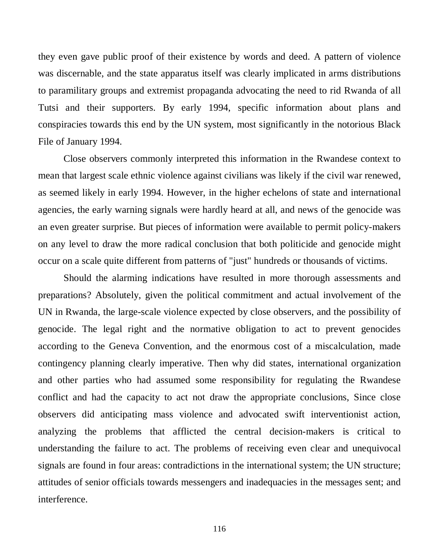they even gave public proof of their existence by words and deed. A pattern of violence was discernable, and the state apparatus itself was clearly implicated in arms distributions to paramilitary groups and extremist propaganda advocating the need to rid Rwanda of all Tutsi and their supporters. By early 1994, specific information about plans and conspiracies towards this end by the UN system, most significantly in the notorious Black File of January 1994.

Close observers commonly interpreted this information in the Rwandese context to mean that largest scale ethnic violence against civilians was likely if the civil war renewed, as seemed likely in early 1994. However, in the higher echelons of state and international agencies, the early warning signals were hardly heard at all, and news of the genocide was an even greater surprise. But pieces of information were available to permit policy-makers on any level to draw the more radical conclusion that both politicide and genocide might occur on a scale quite different from patterns of "just" hundreds or thousands of victims.

Should the alarming indications have resulted in more thorough assessments and preparations? Absolutely, given the political commitment and actual involvement of the UN in Rwanda, the large-scale violence expected by close observers, and the possibility of genocide. The legal right and the normative obligation to act to prevent genocides according to the Geneva Convention, and the enormous cost of a miscalculation, made contingency planning clearly imperative. Then why did states, international organization and other parties who had assumed some responsibility for regulating the Rwandese conflict and had the capacity to act not draw the appropriate conclusions, Since close observers did anticipating mass violence and advocated swift interventionist action, analyzing the problems that afflicted the central decision-makers is critical to understanding the failure to act. The problems of receiving even clear and unequivocal signals are found in four areas: contradictions in the international system; the UN structure; attitudes of senior officials towards messengers and inadequacies in the messages sent; and interference.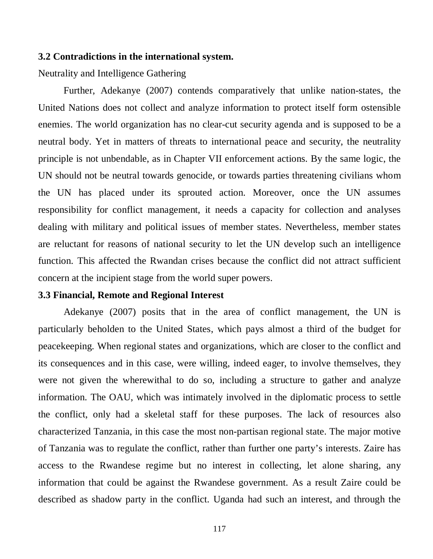### **3.2 Contradictions in the international system.**

Neutrality and Intelligence Gathering

Further, Adekanye (2007) contends comparatively that unlike nation-states, the United Nations does not collect and analyze information to protect itself form ostensible enemies. The world organization has no clear-cut security agenda and is supposed to be a neutral body. Yet in matters of threats to international peace and security, the neutrality principle is not unbendable, as in Chapter VII enforcement actions. By the same logic, the UN should not be neutral towards genocide, or towards parties threatening civilians whom the UN has placed under its sprouted action. Moreover, once the UN assumes responsibility for conflict management, it needs a capacity for collection and analyses dealing with military and political issues of member states. Nevertheless, member states are reluctant for reasons of national security to let the UN develop such an intelligence function. This affected the Rwandan crises because the conflict did not attract sufficient concern at the incipient stage from the world super powers.

## **3.3 Financial, Remote and Regional Interest**

Adekanye (2007) posits that in the area of conflict management, the UN is particularly beholden to the United States, which pays almost a third of the budget for peacekeeping. When regional states and organizations, which are closer to the conflict and its consequences and in this case, were willing, indeed eager, to involve themselves, they were not given the wherewithal to do so, including a structure to gather and analyze information. The OAU, which was intimately involved in the diplomatic process to settle the conflict, only had a skeletal staff for these purposes. The lack of resources also characterized Tanzania, in this case the most non-partisan regional state. The major motive of Tanzania was to regulate the conflict, rather than further one party's interests. Zaire has access to the Rwandese regime but no interest in collecting, let alone sharing, any information that could be against the Rwandese government. As a result Zaire could be described as shadow party in the conflict. Uganda had such an interest, and through the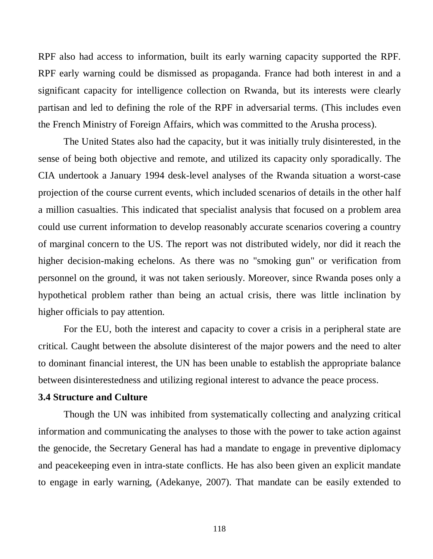RPF also had access to information, built its early warning capacity supported the RPF. RPF early warning could be dismissed as propaganda. France had both interest in and a significant capacity for intelligence collection on Rwanda, but its interests were clearly partisan and led to defining the role of the RPF in adversarial terms. (This includes even the French Ministry of Foreign Affairs, which was committed to the Arusha process).

The United States also had the capacity, but it was initially truly disinterested, in the sense of being both objective and remote, and utilized its capacity only sporadically. The CIA undertook a January 1994 desk-level analyses of the Rwanda situation a worst-case projection of the course current events, which included scenarios of details in the other half a million casualties. This indicated that specialist analysis that focused on a problem area could use current information to develop reasonably accurate scenarios covering a country of marginal concern to the US. The report was not distributed widely, nor did it reach the higher decision-making echelons. As there was no "smoking gun" or verification from personnel on the ground, it was not taken seriously. Moreover, since Rwanda poses only a hypothetical problem rather than being an actual crisis, there was little inclination by higher officials to pay attention.

For the EU, both the interest and capacity to cover a crisis in a peripheral state are critical. Caught between the absolute disinterest of the major powers and the need to alter to dominant financial interest, the UN has been unable to establish the appropriate balance between disinterestedness and utilizing regional interest to advance the peace process.

## **3.4 Structure and Culture**

Though the UN was inhibited from systematically collecting and analyzing critical information and communicating the analyses to those with the power to take action against the genocide, the Secretary General has had a mandate to engage in preventive diplomacy and peacekeeping even in intra-state conflicts. He has also been given an explicit mandate to engage in early warning, (Adekanye, 2007). That mandate can be easily extended to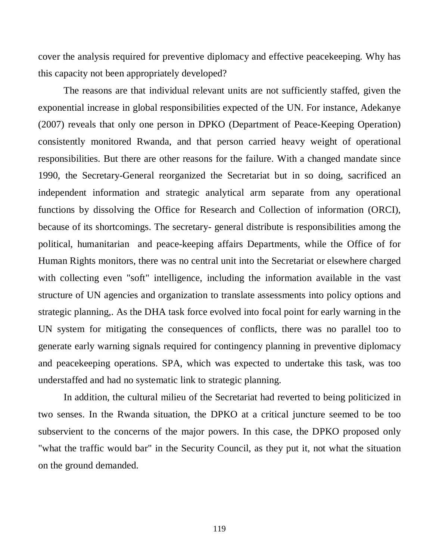cover the analysis required for preventive diplomacy and effective peacekeeping. Why has this capacity not been appropriately developed?

The reasons are that individual relevant units are not sufficiently staffed, given the exponential increase in global responsibilities expected of the UN. For instance, Adekanye (2007) reveals that only one person in DPKO (Department of Peace-Keeping Operation) consistently monitored Rwanda, and that person carried heavy weight of operational responsibilities. But there are other reasons for the failure. With a changed mandate since 1990, the Secretary-General reorganized the Secretariat but in so doing, sacrificed an independent information and strategic analytical arm separate from any operational functions by dissolving the Office for Research and Collection of information (ORCI), because of its shortcomings. The secretary- general distribute is responsibilities among the political, humanitarian and peace-keeping affairs Departments, while the Office of for Human Rights monitors, there was no central unit into the Secretariat or elsewhere charged with collecting even "soft" intelligence, including the information available in the vast structure of UN agencies and organization to translate assessments into policy options and strategic planning,. As the DHA task force evolved into focal point for early warning in the UN system for mitigating the consequences of conflicts, there was no parallel too to generate early warning signals required for contingency planning in preventive diplomacy and peacekeeping operations. SPA, which was expected to undertake this task, was too understaffed and had no systematic link to strategic planning.

In addition, the cultural milieu of the Secretariat had reverted to being politicized in two senses. In the Rwanda situation, the DPKO at a critical juncture seemed to be too subservient to the concerns of the major powers. In this case, the DPKO proposed only "what the traffic would bar" in the Security Council, as they put it, not what the situation on the ground demanded.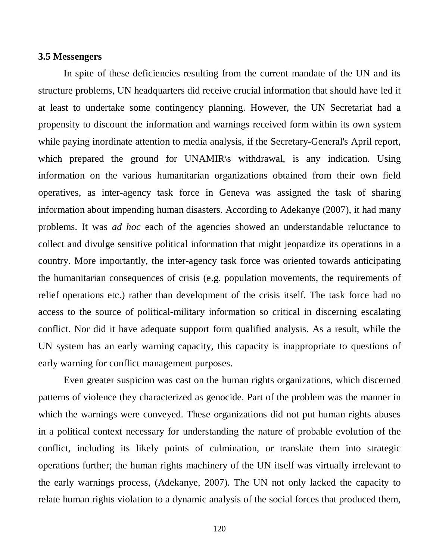### **3.5 Messengers**

In spite of these deficiencies resulting from the current mandate of the UN and its structure problems, UN headquarters did receive crucial information that should have led it at least to undertake some contingency planning. However, the UN Secretariat had a propensity to discount the information and warnings received form within its own system while paying inordinate attention to media analysis, if the Secretary-General's April report, which prepared the ground for UNAMIR withdrawal, is any indication. Using information on the various humanitarian organizations obtained from their own field operatives, as inter-agency task force in Geneva was assigned the task of sharing information about impending human disasters. According to Adekanye (2007), it had many problems. It was *ad hoc* each of the agencies showed an understandable reluctance to collect and divulge sensitive political information that might jeopardize its operations in a country. More importantly, the inter-agency task force was oriented towards anticipating the humanitarian consequences of crisis (e.g. population movements, the requirements of relief operations etc.) rather than development of the crisis itself. The task force had no access to the source of political-military information so critical in discerning escalating conflict. Nor did it have adequate support form qualified analysis. As a result, while the UN system has an early warning capacity, this capacity is inappropriate to questions of early warning for conflict management purposes.

Even greater suspicion was cast on the human rights organizations, which discerned patterns of violence they characterized as genocide. Part of the problem was the manner in which the warnings were conveyed. These organizations did not put human rights abuses in a political context necessary for understanding the nature of probable evolution of the conflict, including its likely points of culmination, or translate them into strategic operations further; the human rights machinery of the UN itself was virtually irrelevant to the early warnings process, (Adekanye, 2007). The UN not only lacked the capacity to relate human rights violation to a dynamic analysis of the social forces that produced them,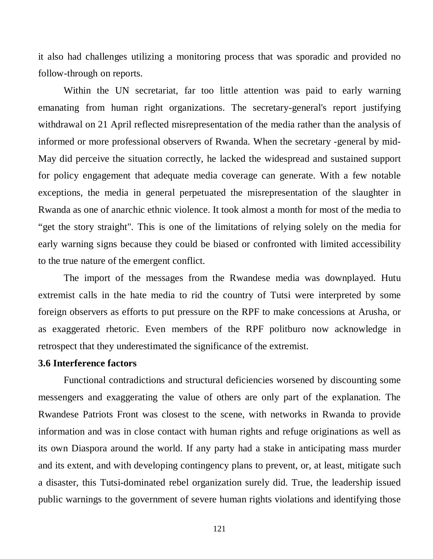it also had challenges utilizing a monitoring process that was sporadic and provided no follow-through on reports.

Within the UN secretariat, far too little attention was paid to early warning emanating from human right organizations. The secretary-general's report justifying withdrawal on 21 April reflected misrepresentation of the media rather than the analysis of informed or more professional observers of Rwanda. When the secretary -general by mid-May did perceive the situation correctly, he lacked the widespread and sustained support for policy engagement that adequate media coverage can generate. With a few notable exceptions, the media in general perpetuated the misrepresentation of the slaughter in Rwanda as one of anarchic ethnic violence. It took almost a month for most of the media to "get the story straight". This is one of the limitations of relying solely on the media for early warning signs because they could be biased or confronted with limited accessibility to the true nature of the emergent conflict.

The import of the messages from the Rwandese media was downplayed. Hutu extremist calls in the hate media to rid the country of Tutsi were interpreted by some foreign observers as efforts to put pressure on the RPF to make concessions at Arusha, or as exaggerated rhetoric. Even members of the RPF politburo now acknowledge in retrospect that they underestimated the significance of the extremist.

### **3.6 Interference factors**

Functional contradictions and structural deficiencies worsened by discounting some messengers and exaggerating the value of others are only part of the explanation. The Rwandese Patriots Front was closest to the scene, with networks in Rwanda to provide information and was in close contact with human rights and refuge originations as well as its own Diaspora around the world. If any party had a stake in anticipating mass murder and its extent, and with developing contingency plans to prevent, or, at least, mitigate such a disaster, this Tutsi-dominated rebel organization surely did. True, the leadership issued public warnings to the government of severe human rights violations and identifying those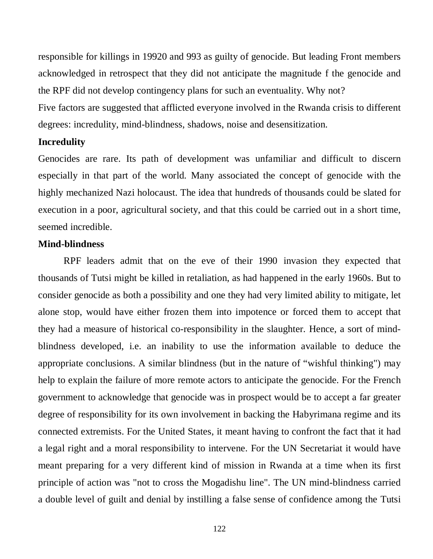responsible for killings in 19920 and 993 as guilty of genocide. But leading Front members acknowledged in retrospect that they did not anticipate the magnitude f the genocide and the RPF did not develop contingency plans for such an eventuality. Why not?

Five factors are suggested that afflicted everyone involved in the Rwanda crisis to different degrees: incredulity, mind-blindness, shadows, noise and desensitization.

## **Incredulity**

Genocides are rare. Its path of development was unfamiliar and difficult to discern especially in that part of the world. Many associated the concept of genocide with the highly mechanized Nazi holocaust. The idea that hundreds of thousands could be slated for execution in a poor, agricultural society, and that this could be carried out in a short time, seemed incredible.

## **Mind-blindness**

RPF leaders admit that on the eve of their 1990 invasion they expected that thousands of Tutsi might be killed in retaliation, as had happened in the early 1960s. But to consider genocide as both a possibility and one they had very limited ability to mitigate, let alone stop, would have either frozen them into impotence or forced them to accept that they had a measure of historical co-responsibility in the slaughter. Hence, a sort of mindblindness developed, i.e. an inability to use the information available to deduce the appropriate conclusions. A similar blindness (but in the nature of "wishful thinking") may help to explain the failure of more remote actors to anticipate the genocide. For the French government to acknowledge that genocide was in prospect would be to accept a far greater degree of responsibility for its own involvement in backing the Habyrimana regime and its connected extremists. For the United States, it meant having to confront the fact that it had a legal right and a moral responsibility to intervene. For the UN Secretariat it would have meant preparing for a very different kind of mission in Rwanda at a time when its first principle of action was "not to cross the Mogadishu line". The UN mind-blindness carried a double level of guilt and denial by instilling a false sense of confidence among the Tutsi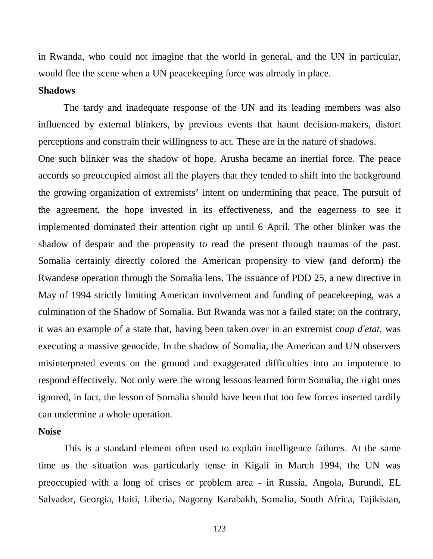in Rwanda, who could not imagine that the world in general, and the UN in particular, would flee the scene when a UN peacekeeping force was already in place.

## **Shadows**

The tardy and inadequate response of the UN and its leading members was also influenced by external blinkers, by previous events that haunt decision-makers, distort perceptions and constrain their willingness to act. These are in the nature of shadows.

One such blinker was the shadow of hope. Arusha became an inertial force. The peace accords so preoccupied almost all the players that they tended to shift into the background the growing organization of extremists' intent on undermining that peace. The pursuit of the agreement, the hope invested in its effectiveness, and the eagerness to see it implemented dominated their attention right up until 6 April. The other blinker was the shadow of despair and the propensity to read the present through traumas of the past. Somalia certainly directly colored the American propensity to view (and deform) the Rwandese operation through the Somalia lens. The issuance of PDD 25, a new directive in May of 1994 strictly limiting American involvement and funding of peacekeeping, was a culmination of the Shadow of Somalia. But Rwanda was not a failed state; on the contrary, it was an example of a state that, having been taken over in an extremist *coup d'etat*, was executing a massive genocide. In the shadow of Somalia, the American and UN observers misinterpreted events on the ground and exaggerated difficulties into an impotence to respond effectively. Not only were the wrong lessons learned form Somalia, the right ones ignored, in fact, the lesson of Somalia should have been that too few forces inserted tardily can undermine a whole operation.

### **Noise**

This is a standard element often used to explain intelligence failures. At the same time as the situation was particularly tense in Kigali in March 1994, the UN was preoccupied with a long of crises or problem area - in Russia, Angola, Burundi, EL Salvador, Georgia, Haiti, Liberia, Nagorny Karabakh, Somalia, South Africa, Tajikistan,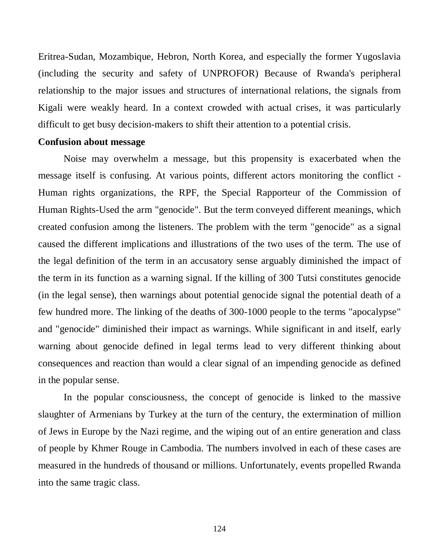Eritrea-Sudan, Mozambique, Hebron, North Korea, and especially the former Yugoslavia (including the security and safety of UNPROFOR) Because of Rwanda's peripheral relationship to the major issues and structures of international relations, the signals from Kigali were weakly heard. In a context crowded with actual crises, it was particularly difficult to get busy decision-makers to shift their attention to a potential crisis.

### **Confusion about message**

Noise may overwhelm a message, but this propensity is exacerbated when the message itself is confusing. At various points, different actors monitoring the conflict - Human rights organizations, the RPF, the Special Rapporteur of the Commission of Human Rights-Used the arm "genocide". But the term conveyed different meanings, which created confusion among the listeners. The problem with the term "genocide" as a signal caused the different implications and illustrations of the two uses of the term. The use of the legal definition of the term in an accusatory sense arguably diminished the impact of the term in its function as a warning signal. If the killing of 300 Tutsi constitutes genocide (in the legal sense), then warnings about potential genocide signal the potential death of a few hundred more. The linking of the deaths of 300-1000 people to the terms "apocalypse" and "genocide" diminished their impact as warnings. While significant in and itself, early warning about genocide defined in legal terms lead to very different thinking about consequences and reaction than would a clear signal of an impending genocide as defined in the popular sense.

In the popular consciousness, the concept of genocide is linked to the massive slaughter of Armenians by Turkey at the turn of the century, the extermination of million of Jews in Europe by the Nazi regime, and the wiping out of an entire generation and class of people by Khmer Rouge in Cambodia. The numbers involved in each of these cases are measured in the hundreds of thousand or millions. Unfortunately, events propelled Rwanda into the same tragic class.

124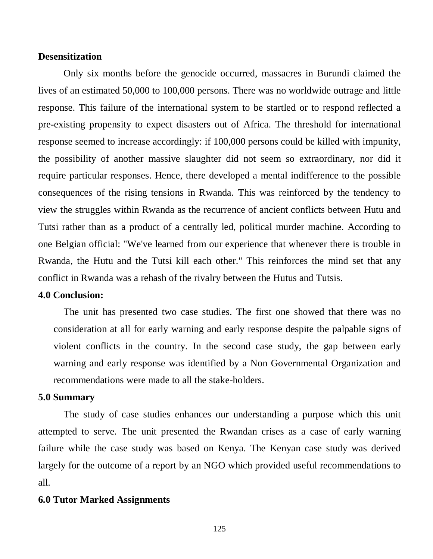### **Desensitization**

Only six months before the genocide occurred, massacres in Burundi claimed the lives of an estimated 50,000 to 100,000 persons. There was no worldwide outrage and little response. This failure of the international system to be startled or to respond reflected a pre-existing propensity to expect disasters out of Africa. The threshold for international response seemed to increase accordingly: if 100,000 persons could be killed with impunity, the possibility of another massive slaughter did not seem so extraordinary, nor did it require particular responses. Hence, there developed a mental indifference to the possible consequences of the rising tensions in Rwanda. This was reinforced by the tendency to view the struggles within Rwanda as the recurrence of ancient conflicts between Hutu and Tutsi rather than as a product of a centrally led, political murder machine. According to one Belgian official: "We've learned from our experience that whenever there is trouble in Rwanda, the Hutu and the Tutsi kill each other." This reinforces the mind set that any conflict in Rwanda was a rehash of the rivalry between the Hutus and Tutsis.

## **4.0 Conclusion:**

The unit has presented two case studies. The first one showed that there was no consideration at all for early warning and early response despite the palpable signs of violent conflicts in the country. In the second case study, the gap between early warning and early response was identified by a Non Governmental Organization and recommendations were made to all the stake-holders.

### **5.0 Summary**

The study of case studies enhances our understanding a purpose which this unit attempted to serve. The unit presented the Rwandan crises as a case of early warning failure while the case study was based on Kenya. The Kenyan case study was derived largely for the outcome of a report by an NGO which provided useful recommendations to all.

### **6.0 Tutor Marked Assignments**

125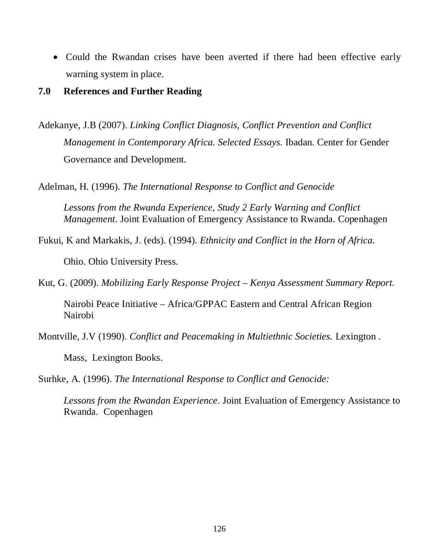• Could the Rwandan crises have been averted if there had been effective early warning system in place.

## **7.0 References and Further Reading**

Adekanye, J.B (2007). *Linking Conflict Diagnosis, Conflict Prevention and Conflict Management in Contemporary Africa. Selected Essays.* Ibadan. Center for Gender Governance and Development.

Adelman, H. (1996). *The International Response to Conflict and Genocide* 

*Lessons from the Rwanda Experience, Study 2 Early Warning and Conflict Management*. Joint Evaluation of Emergency Assistance to Rwanda. Copenhagen

Fukui, K and Markakis, J. (eds). (1994). *Ethnicity and Conflict in the Horn of Africa.* 

Ohio. Ohio University Press.

Kut, G. (2009). *Mobilizing Early Response Project – Kenya Assessment Summary Report.* 

Nairobi Peace Initiative – Africa/GPPAC Eastern and Central African Region Nairobi

Montville, J.V (1990). *Conflict and Peacemaking in Multiethnic Societies.* Lexington .

Mass, Lexington Books.

Surhke, A. (1996). *The International Response to Conflict and Genocide:* 

*Lessons from the Rwandan Experience*. Joint Evaluation of Emergency Assistance to Rwanda. Copenhagen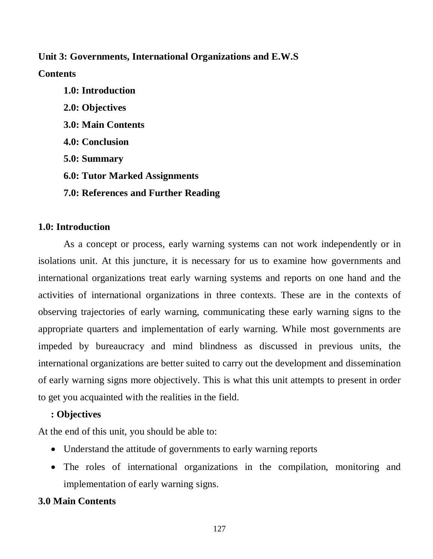# **Unit 3: Governments, International Organizations and E.W.S**

## **Contents**

**1.0: Introduction 2.0: Objectives 3.0: Main Contents 4.0: Conclusion 5.0: Summary 6.0: Tutor Marked Assignments 7.0: References and Further Reading** 

# **1.0: Introduction**

As a concept or process, early warning systems can not work independently or in isolations unit. At this juncture, it is necessary for us to examine how governments and international organizations treat early warning systems and reports on one hand and the activities of international organizations in three contexts. These are in the contexts of observing trajectories of early warning, communicating these early warning signs to the appropriate quarters and implementation of early warning. While most governments are impeded by bureaucracy and mind blindness as discussed in previous units, the international organizations are better suited to carry out the development and dissemination of early warning signs more objectively. This is what this unit attempts to present in order to get you acquainted with the realities in the field.

## **: Objectives**

At the end of this unit, you should be able to:

- Understand the attitude of governments to early warning reports
- The roles of international organizations in the compilation, monitoring and implementation of early warning signs.

# **3.0 Main Contents**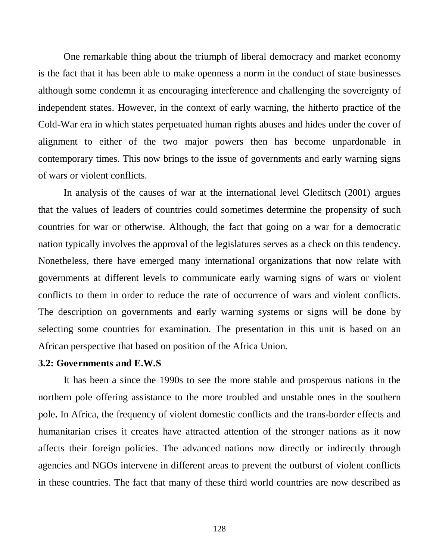One remarkable thing about the triumph of liberal democracy and market economy is the fact that it has been able to make openness a norm in the conduct of state businesses although some condemn it as encouraging interference and challenging the sovereignty of independent states. However, in the context of early warning, the hitherto practice of the Cold-War era in which states perpetuated human rights abuses and hides under the cover of alignment to either of the two major powers then has become unpardonable in contemporary times. This now brings to the issue of governments and early warning signs of wars or violent conflicts.

In analysis of the causes of war at the international level Gleditsch (2001) argues that the values of leaders of countries could sometimes determine the propensity of such countries for war or otherwise. Although, the fact that going on a war for a democratic nation typically involves the approval of the legislatures serves as a check on this tendency. Nonetheless, there have emerged many international organizations that now relate with governments at different levels to communicate early warning signs of wars or violent conflicts to them in order to reduce the rate of occurrence of wars and violent conflicts. The description on governments and early warning systems or signs will be done by selecting some countries for examination. The presentation in this unit is based on an African perspective that based on position of the Africa Union.

## **3.2: Governments and E.W.S**

It has been a since the 1990s to see the more stable and prosperous nations in the northern pole offering assistance to the more troubled and unstable ones in the southern pole**.** In Africa, the frequency of violent domestic conflicts and the trans-border effects and humanitarian crises it creates have attracted attention of the stronger nations as it now affects their foreign policies. The advanced nations now directly or indirectly through agencies and NGOs intervene in different areas to prevent the outburst of violent conflicts in these countries. The fact that many of these third world countries are now described as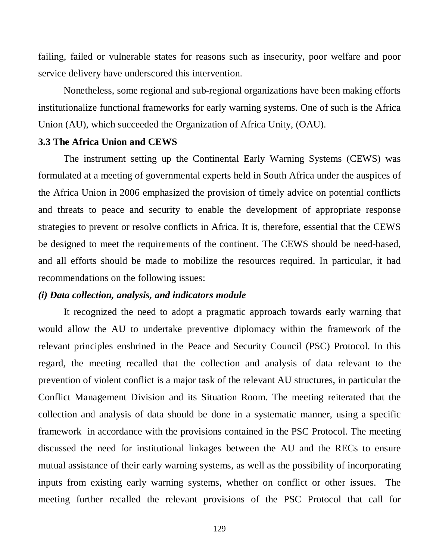failing, failed or vulnerable states for reasons such as insecurity, poor welfare and poor service delivery have underscored this intervention.

Nonetheless, some regional and sub-regional organizations have been making efforts institutionalize functional frameworks for early warning systems. One of such is the Africa Union (AU), which succeeded the Organization of Africa Unity, (OAU).

### **3.3 The Africa Union and CEWS**

The instrument setting up the Continental Early Warning Systems (CEWS) was formulated at a meeting of governmental experts held in South Africa under the auspices of the Africa Union in 2006 emphasized the provision of timely advice on potential conflicts and threats to peace and security to enable the development of appropriate response strategies to prevent or resolve conflicts in Africa. It is, therefore, essential that the CEWS be designed to meet the requirements of the continent. The CEWS should be need-based, and all efforts should be made to mobilize the resources required. In particular, it had recommendations on the following issues:

## *(i) Data collection, analysis, and indicators module*

It recognized the need to adopt a pragmatic approach towards early warning that would allow the AU to undertake preventive diplomacy within the framework of the relevant principles enshrined in the Peace and Security Council (PSC) Protocol. In this regard, the meeting recalled that the collection and analysis of data relevant to the prevention of violent conflict is a major task of the relevant AU structures, in particular the Conflict Management Division and its Situation Room. The meeting reiterated that the collection and analysis of data should be done in a systematic manner, using a specific framework in accordance with the provisions contained in the PSC Protocol. The meeting discussed the need for institutional linkages between the AU and the RECs to ensure mutual assistance of their early warning systems, as well as the possibility of incorporating inputs from existing early warning systems, whether on conflict or other issues. The meeting further recalled the relevant provisions of the PSC Protocol that call for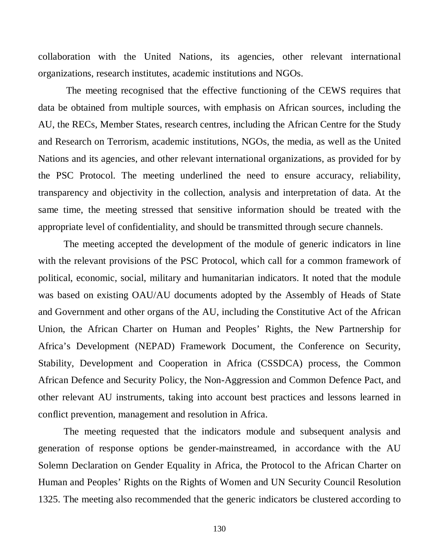collaboration with the United Nations, its agencies, other relevant international organizations, research institutes, academic institutions and NGOs.

The meeting recognised that the effective functioning of the CEWS requires that data be obtained from multiple sources, with emphasis on African sources, including the AU, the RECs, Member States, research centres, including the African Centre for the Study and Research on Terrorism, academic institutions, NGOs, the media, as well as the United Nations and its agencies, and other relevant international organizations, as provided for by the PSC Protocol. The meeting underlined the need to ensure accuracy, reliability, transparency and objectivity in the collection, analysis and interpretation of data. At the same time, the meeting stressed that sensitive information should be treated with the appropriate level of confidentiality, and should be transmitted through secure channels.

The meeting accepted the development of the module of generic indicators in line with the relevant provisions of the PSC Protocol, which call for a common framework of political, economic, social, military and humanitarian indicators. It noted that the module was based on existing OAU/AU documents adopted by the Assembly of Heads of State and Government and other organs of the AU, including the Constitutive Act of the African Union, the African Charter on Human and Peoples' Rights, the New Partnership for Africa's Development (NEPAD) Framework Document, the Conference on Security, Stability, Development and Cooperation in Africa (CSSDCA) process, the Common African Defence and Security Policy, the Non-Aggression and Common Defence Pact, and other relevant AU instruments, taking into account best practices and lessons learned in conflict prevention, management and resolution in Africa.

The meeting requested that the indicators module and subsequent analysis and generation of response options be gender-mainstreamed, in accordance with the AU Solemn Declaration on Gender Equality in Africa, the Protocol to the African Charter on Human and Peoples' Rights on the Rights of Women and UN Security Council Resolution 1325. The meeting also recommended that the generic indicators be clustered according to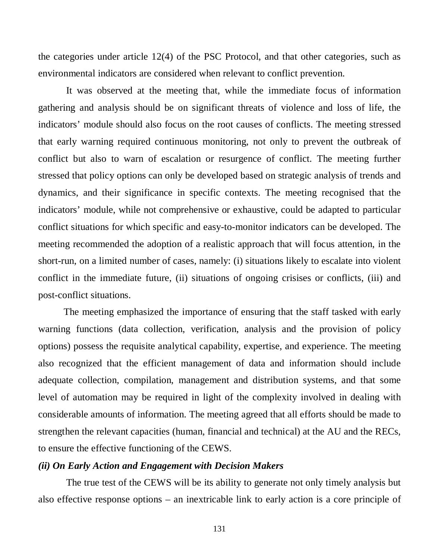the categories under article 12(4) of the PSC Protocol, and that other categories, such as environmental indicators are considered when relevant to conflict prevention.

It was observed at the meeting that, while the immediate focus of information gathering and analysis should be on significant threats of violence and loss of life, the indicators' module should also focus on the root causes of conflicts. The meeting stressed that early warning required continuous monitoring, not only to prevent the outbreak of conflict but also to warn of escalation or resurgence of conflict. The meeting further stressed that policy options can only be developed based on strategic analysis of trends and dynamics, and their significance in specific contexts. The meeting recognised that the indicators' module, while not comprehensive or exhaustive, could be adapted to particular conflict situations for which specific and easy-to-monitor indicators can be developed. The meeting recommended the adoption of a realistic approach that will focus attention, in the short-run, on a limited number of cases, namely: (i) situations likely to escalate into violent conflict in the immediate future, (ii) situations of ongoing crisises or conflicts, (iii) and post-conflict situations.

The meeting emphasized the importance of ensuring that the staff tasked with early warning functions (data collection, verification, analysis and the provision of policy options) possess the requisite analytical capability, expertise, and experience. The meeting also recognized that the efficient management of data and information should include adequate collection, compilation, management and distribution systems, and that some level of automation may be required in light of the complexity involved in dealing with considerable amounts of information. The meeting agreed that all efforts should be made to strengthen the relevant capacities (human, financial and technical) at the AU and the RECs, to ensure the effective functioning of the CEWS.

## *(ii) On Early Action and Engagement with Decision Makers*

The true test of the CEWS will be its ability to generate not only timely analysis but also effective response options – an inextricable link to early action is a core principle of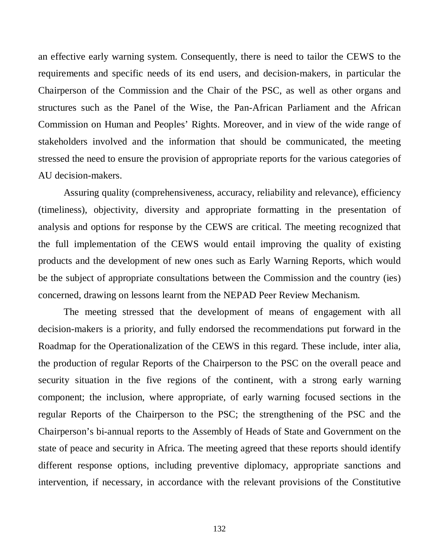an effective early warning system. Consequently, there is need to tailor the CEWS to the requirements and specific needs of its end users, and decision-makers, in particular the Chairperson of the Commission and the Chair of the PSC, as well as other organs and structures such as the Panel of the Wise, the Pan-African Parliament and the African Commission on Human and Peoples' Rights. Moreover, and in view of the wide range of stakeholders involved and the information that should be communicated, the meeting stressed the need to ensure the provision of appropriate reports for the various categories of AU decision-makers.

Assuring quality (comprehensiveness, accuracy, reliability and relevance), efficiency (timeliness), objectivity, diversity and appropriate formatting in the presentation of analysis and options for response by the CEWS are critical. The meeting recognized that the full implementation of the CEWS would entail improving the quality of existing products and the development of new ones such as Early Warning Reports, which would be the subject of appropriate consultations between the Commission and the country (ies) concerned, drawing on lessons learnt from the NEPAD Peer Review Mechanism.

The meeting stressed that the development of means of engagement with all decision-makers is a priority, and fully endorsed the recommendations put forward in the Roadmap for the Operationalization of the CEWS in this regard. These include, inter alia, the production of regular Reports of the Chairperson to the PSC on the overall peace and security situation in the five regions of the continent, with a strong early warning component; the inclusion, where appropriate, of early warning focused sections in the regular Reports of the Chairperson to the PSC; the strengthening of the PSC and the Chairperson's bi-annual reports to the Assembly of Heads of State and Government on the state of peace and security in Africa. The meeting agreed that these reports should identify different response options, including preventive diplomacy, appropriate sanctions and intervention, if necessary, in accordance with the relevant provisions of the Constitutive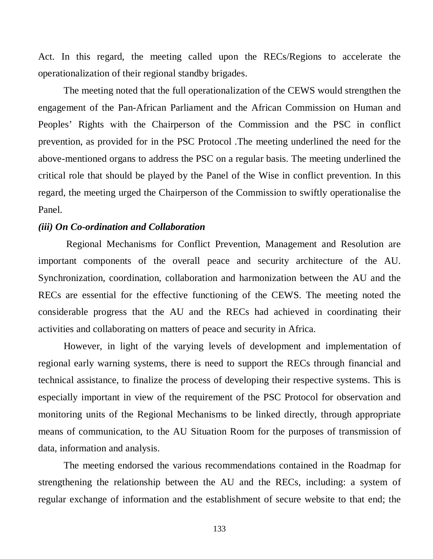Act. In this regard, the meeting called upon the RECs/Regions to accelerate the operationalization of their regional standby brigades.

The meeting noted that the full operationalization of the CEWS would strengthen the engagement of the Pan-African Parliament and the African Commission on Human and Peoples' Rights with the Chairperson of the Commission and the PSC in conflict prevention, as provided for in the PSC Protocol .The meeting underlined the need for the above-mentioned organs to address the PSC on a regular basis. The meeting underlined the critical role that should be played by the Panel of the Wise in conflict prevention. In this regard, the meeting urged the Chairperson of the Commission to swiftly operationalise the Panel.

### *(iii) On Co-ordination and Collaboration*

Regional Mechanisms for Conflict Prevention, Management and Resolution are important components of the overall peace and security architecture of the AU. Synchronization, coordination, collaboration and harmonization between the AU and the RECs are essential for the effective functioning of the CEWS. The meeting noted the considerable progress that the AU and the RECs had achieved in coordinating their activities and collaborating on matters of peace and security in Africa.

However, in light of the varying levels of development and implementation of regional early warning systems, there is need to support the RECs through financial and technical assistance, to finalize the process of developing their respective systems. This is especially important in view of the requirement of the PSC Protocol for observation and monitoring units of the Regional Mechanisms to be linked directly, through appropriate means of communication, to the AU Situation Room for the purposes of transmission of data, information and analysis.

The meeting endorsed the various recommendations contained in the Roadmap for strengthening the relationship between the AU and the RECs, including: a system of regular exchange of information and the establishment of secure website to that end; the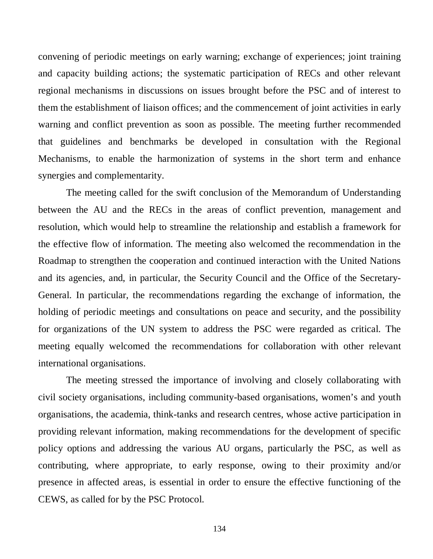convening of periodic meetings on early warning; exchange of experiences; joint training and capacity building actions; the systematic participation of RECs and other relevant regional mechanisms in discussions on issues brought before the PSC and of interest to them the establishment of liaison offices; and the commencement of joint activities in early warning and conflict prevention as soon as possible. The meeting further recommended that guidelines and benchmarks be developed in consultation with the Regional Mechanisms, to enable the harmonization of systems in the short term and enhance synergies and complementarity.

The meeting called for the swift conclusion of the Memorandum of Understanding between the AU and the RECs in the areas of conflict prevention, management and resolution, which would help to streamline the relationship and establish a framework for the effective flow of information. The meeting also welcomed the recommendation in the Roadmap to strengthen the cooperation and continued interaction with the United Nations and its agencies, and, in particular, the Security Council and the Office of the Secretary-General. In particular, the recommendations regarding the exchange of information, the holding of periodic meetings and consultations on peace and security, and the possibility for organizations of the UN system to address the PSC were regarded as critical. The meeting equally welcomed the recommendations for collaboration with other relevant international organisations.

The meeting stressed the importance of involving and closely collaborating with civil society organisations, including community-based organisations, women's and youth organisations, the academia, think-tanks and research centres, whose active participation in providing relevant information, making recommendations for the development of specific policy options and addressing the various AU organs, particularly the PSC, as well as contributing, where appropriate, to early response, owing to their proximity and/or presence in affected areas, is essential in order to ensure the effective functioning of the CEWS, as called for by the PSC Protocol.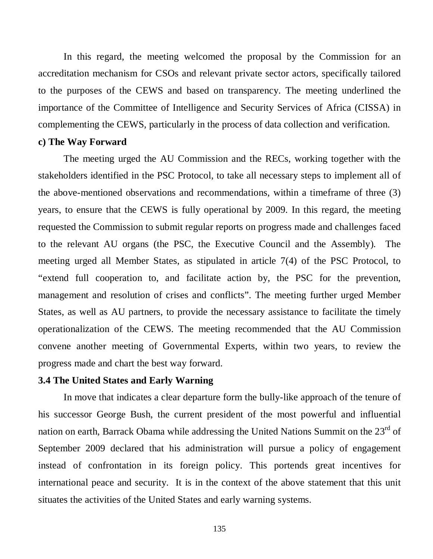In this regard, the meeting welcomed the proposal by the Commission for an accreditation mechanism for CSOs and relevant private sector actors, specifically tailored to the purposes of the CEWS and based on transparency. The meeting underlined the importance of the Committee of Intelligence and Security Services of Africa (CISSA) in complementing the CEWS, particularly in the process of data collection and verification.

## **c) The Way Forward**

The meeting urged the AU Commission and the RECs, working together with the stakeholders identified in the PSC Protocol, to take all necessary steps to implement all of the above-mentioned observations and recommendations, within a timeframe of three (3) years, to ensure that the CEWS is fully operational by 2009. In this regard, the meeting requested the Commission to submit regular reports on progress made and challenges faced to the relevant AU organs (the PSC, the Executive Council and the Assembly). The meeting urged all Member States, as stipulated in article 7(4) of the PSC Protocol, to "extend full cooperation to, and facilitate action by, the PSC for the prevention, management and resolution of crises and conflicts". The meeting further urged Member States, as well as AU partners, to provide the necessary assistance to facilitate the timely operationalization of the CEWS. The meeting recommended that the AU Commission convene another meeting of Governmental Experts, within two years, to review the progress made and chart the best way forward.

## **3.4 The United States and Early Warning**

In move that indicates a clear departure form the bully-like approach of the tenure of his successor George Bush, the current president of the most powerful and influential nation on earth, Barrack Obama while addressing the United Nations Summit on the 23<sup>rd</sup> of September 2009 declared that his administration will pursue a policy of engagement instead of confrontation in its foreign policy. This portends great incentives for international peace and security. It is in the context of the above statement that this unit situates the activities of the United States and early warning systems.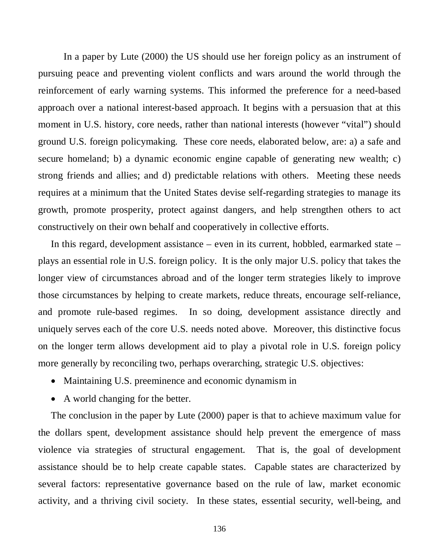In a paper by Lute (2000) the US should use her foreign policy as an instrument of pursuing peace and preventing violent conflicts and wars around the world through the reinforcement of early warning systems. This informed the preference for a need-based approach over a national interest-based approach. It begins with a persuasion that at this moment in U.S. history, core needs, rather than national interests (however "vital") should ground U.S. foreign policymaking. These core needs, elaborated below, are: a) a safe and secure homeland; b) a dynamic economic engine capable of generating new wealth; c) strong friends and allies; and d) predictable relations with others. Meeting these needs requires at a minimum that the United States devise self-regarding strategies to manage its growth, promote prosperity, protect against dangers, and help strengthen others to act constructively on their own behalf and cooperatively in collective efforts.

In this regard, development assistance – even in its current, hobbled, earmarked state – plays an essential role in U.S. foreign policy. It is the only major U.S. policy that takes the longer view of circumstances abroad and of the longer term strategies likely to improve those circumstances by helping to create markets, reduce threats, encourage self-reliance, and promote rule-based regimes. In so doing, development assistance directly and uniquely serves each of the core U.S. needs noted above. Moreover, this distinctive focus on the longer term allows development aid to play a pivotal role in U.S. foreign policy more generally by reconciling two, perhaps overarching, strategic U.S. objectives:

- Maintaining U.S. preeminence and economic dynamism in
- A world changing for the better.

The conclusion in the paper by Lute (2000) paper is that to achieve maximum value for the dollars spent, development assistance should help prevent the emergence of mass violence via strategies of structural engagement. That is, the goal of development assistance should be to help create capable states. Capable states are characterized by several factors: representative governance based on the rule of law, market economic activity, and a thriving civil society. In these states, essential security, well-being, and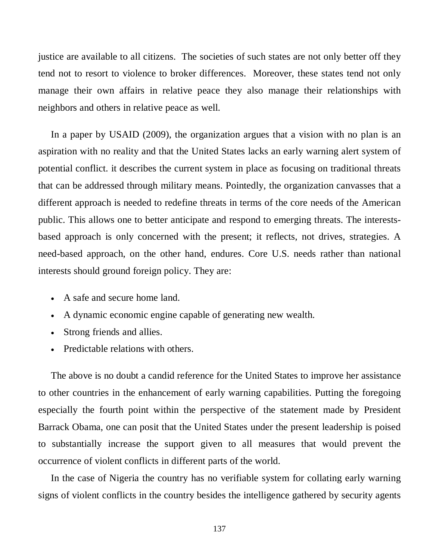justice are available to all citizens. The societies of such states are not only better off they tend not to resort to violence to broker differences. Moreover, these states tend not only manage their own affairs in relative peace they also manage their relationships with neighbors and others in relative peace as well.

In a paper by USAID (2009), the organization argues that a vision with no plan is an aspiration with no reality and that the United States lacks an early warning alert system of potential conflict. it describes the current system in place as focusing on traditional threats that can be addressed through military means. Pointedly, the organization canvasses that a different approach is needed to redefine threats in terms of the core needs of the American public. This allows one to better anticipate and respond to emerging threats. The interestsbased approach is only concerned with the present; it reflects, not drives, strategies. A need-based approach, on the other hand, endures. Core U.S. needs rather than national interests should ground foreign policy. They are:

- A safe and secure home land.
- A dynamic economic engine capable of generating new wealth.
- Strong friends and allies.
- Predictable relations with others.

The above is no doubt a candid reference for the United States to improve her assistance to other countries in the enhancement of early warning capabilities. Putting the foregoing especially the fourth point within the perspective of the statement made by President Barrack Obama, one can posit that the United States under the present leadership is poised to substantially increase the support given to all measures that would prevent the occurrence of violent conflicts in different parts of the world.

In the case of Nigeria the country has no verifiable system for collating early warning signs of violent conflicts in the country besides the intelligence gathered by security agents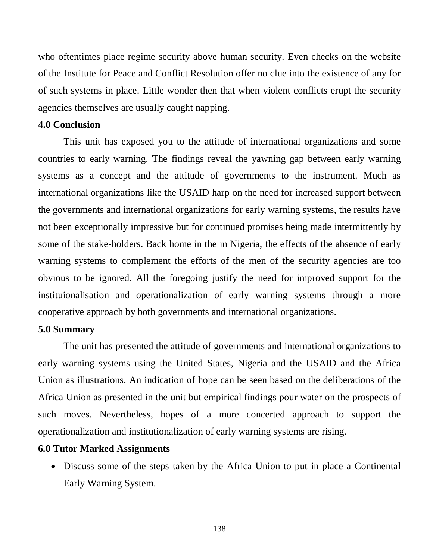who oftentimes place regime security above human security. Even checks on the website of the Institute for Peace and Conflict Resolution offer no clue into the existence of any for of such systems in place. Little wonder then that when violent conflicts erupt the security agencies themselves are usually caught napping.

## **4.0 Conclusion**

This unit has exposed you to the attitude of international organizations and some countries to early warning. The findings reveal the yawning gap between early warning systems as a concept and the attitude of governments to the instrument. Much as international organizations like the USAID harp on the need for increased support between the governments and international organizations for early warning systems, the results have not been exceptionally impressive but for continued promises being made intermittently by some of the stake-holders. Back home in the in Nigeria, the effects of the absence of early warning systems to complement the efforts of the men of the security agencies are too obvious to be ignored. All the foregoing justify the need for improved support for the instituionalisation and operationalization of early warning systems through a more cooperative approach by both governments and international organizations.

### **5.0 Summary**

The unit has presented the attitude of governments and international organizations to early warning systems using the United States, Nigeria and the USAID and the Africa Union as illustrations. An indication of hope can be seen based on the deliberations of the Africa Union as presented in the unit but empirical findings pour water on the prospects of such moves. Nevertheless, hopes of a more concerted approach to support the operationalization and institutionalization of early warning systems are rising.

### **6.0 Tutor Marked Assignments**

• Discuss some of the steps taken by the Africa Union to put in place a Continental Early Warning System.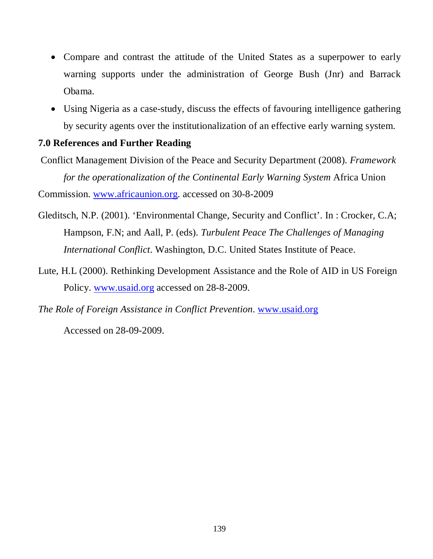- Compare and contrast the attitude of the United States as a superpower to early warning supports under the administration of George Bush (Jnr) and Barrack Obama.
- Using Nigeria as a case-study, discuss the effects of favouring intelligence gathering by security agents over the institutionalization of an effective early warning system.

# **7.0 References and Further Reading**

Conflict Management Division of the Peace and Security Department (2008). *Framework for the operationalization of the Continental Early Warning System* Africa Union Commission. [www.africaunion.org.](http://www.africaunion.org/) accessed on 30-8-2009

- Gleditsch, N.P. (2001). 'Environmental Change, Security and Conflict'. In : Crocker, C.A; Hampson, F.N; and Aall, P. (eds). *Turbulent Peace The Challenges of Managing International Conflict*. Washington, D.C. United States Institute of Peace.
- Lute, H.L (2000). Rethinking Development Assistance and the Role of AID in US Foreign Policy. [www.usaid.org](http://www.usaid.org/) accessed on 28-8-2009.
- *The Role of Foreign Assistance in Conflict Prevention*. [www.usaid.org](http://www.usaid.org/)

Accessed on 28-09-2009.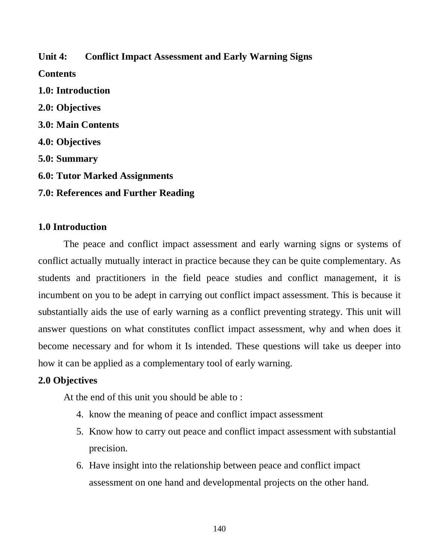**Unit 4: Conflict Impact Assessment and Early Warning Signs Contents 1.0: Introduction 2.0: Objectives 3.0: Main Contents 4.0: Objectives 5.0: Summary 6.0: Tutor Marked Assignments 7.0: References and Further Reading**

## **1.0 Introduction**

The peace and conflict impact assessment and early warning signs or systems of conflict actually mutually interact in practice because they can be quite complementary. As students and practitioners in the field peace studies and conflict management, it is incumbent on you to be adept in carrying out conflict impact assessment. This is because it substantially aids the use of early warning as a conflict preventing strategy. This unit will answer questions on what constitutes conflict impact assessment, why and when does it become necessary and for whom it Is intended. These questions will take us deeper into how it can be applied as a complementary tool of early warning.

## **2.0 Objectives**

At the end of this unit you should be able to :

- 4. know the meaning of peace and conflict impact assessment
- 5. Know how to carry out peace and conflict impact assessment with substantial precision.
- 6. Have insight into the relationship between peace and conflict impact assessment on one hand and developmental projects on the other hand.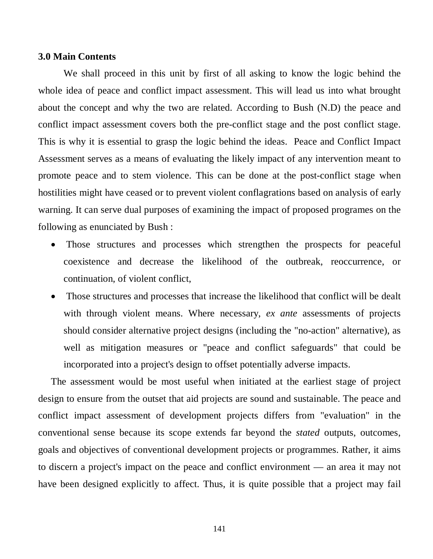### **3.0 Main Contents**

We shall proceed in this unit by first of all asking to know the logic behind the whole idea of peace and conflict impact assessment. This will lead us into what brought about the concept and why the two are related. According to Bush (N.D) the peace and conflict impact assessment covers both the pre-conflict stage and the post conflict stage. This is why it is essential to grasp the logic behind the ideas. Peace and Conflict Impact Assessment serves as a means of evaluating the likely impact of any intervention meant to promote peace and to stem violence. This can be done at the post-conflict stage when hostilities might have ceased or to prevent violent conflagrations based on analysis of early warning. It can serve dual purposes of examining the impact of proposed programes on the following as enunciated by Bush :

- Those structures and processes which strengthen the prospects for peaceful coexistence and decrease the likelihood of the outbreak, reoccurrence, or continuation, of violent conflict,
- Those structures and processes that increase the likelihood that conflict will be dealt with through violent means. Where necessary, *ex ante* assessments of projects should consider alternative project designs (including the "no-action" alternative), as well as mitigation measures or "peace and conflict safeguards" that could be incorporated into a project's design to offset potentially adverse impacts.

The assessment would be most useful when initiated at the earliest stage of project design to ensure from the outset that aid projects are sound and sustainable. The peace and conflict impact assessment of development projects differs from "evaluation" in the conventional sense because its scope extends far beyond the *stated* outputs, outcomes, goals and objectives of conventional development projects or programmes. Rather, it aims to discern a project's impact on the peace and conflict environment — an area it may not have been designed explicitly to affect. Thus, it is quite possible that a project may fail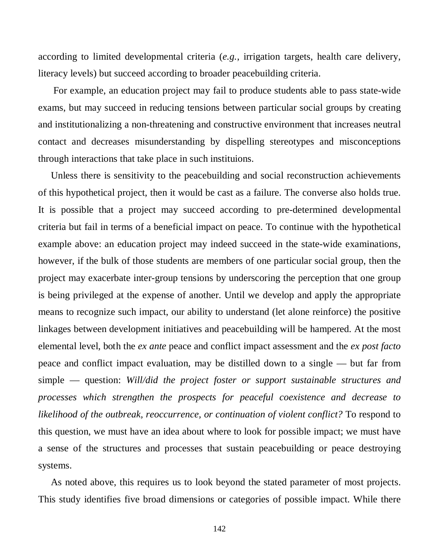according to limited developmental criteria (*e.g.*, irrigation targets, health care delivery, literacy levels) but succeed according to broader peacebuilding criteria.

For example, an education project may fail to produce students able to pass state-wide exams, but may succeed in reducing tensions between particular social groups by creating and institutionalizing a non-threatening and constructive environment that increases neutral contact and decreases misunderstanding by dispelling stereotypes and misconceptions through interactions that take place in such instituions.

Unless there is sensitivity to the peacebuilding and social reconstruction achievements of this hypothetical project, then it would be cast as a failure. The converse also holds true. It is possible that a project may succeed according to pre-determined developmental criteria but fail in terms of a beneficial impact on peace. To continue with the hypothetical example above: an education project may indeed succeed in the state-wide examinations, however, if the bulk of those students are members of one particular social group, then the project may exacerbate inter-group tensions by underscoring the perception that one group is being privileged at the expense of another. Until we develop and apply the appropriate means to recognize such impact, our ability to understand (let alone reinforce) the positive linkages between development initiatives and peacebuilding will be hampered. At the most elemental level, both the *ex ante* peace and conflict impact assessment and the *ex post facto*  peace and conflict impact evaluation, may be distilled down to a single — but far from simple — question: *Will/did the project foster or support sustainable structures and processes which strengthen the prospects for peaceful coexistence and decrease to likelihood of the outbreak, reoccurrence, or continuation of violent conflict?* To respond to this question, we must have an idea about where to look for possible impact; we must have a sense of the structures and processes that sustain peacebuilding or peace destroying systems.

As noted above, this requires us to look beyond the stated parameter of most projects. This study identifies five broad dimensions or categories of possible impact. While there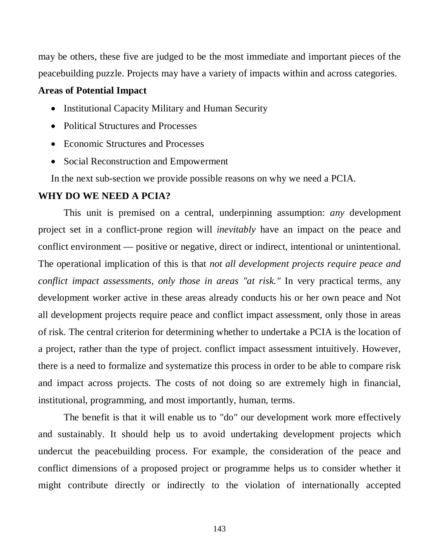may be others, these five are judged to be the most immediate and important pieces of the peacebuilding puzzle. Projects may have a variety of impacts within and across categories.

### **Areas of Potential Impact**

- Institutional Capacity Military and Human Security
- Political Structures and Processes
- Economic Structures and Processes
- Social Reconstruction and Empowerment

In the next sub-section we provide possible reasons on why we need a PCIA.

## **WHY DO WE NEED A PCIA?**

This unit is premised on a central, underpinning assumption: *any* development project set in a conflict-prone region will *inevitably* have an impact on the peace and conflict environment — positive or negative, direct or indirect, intentional or unintentional. The operational implication of this is that *not all development projects require peace and conflict impact assessments, only those in areas "at risk."* In very practical terms, any development worker active in these areas already conducts his or her own peace and Not all development projects require peace and conflict impact assessment, only those in areas of risk. The central criterion for determining whether to undertake a PCIA is the location of a project, rather than the type of project. conflict impact assessment intuitively. However, there is a need to formalize and systematize this process in order to be able to compare risk and impact across projects. The costs of not doing so are extremely high in financial, institutional, programming, and most importantly, human, terms.

The benefit is that it will enable us to "do" our development work more effectively and sustainably. It should help us to avoid undertaking development projects which undercut the peacebuilding process. For example, the consideration of the peace and conflict dimensions of a proposed project or programme helps us to consider whether it might contribute directly or indirectly to the violation of internationally accepted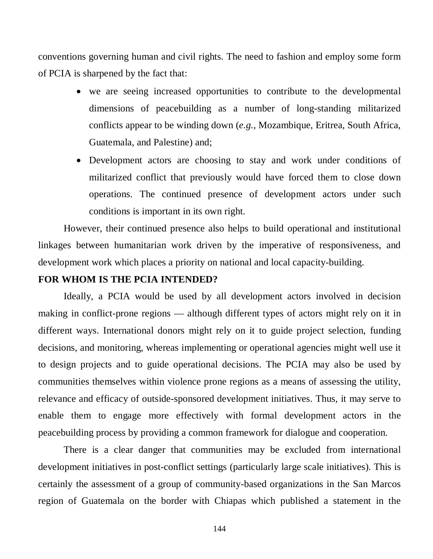conventions governing human and civil rights. The need to fashion and employ some form of PCIA is sharpened by the fact that:

- we are seeing increased opportunities to contribute to the developmental dimensions of peacebuilding as a number of long-standing militarized conflicts appear to be winding down (*e.g.*, Mozambique, Eritrea, South Africa, Guatemala, and Palestine) and;
- Development actors are choosing to stay and work under conditions of militarized conflict that previously would have forced them to close down operations. The continued presence of development actors under such conditions is important in its own right.

However, their continued presence also helps to build operational and institutional linkages between humanitarian work driven by the imperative of responsiveness, and development work which places a priority on national and local capacity-building.

## **FOR WHOM IS THE PCIA INTENDED?**

Ideally, a PCIA would be used by all development actors involved in decision making in conflict-prone regions — although different types of actors might rely on it in different ways. International donors might rely on it to guide project selection, funding decisions, and monitoring, whereas implementing or operational agencies might well use it to design projects and to guide operational decisions. The PCIA may also be used by communities themselves within violence prone regions as a means of assessing the utility, relevance and efficacy of outside-sponsored development initiatives. Thus, it may serve to enable them to engage more effectively with formal development actors in the peacebuilding process by providing a common framework for dialogue and cooperation.

There is a clear danger that communities may be excluded from international development initiatives in post-conflict settings (particularly large scale initiatives). This is certainly the assessment of a group of community-based organizations in the San Marcos region of Guatemala on the border with Chiapas which published a statement in the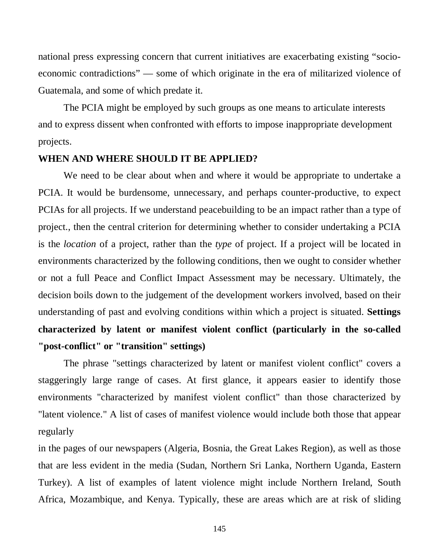national press expressing concern that current initiatives are exacerbating existing "socioeconomic contradictions" — some of which originate in the era of militarized violence of Guatemala, and some of which predate it.

The PCIA might be employed by such groups as one means to articulate interests and to express dissent when confronted with efforts to impose inappropriate development projects.

#### **WHEN AND WHERE SHOULD IT BE APPLIED?**

We need to be clear about when and where it would be appropriate to undertake a PCIA. It would be burdensome, unnecessary, and perhaps counter-productive, to expect PCIAs for all projects. If we understand peacebuilding to be an impact rather than a type of project., then the central criterion for determining whether to consider undertaking a PCIA is the *location* of a project, rather than the *type* of project. If a project will be located in environments characterized by the following conditions, then we ought to consider whether or not a full Peace and Conflict Impact Assessment may be necessary. Ultimately, the decision boils down to the judgement of the development workers involved, based on their understanding of past and evolving conditions within which a project is situated. **Settings characterized by latent or manifest violent conflict (particularly in the so-called "post-conflict" or "transition" settings)**

The phrase "settings characterized by latent or manifest violent conflict" covers a staggeringly large range of cases. At first glance, it appears easier to identify those environments "characterized by manifest violent conflict" than those characterized by "latent violence." A list of cases of manifest violence would include both those that appear regularly

in the pages of our newspapers (Algeria, Bosnia, the Great Lakes Region), as well as those that are less evident in the media (Sudan, Northern Sri Lanka, Northern Uganda, Eastern Turkey). A list of examples of latent violence might include Northern Ireland, South Africa, Mozambique, and Kenya. Typically, these are areas which are at risk of sliding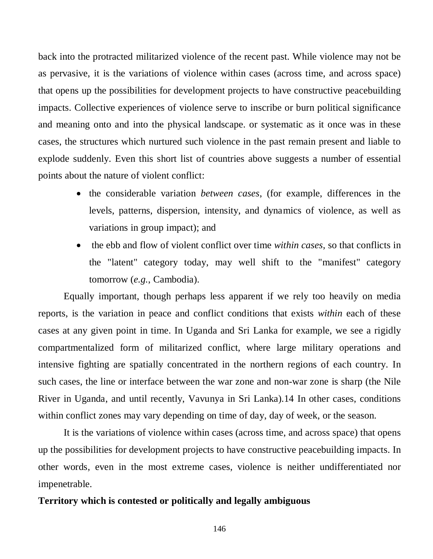back into the protracted militarized violence of the recent past. While violence may not be as pervasive, it is the variations of violence within cases (across time, and across space) that opens up the possibilities for development projects to have constructive peacebuilding impacts. Collective experiences of violence serve to inscribe or burn political significance and meaning onto and into the physical landscape. or systematic as it once was in these cases, the structures which nurtured such violence in the past remain present and liable to explode suddenly. Even this short list of countries above suggests a number of essential points about the nature of violent conflict:

- the considerable variation *between cases*, (for example, differences in the levels, patterns, dispersion, intensity, and dynamics of violence, as well as variations in group impact); and
- the ebb and flow of violent conflict over time *within cases*, so that conflicts in the "latent" category today, may well shift to the "manifest" category tomorrow (*e.g.*, Cambodia).

Equally important, though perhaps less apparent if we rely too heavily on media reports, is the variation in peace and conflict conditions that exists *within* each of these cases at any given point in time. In Uganda and Sri Lanka for example, we see a rigidly compartmentalized form of militarized conflict, where large military operations and intensive fighting are spatially concentrated in the northern regions of each country. In such cases, the line or interface between the war zone and non-war zone is sharp (the Nile River in Uganda, and until recently, Vavunya in Sri Lanka).14 In other cases, conditions within conflict zones may vary depending on time of day, day of week, or the season.

It is the variations of violence within cases (across time, and across space) that opens up the possibilities for development projects to have constructive peacebuilding impacts. In other words, even in the most extreme cases, violence is neither undifferentiated nor impenetrable.

#### **Territory which is contested or politically and legally ambiguous**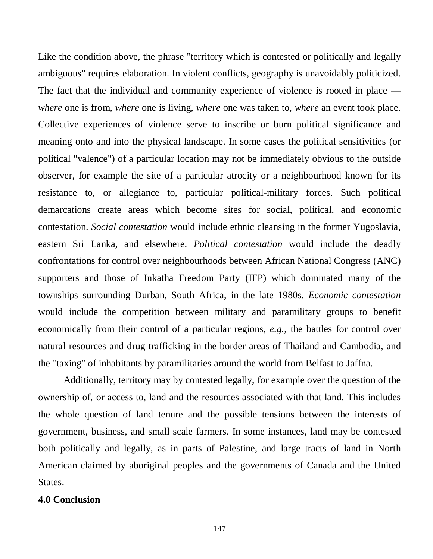Like the condition above, the phrase "territory which is contested or politically and legally ambiguous" requires elaboration. In violent conflicts, geography is unavoidably politicized. The fact that the individual and community experience of violence is rooted in place *where* one is from, *where* one is living, *where* one was taken to, *where* an event took place. Collective experiences of violence serve to inscribe or burn political significance and meaning onto and into the physical landscape. In some cases the political sensitivities (or political "valence") of a particular location may not be immediately obvious to the outside observer, for example the site of a particular atrocity or a neighbourhood known for its resistance to, or allegiance to, particular political-military forces. Such political demarcations create areas which become sites for social, political, and economic contestation. *Social contestation* would include ethnic cleansing in the former Yugoslavia, eastern Sri Lanka, and elsewhere. *Political contestation* would include the deadly confrontations for control over neighbourhoods between African National Congress (ANC) supporters and those of Inkatha Freedom Party (IFP) which dominated many of the townships surrounding Durban, South Africa, in the late 1980s. *Economic contestation*  would include the competition between military and paramilitary groups to benefit economically from their control of a particular regions, *e.g.*, the battles for control over natural resources and drug trafficking in the border areas of Thailand and Cambodia, and the "taxing" of inhabitants by paramilitaries around the world from Belfast to Jaffna.

Additionally, territory may by contested legally, for example over the question of the ownership of, or access to, land and the resources associated with that land. This includes the whole question of land tenure and the possible tensions between the interests of government, business, and small scale farmers. In some instances, land may be contested both politically and legally, as in parts of Palestine, and large tracts of land in North American claimed by aboriginal peoples and the governments of Canada and the United States.

#### **4.0 Conclusion**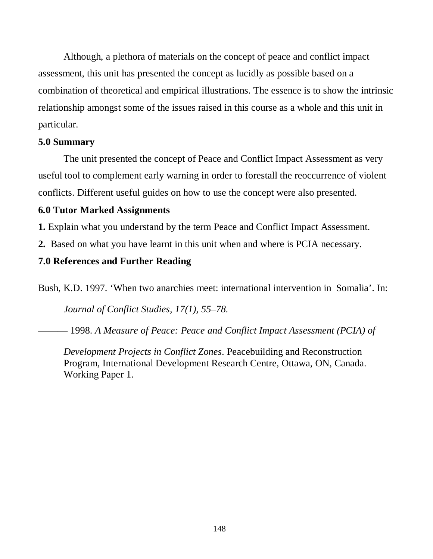Although, a plethora of materials on the concept of peace and conflict impact assessment, this unit has presented the concept as lucidly as possible based on a combination of theoretical and empirical illustrations. The essence is to show the intrinsic relationship amongst some of the issues raised in this course as a whole and this unit in particular.

## **5.0 Summary**

The unit presented the concept of Peace and Conflict Impact Assessment as very useful tool to complement early warning in order to forestall the reoccurrence of violent conflicts. Different useful guides on how to use the concept were also presented.

## **6.0 Tutor Marked Assignments**

**1.** Explain what you understand by the term Peace and Conflict Impact Assessment.

**2.** Based on what you have learnt in this unit when and where is PCIA necessary.

## **7.0 References and Further Reading**

Bush, K.D. 1997. 'When two anarchies meet: international intervention in Somalia'. In:

*Journal of Conflict Studies, 17(1), 55–78.*

——— 1998. *A Measure of Peace: Peace and Conflict Impact Assessment (PCIA) of* 

*Development Projects in Conflict Zones*. Peacebuilding and Reconstruction Program, International Development Research Centre, Ottawa, ON, Canada. Working Paper 1.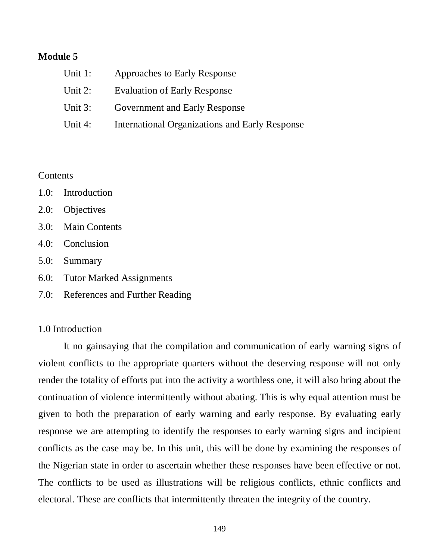### **Module 5**

| Unit 1:    | Approaches to Early Response                          |
|------------|-------------------------------------------------------|
| Unit $2$ : | <b>Evaluation of Early Response</b>                   |
| Unit 3:    | <b>Government and Early Response</b>                  |
| Unit 4:    | <b>International Organizations and Early Response</b> |

#### **Contents**

- 1.0: Introduction
- 2.0: Objectives
- 3.0: Main Contents
- 4.0: Conclusion
- 5.0: Summary
- 6.0: Tutor Marked Assignments
- 7.0: References and Further Reading

#### 1.0 Introduction

It no gainsaying that the compilation and communication of early warning signs of violent conflicts to the appropriate quarters without the deserving response will not only render the totality of efforts put into the activity a worthless one, it will also bring about the continuation of violence intermittently without abating. This is why equal attention must be given to both the preparation of early warning and early response. By evaluating early response we are attempting to identify the responses to early warning signs and incipient conflicts as the case may be. In this unit, this will be done by examining the responses of the Nigerian state in order to ascertain whether these responses have been effective or not. The conflicts to be used as illustrations will be religious conflicts, ethnic conflicts and electoral. These are conflicts that intermittently threaten the integrity of the country.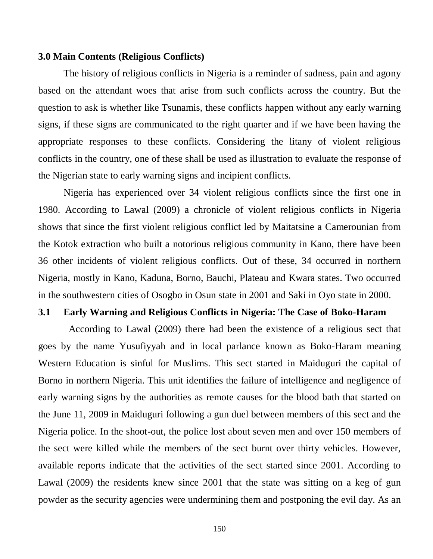#### **3.0 Main Contents (Religious Conflicts)**

The history of religious conflicts in Nigeria is a reminder of sadness, pain and agony based on the attendant woes that arise from such conflicts across the country. But the question to ask is whether like Tsunamis, these conflicts happen without any early warning signs, if these signs are communicated to the right quarter and if we have been having the appropriate responses to these conflicts. Considering the litany of violent religious conflicts in the country, one of these shall be used as illustration to evaluate the response of the Nigerian state to early warning signs and incipient conflicts.

Nigeria has experienced over 34 violent religious conflicts since the first one in 1980. According to Lawal (2009) a chronicle of violent religious conflicts in Nigeria shows that since the first violent religious conflict led by Maitatsine a Camerounian from the Kotok extraction who built a notorious religious community in Kano, there have been 36 other incidents of violent religious conflicts. Out of these, 34 occurred in northern Nigeria, mostly in Kano, Kaduna, Borno, Bauchi, Plateau and Kwara states. Two occurred in the southwestern cities of Osogbo in Osun state in 2001 and Saki in Oyo state in 2000.

## **3.1 Early Warning and Religious Conflicts in Nigeria: The Case of Boko-Haram**

According to Lawal (2009) there had been the existence of a religious sect that goes by the name Yusufiyyah and in local parlance known as Boko-Haram meaning Western Education is sinful for Muslims. This sect started in Maiduguri the capital of Borno in northern Nigeria. This unit identifies the failure of intelligence and negligence of early warning signs by the authorities as remote causes for the blood bath that started on the June 11, 2009 in Maiduguri following a gun duel between members of this sect and the Nigeria police. In the shoot-out, the police lost about seven men and over 150 members of the sect were killed while the members of the sect burnt over thirty vehicles. However, available reports indicate that the activities of the sect started since 2001. According to Lawal (2009) the residents knew since 2001 that the state was sitting on a keg of gun powder as the security agencies were undermining them and postponing the evil day. As an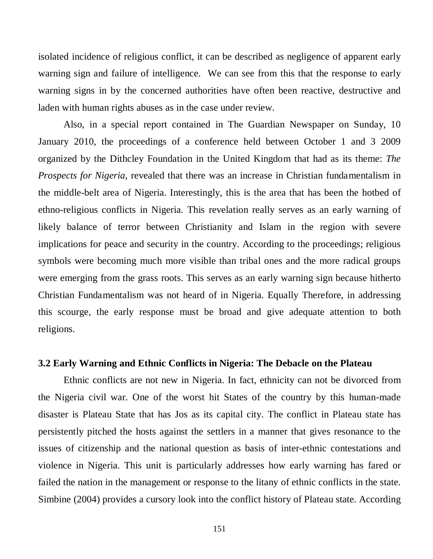isolated incidence of religious conflict, it can be described as negligence of apparent early warning sign and failure of intelligence. We can see from this that the response to early warning signs in by the concerned authorities have often been reactive, destructive and laden with human rights abuses as in the case under review.

Also, in a special report contained in The Guardian Newspaper on Sunday, 10 January 2010, the proceedings of a conference held between October 1 and 3 2009 organized by the Dithcley Foundation in the United Kingdom that had as its theme: *The Prospects for Nigeria,* revealed that there was an increase in Christian fundamentalism in the middle-belt area of Nigeria. Interestingly, this is the area that has been the hotbed of ethno-religious conflicts in Nigeria. This revelation really serves as an early warning of likely balance of terror between Christianity and Islam in the region with severe implications for peace and security in the country. According to the proceedings; religious symbols were becoming much more visible than tribal ones and the more radical groups were emerging from the grass roots. This serves as an early warning sign because hitherto Christian Fundamentalism was not heard of in Nigeria. Equally Therefore, in addressing this scourge, the early response must be broad and give adequate attention to both religions.

## **3.2 Early Warning and Ethnic Conflicts in Nigeria: The Debacle on the Plateau**

Ethnic conflicts are not new in Nigeria. In fact, ethnicity can not be divorced from the Nigeria civil war. One of the worst hit States of the country by this human-made disaster is Plateau State that has Jos as its capital city. The conflict in Plateau state has persistently pitched the hosts against the settlers in a manner that gives resonance to the issues of citizenship and the national question as basis of inter-ethnic contestations and violence in Nigeria. This unit is particularly addresses how early warning has fared or failed the nation in the management or response to the litany of ethnic conflicts in the state. Simbine (2004) provides a cursory look into the conflict history of Plateau state. According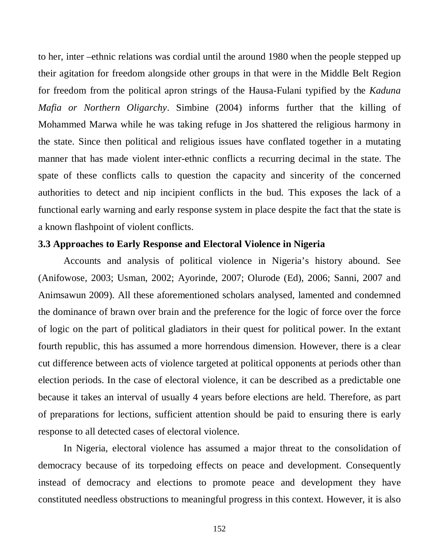to her, inter –ethnic relations was cordial until the around 1980 when the people stepped up their agitation for freedom alongside other groups in that were in the Middle Belt Region for freedom from the political apron strings of the Hausa-Fulani typified by the *Kaduna Mafia or Northern Oligarchy*. Simbine (2004) informs further that the killing of Mohammed Marwa while he was taking refuge in Jos shattered the religious harmony in the state. Since then political and religious issues have conflated together in a mutating manner that has made violent inter-ethnic conflicts a recurring decimal in the state. The spate of these conflicts calls to question the capacity and sincerity of the concerned authorities to detect and nip incipient conflicts in the bud. This exposes the lack of a functional early warning and early response system in place despite the fact that the state is a known flashpoint of violent conflicts.

## **3.3 Approaches to Early Response and Electoral Violence in Nigeria**

Accounts and analysis of political violence in Nigeria's history abound. See (Anifowose, 2003; Usman, 2002; Ayorinde, 2007; Olurode (Ed), 2006; Sanni, 2007 and Animsawun 2009). All these aforementioned scholars analysed, lamented and condemned the dominance of brawn over brain and the preference for the logic of force over the force of logic on the part of political gladiators in their quest for political power. In the extant fourth republic, this has assumed a more horrendous dimension. However, there is a clear cut difference between acts of violence targeted at political opponents at periods other than election periods. In the case of electoral violence, it can be described as a predictable one because it takes an interval of usually 4 years before elections are held. Therefore, as part of preparations for lections, sufficient attention should be paid to ensuring there is early response to all detected cases of electoral violence.

In Nigeria, electoral violence has assumed a major threat to the consolidation of democracy because of its torpedoing effects on peace and development. Consequently instead of democracy and elections to promote peace and development they have constituted needless obstructions to meaningful progress in this context. However, it is also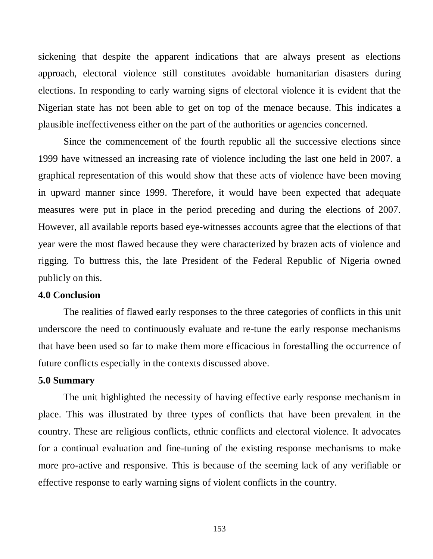sickening that despite the apparent indications that are always present as elections approach, electoral violence still constitutes avoidable humanitarian disasters during elections. In responding to early warning signs of electoral violence it is evident that the Nigerian state has not been able to get on top of the menace because. This indicates a plausible ineffectiveness either on the part of the authorities or agencies concerned.

Since the commencement of the fourth republic all the successive elections since 1999 have witnessed an increasing rate of violence including the last one held in 2007. a graphical representation of this would show that these acts of violence have been moving in upward manner since 1999. Therefore, it would have been expected that adequate measures were put in place in the period preceding and during the elections of 2007. However, all available reports based eye-witnesses accounts agree that the elections of that year were the most flawed because they were characterized by brazen acts of violence and rigging. To buttress this, the late President of the Federal Republic of Nigeria owned publicly on this.

### **4.0 Conclusion**

The realities of flawed early responses to the three categories of conflicts in this unit underscore the need to continuously evaluate and re-tune the early response mechanisms that have been used so far to make them more efficacious in forestalling the occurrence of future conflicts especially in the contexts discussed above.

### **5.0 Summary**

The unit highlighted the necessity of having effective early response mechanism in place. This was illustrated by three types of conflicts that have been prevalent in the country. These are religious conflicts, ethnic conflicts and electoral violence. It advocates for a continual evaluation and fine-tuning of the existing response mechanisms to make more pro-active and responsive. This is because of the seeming lack of any verifiable or effective response to early warning signs of violent conflicts in the country.

153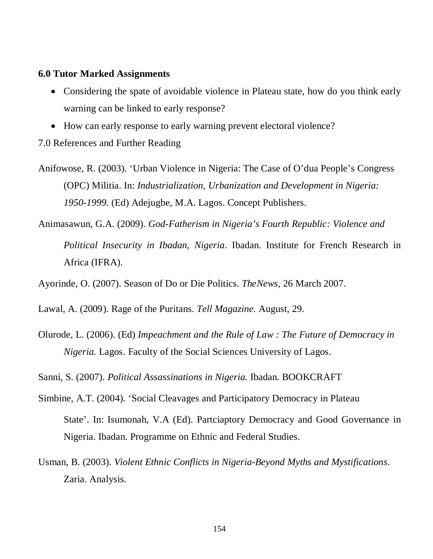#### **6.0 Tutor Marked Assignments**

- Considering the spate of avoidable violence in Plateau state, how do you think early warning can be linked to early response?
- How can early response to early warning prevent electoral violence?

7.0 References and Further Reading

- Anifowose, R. (2003). 'Urban Violence in Nigeria: The Case of O'dua People's Congress (OPC) Militia. In: *Industrialization, Urbanization and Development in Nigeria: 1950-1999.* (Ed) Adejugbe, M.A. Lagos. Concept Publishers.
- Animasawun, G.A. (2009). *God-Fatherism in Nigeria's Fourth Republic: Violence and Political Insecurity in Ibadan, Nigeria*. Ibadan. Institute for French Research in Africa (IFRA).
- Ayorinde, O. (2007). Season of Do or Die Politics. *TheNews,* 26 March 2007.
- Lawal, A. (2009). Rage of the Puritans. *Tell Magazine.* August, 29.
- Olurode, L. (2006). (Ed) *Impeachment and the Rule of Law : The Future of Democracy in Nigeria.* Lagos. Faculty of the Social Sciences University of Lagos.
- Sanni, S. (2007). *Political Assassinations in Nigeria.* Ibadan. BOOKCRAFT
- Simbine, A.T. (2004). 'Social Cleavages and Participatory Democracy in Plateau State'. In: Isumonah, V.A (Ed). Partciaptory Democracy and Good Governance in Nigeria. Ibadan. Programme on Ethnic and Federal Studies.
- Usman, B. (2003). *Violent Ethnic Conflicts in Nigeria-Beyond Myths and Mystifications*. Zaria. Analysis.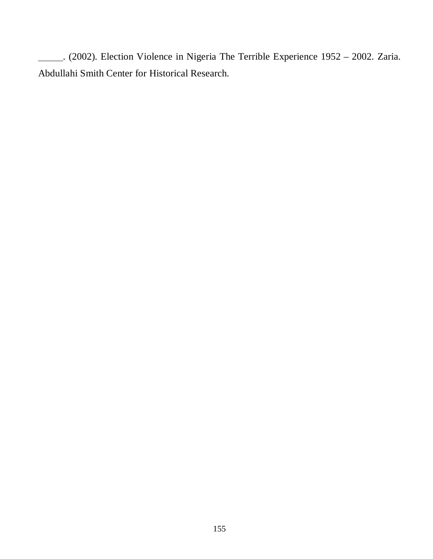. (2002). Election Violence in Nigeria The Terrible Experience 1952 – 2002. Zaria. Abdullahi Smith Center for Historical Research.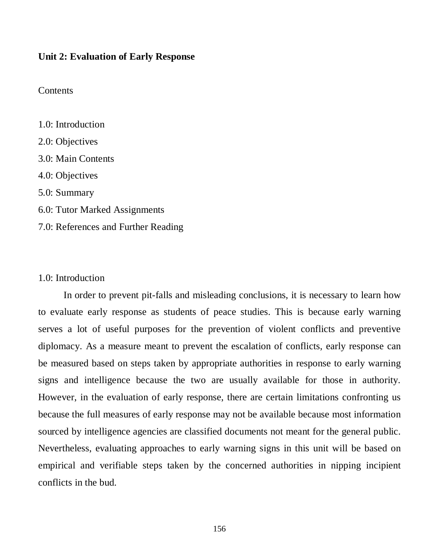#### **Unit 2: Evaluation of Early Response**

## **Contents**

1.0: Introduction 2.0: Objectives 3.0: Main Contents 4.0: Objectives 5.0: Summary 6.0: Tutor Marked Assignments 7.0: References and Further Reading

#### 1.0: Introduction

In order to prevent pit-falls and misleading conclusions, it is necessary to learn how to evaluate early response as students of peace studies. This is because early warning serves a lot of useful purposes for the prevention of violent conflicts and preventive diplomacy. As a measure meant to prevent the escalation of conflicts, early response can be measured based on steps taken by appropriate authorities in response to early warning signs and intelligence because the two are usually available for those in authority. However, in the evaluation of early response, there are certain limitations confronting us because the full measures of early response may not be available because most information sourced by intelligence agencies are classified documents not meant for the general public. Nevertheless, evaluating approaches to early warning signs in this unit will be based on empirical and verifiable steps taken by the concerned authorities in nipping incipient conflicts in the bud.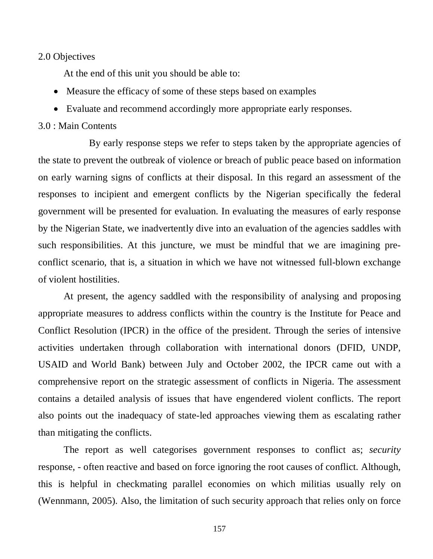#### 2.0 Objectives

At the end of this unit you should be able to:

- Measure the efficacy of some of these steps based on examples
- Evaluate and recommend accordingly more appropriate early responses.

## 3.0 : Main Contents

By early response steps we refer to steps taken by the appropriate agencies of the state to prevent the outbreak of violence or breach of public peace based on information on early warning signs of conflicts at their disposal. In this regard an assessment of the responses to incipient and emergent conflicts by the Nigerian specifically the federal government will be presented for evaluation. In evaluating the measures of early response by the Nigerian State, we inadvertently dive into an evaluation of the agencies saddles with such responsibilities. At this juncture, we must be mindful that we are imagining preconflict scenario, that is, a situation in which we have not witnessed full-blown exchange of violent hostilities.

At present, the agency saddled with the responsibility of analysing and proposing appropriate measures to address conflicts within the country is the Institute for Peace and Conflict Resolution (IPCR) in the office of the president. Through the series of intensive activities undertaken through collaboration with international donors (DFID, UNDP, USAID and World Bank) between July and October 2002, the IPCR came out with a comprehensive report on the strategic assessment of conflicts in Nigeria. The assessment contains a detailed analysis of issues that have engendered violent conflicts. The report also points out the inadequacy of state-led approaches viewing them as escalating rather than mitigating the conflicts.

The report as well categorises government responses to conflict as; *security*  response, - often reactive and based on force ignoring the root causes of conflict. Although, this is helpful in checkmating parallel economies on which militias usually rely on (Wennmann, 2005). Also, the limitation of such security approach that relies only on force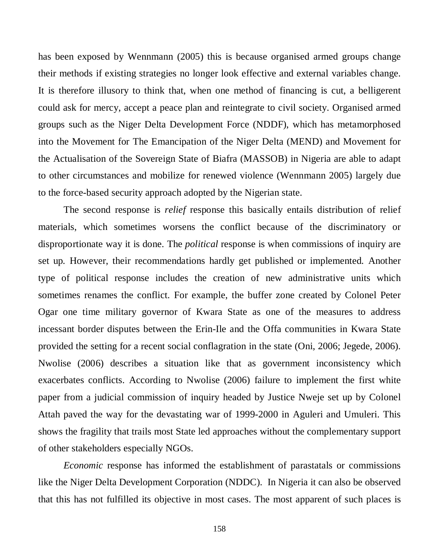has been exposed by Wennmann (2005) this is because organised armed groups change their methods if existing strategies no longer look effective and external variables change. It is therefore illusory to think that, when one method of financing is cut, a belligerent could ask for mercy, accept a peace plan and reintegrate to civil society. Organised armed groups such as the Niger Delta Development Force (NDDF), which has metamorphosed into the Movement for The Emancipation of the Niger Delta (MEND) and Movement for the Actualisation of the Sovereign State of Biafra (MASSOB) in Nigeria are able to adapt to other circumstances and mobilize for renewed violence (Wennmann 2005) largely due to the force-based security approach adopted by the Nigerian state.

The second response is *relief* response this basically entails distribution of relief materials, which sometimes worsens the conflict because of the discriminatory or disproportionate way it is done. The *political* response is when commissions of inquiry are set up. However, their recommendations hardly get published or implemented. Another type of political response includes the creation of new administrative units which sometimes renames the conflict. For example, the buffer zone created by Colonel Peter Ogar one time military governor of Kwara State as one of the measures to address incessant border disputes between the Erin-Ile and the Offa communities in Kwara State provided the setting for a recent social conflagration in the state (Oni, 2006; Jegede, 2006). Nwolise (2006) describes a situation like that as government inconsistency which exacerbates conflicts. According to Nwolise (2006) failure to implement the first white paper from a judicial commission of inquiry headed by Justice Nweje set up by Colonel Attah paved the way for the devastating war of 1999-2000 in Aguleri and Umuleri. This shows the fragility that trails most State led approaches without the complementary support of other stakeholders especially NGOs.

*Economic* response has informed the establishment of parastatals or commissions like the Niger Delta Development Corporation (NDDC). In Nigeria it can also be observed that this has not fulfilled its objective in most cases. The most apparent of such places is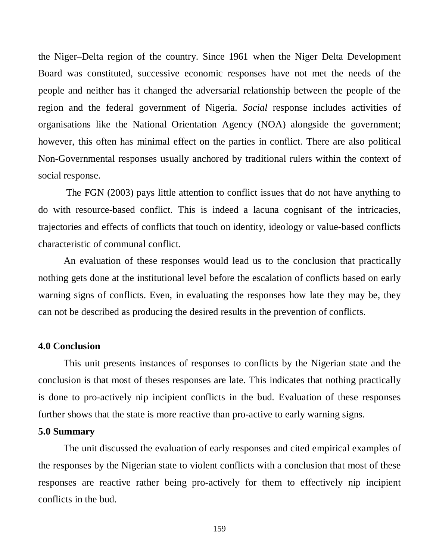the Niger–Delta region of the country. Since 1961 when the Niger Delta Development Board was constituted, successive economic responses have not met the needs of the people and neither has it changed the adversarial relationship between the people of the region and the federal government of Nigeria. *Social* response includes activities of organisations like the National Orientation Agency (NOA) alongside the government; however, this often has minimal effect on the parties in conflict. There are also political Non-Governmental responses usually anchored by traditional rulers within the context of social response.

The FGN (2003) pays little attention to conflict issues that do not have anything to do with resource-based conflict. This is indeed a lacuna cognisant of the intricacies, trajectories and effects of conflicts that touch on identity, ideology or value-based conflicts characteristic of communal conflict.

An evaluation of these responses would lead us to the conclusion that practically nothing gets done at the institutional level before the escalation of conflicts based on early warning signs of conflicts. Even, in evaluating the responses how late they may be, they can not be described as producing the desired results in the prevention of conflicts.

#### **4.0 Conclusion**

This unit presents instances of responses to conflicts by the Nigerian state and the conclusion is that most of theses responses are late. This indicates that nothing practically is done to pro-actively nip incipient conflicts in the bud. Evaluation of these responses further shows that the state is more reactive than pro-active to early warning signs.

## **5.0 Summary**

The unit discussed the evaluation of early responses and cited empirical examples of the responses by the Nigerian state to violent conflicts with a conclusion that most of these responses are reactive rather being pro-actively for them to effectively nip incipient conflicts in the bud.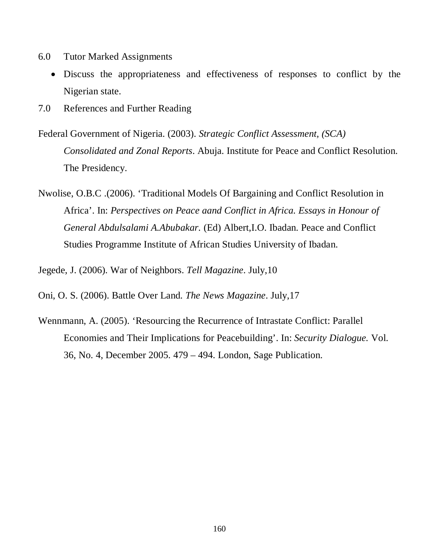- 6.0 Tutor Marked Assignments
	- Discuss the appropriateness and effectiveness of responses to conflict by the Nigerian state.
- 7.0 References and Further Reading
- Federal Government of Nigeria. (2003). *Strategic Conflict Assessment, (SCA) Consolidated and Zonal Reports*. Abuja. Institute for Peace and Conflict Resolution. The Presidency.
- Nwolise, O.B.C .(2006). 'Traditional Models Of Bargaining and Conflict Resolution in Africa'. In: *Perspectives on Peace aand Conflict in Africa. Essays in Honour of General Abdulsalami A.Abubakar.* (Ed) Albert,I.O. Ibadan. Peace and Conflict Studies Programme Institute of African Studies University of Ibadan.

Jegede, J. (2006). War of Neighbors. *Tell Magazine*. July,10

Oni, O. S. (2006). Battle Over Land. *The News Magazine*. July,17

Wennmann, A. (2005). 'Resourcing the Recurrence of Intrastate Conflict: Parallel Economies and Their Implications for Peacebuilding'. In: *Security Dialogue.* Vol. 36, No. 4, December 2005. 479 – 494. London, Sage Publication.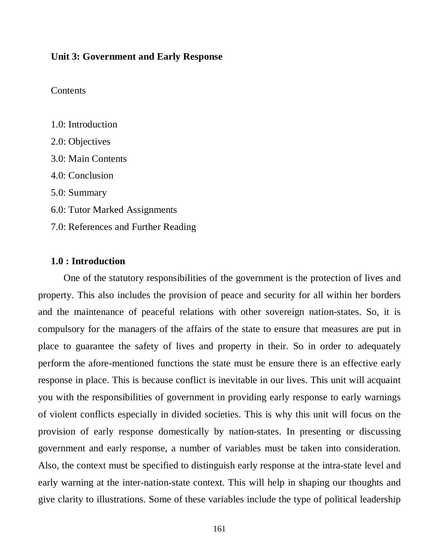#### **Unit 3: Government and Early Response**

#### **Contents**

| 1.0: Introduction                   |
|-------------------------------------|
| 2.0: Objectives                     |
| 3.0: Main Contents                  |
| 4.0: Conclusion                     |
| 5.0: Summary                        |
| 6.0: Tutor Marked Assignments       |
| 7.0: References and Further Reading |

### **1.0 : Introduction**

One of the statutory responsibilities of the government is the protection of lives and property. This also includes the provision of peace and security for all within her borders and the maintenance of peaceful relations with other sovereign nation-states. So, it is compulsory for the managers of the affairs of the state to ensure that measures are put in place to guarantee the safety of lives and property in their. So in order to adequately perform the afore-mentioned functions the state must be ensure there is an effective early response in place. This is because conflict is inevitable in our lives. This unit will acquaint you with the responsibilities of government in providing early response to early warnings of violent conflicts especially in divided societies. This is why this unit will focus on the provision of early response domestically by nation-states. In presenting or discussing government and early response, a number of variables must be taken into consideration. Also, the context must be specified to distinguish early response at the intra-state level and early warning at the inter-nation-state context. This will help in shaping our thoughts and give clarity to illustrations. Some of these variables include the type of political leadership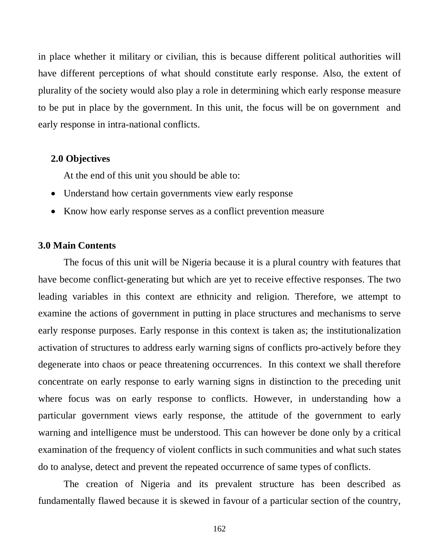in place whether it military or civilian, this is because different political authorities will have different perceptions of what should constitute early response. Also, the extent of plurality of the society would also play a role in determining which early response measure to be put in place by the government. In this unit, the focus will be on government and early response in intra-national conflicts.

#### **2.0 Objectives**

At the end of this unit you should be able to:

- Understand how certain governments view early response
- Know how early response serves as a conflict prevention measure

## **3.0 Main Contents**

The focus of this unit will be Nigeria because it is a plural country with features that have become conflict-generating but which are yet to receive effective responses. The two leading variables in this context are ethnicity and religion. Therefore, we attempt to examine the actions of government in putting in place structures and mechanisms to serve early response purposes. Early response in this context is taken as; the institutionalization activation of structures to address early warning signs of conflicts pro-actively before they degenerate into chaos or peace threatening occurrences. In this context we shall therefore concentrate on early response to early warning signs in distinction to the preceding unit where focus was on early response to conflicts. However, in understanding how a particular government views early response, the attitude of the government to early warning and intelligence must be understood. This can however be done only by a critical examination of the frequency of violent conflicts in such communities and what such states do to analyse, detect and prevent the repeated occurrence of same types of conflicts.

The creation of Nigeria and its prevalent structure has been described as fundamentally flawed because it is skewed in favour of a particular section of the country,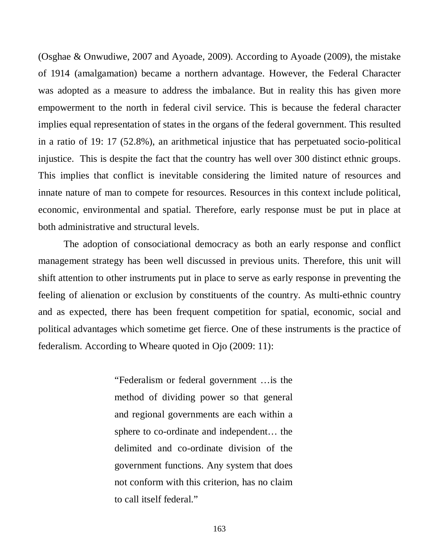(Osghae & Onwudiwe, 2007 and Ayoade, 2009). According to Ayoade (2009), the mistake of 1914 (amalgamation) became a northern advantage. However, the Federal Character was adopted as a measure to address the imbalance. But in reality this has given more empowerment to the north in federal civil service. This is because the federal character implies equal representation of states in the organs of the federal government. This resulted in a ratio of 19: 17 (52.8%), an arithmetical injustice that has perpetuated socio-political injustice. This is despite the fact that the country has well over 300 distinct ethnic groups. This implies that conflict is inevitable considering the limited nature of resources and innate nature of man to compete for resources. Resources in this context include political, economic, environmental and spatial. Therefore, early response must be put in place at both administrative and structural levels.

The adoption of consociational democracy as both an early response and conflict management strategy has been well discussed in previous units. Therefore, this unit will shift attention to other instruments put in place to serve as early response in preventing the feeling of alienation or exclusion by constituents of the country. As multi-ethnic country and as expected, there has been frequent competition for spatial, economic, social and political advantages which sometime get fierce. One of these instruments is the practice of federalism. According to Wheare quoted in Ojo (2009: 11):

> "Federalism or federal government …is the method of dividing power so that general and regional governments are each within a sphere to co-ordinate and independent… the delimited and co-ordinate division of the government functions. Any system that does not conform with this criterion, has no claim to call itself federal."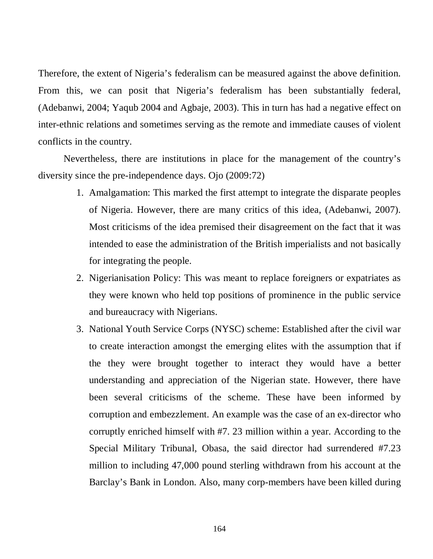Therefore, the extent of Nigeria's federalism can be measured against the above definition. From this, we can posit that Nigeria's federalism has been substantially federal, (Adebanwi, 2004; Yaqub 2004 and Agbaje, 2003). This in turn has had a negative effect on inter-ethnic relations and sometimes serving as the remote and immediate causes of violent conflicts in the country.

Nevertheless, there are institutions in place for the management of the country's diversity since the pre-independence days. Ojo (2009:72)

- 1. Amalgamation: This marked the first attempt to integrate the disparate peoples of Nigeria. However, there are many critics of this idea, (Adebanwi, 2007). Most criticisms of the idea premised their disagreement on the fact that it was intended to ease the administration of the British imperialists and not basically for integrating the people.
- 2. Nigerianisation Policy: This was meant to replace foreigners or expatriates as they were known who held top positions of prominence in the public service and bureaucracy with Nigerians.
- 3. National Youth Service Corps (NYSC) scheme: Established after the civil war to create interaction amongst the emerging elites with the assumption that if the they were brought together to interact they would have a better understanding and appreciation of the Nigerian state. However, there have been several criticisms of the scheme. These have been informed by corruption and embezzlement. An example was the case of an ex-director who corruptly enriched himself with #7. 23 million within a year. According to the Special Military Tribunal, Obasa, the said director had surrendered #7.23 million to including 47,000 pound sterling withdrawn from his account at the Barclay's Bank in London. Also, many corp-members have been killed during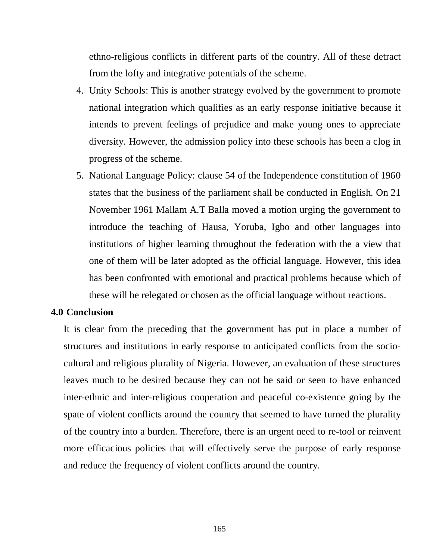ethno-religious conflicts in different parts of the country. All of these detract from the lofty and integrative potentials of the scheme.

- 4. Unity Schools: This is another strategy evolved by the government to promote national integration which qualifies as an early response initiative because it intends to prevent feelings of prejudice and make young ones to appreciate diversity. However, the admission policy into these schools has been a clog in progress of the scheme.
- 5. National Language Policy: clause 54 of the Independence constitution of 1960 states that the business of the parliament shall be conducted in English. On 21 November 1961 Mallam A.T Balla moved a motion urging the government to introduce the teaching of Hausa, Yoruba, Igbo and other languages into institutions of higher learning throughout the federation with the a view that one of them will be later adopted as the official language. However, this idea has been confronted with emotional and practical problems because which of these will be relegated or chosen as the official language without reactions.

### **4.0 Conclusion**

It is clear from the preceding that the government has put in place a number of structures and institutions in early response to anticipated conflicts from the sociocultural and religious plurality of Nigeria. However, an evaluation of these structures leaves much to be desired because they can not be said or seen to have enhanced inter-ethnic and inter-religious cooperation and peaceful co-existence going by the spate of violent conflicts around the country that seemed to have turned the plurality of the country into a burden. Therefore, there is an urgent need to re-tool or reinvent more efficacious policies that will effectively serve the purpose of early response and reduce the frequency of violent conflicts around the country.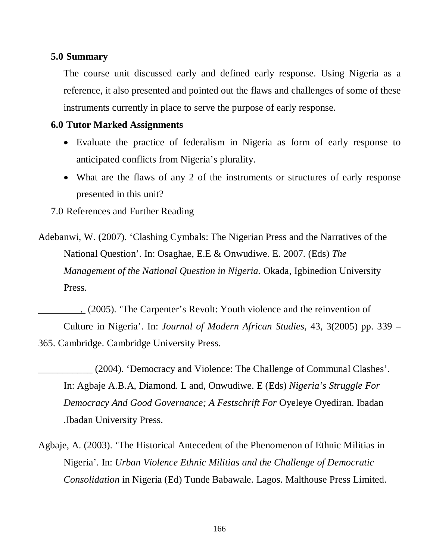### **5.0 Summary**

The course unit discussed early and defined early response. Using Nigeria as a reference, it also presented and pointed out the flaws and challenges of some of these instruments currently in place to serve the purpose of early response.

## **6.0 Tutor Marked Assignments**

- Evaluate the practice of federalism in Nigeria as form of early response to anticipated conflicts from Nigeria's plurality.
- What are the flaws of any 2 of the instruments or structures of early response presented in this unit?
- 7.0 References and Further Reading
- Adebanwi, W. (2007). 'Clashing Cymbals: The Nigerian Press and the Narratives of the National Question'. In: Osaghae, E.E & Onwudiwe. E. 2007. (Eds) *The Management of the National Question in Nigeria.* Okada, Igbinedion University Press.

 . (2005). 'The Carpenter's Revolt: Youth violence and the reinvention of Culture in Nigeria'. In: *Journal of Modern African Studies,* 43, 3(2005) pp. 339 – 365. Cambridge. Cambridge University Press.

- \_\_\_\_\_\_\_\_\_\_\_ (2004). 'Democracy and Violence: The Challenge of Communal Clashes'. In: Agbaje A.B.A, Diamond. L and, Onwudiwe. E (Eds) *Nigeria's Struggle For Democracy And Good Governance; A Festschrift For* Oyeleye Oyediran. Ibadan .Ibadan University Press.
- Agbaje, A. (2003). 'The Historical Antecedent of the Phenomenon of Ethnic Militias in Nigeria'. In: *Urban Violence Ethnic Militias and the Challenge of Democratic Consolidation* in Nigeria (Ed) Tunde Babawale. Lagos. Malthouse Press Limited.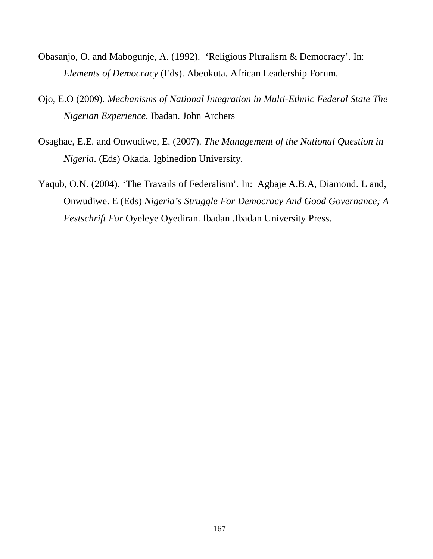- Obasanjo, O. and Mabogunje, A. (1992). 'Religious Pluralism & Democracy'. In: *Elements of Democracy* (Eds). Abeokuta. African Leadership Forum.
- Ojo, E.O (2009). *Mechanisms of National Integration in Multi-Ethnic Federal State The Nigerian Experience*. Ibadan. John Archers
- Osaghae, E.E. and Onwudiwe, E. (2007). *The Management of the National Question in Nigeria*. (Eds) Okada. Igbinedion University.
- Yaqub, O.N. (2004). 'The Travails of Federalism'. In: Agbaje A.B.A, Diamond. L and, Onwudiwe. E (Eds) *Nigeria's Struggle For Democracy And Good Governance; A Festschrift For* Oyeleye Oyediran. Ibadan .Ibadan University Press.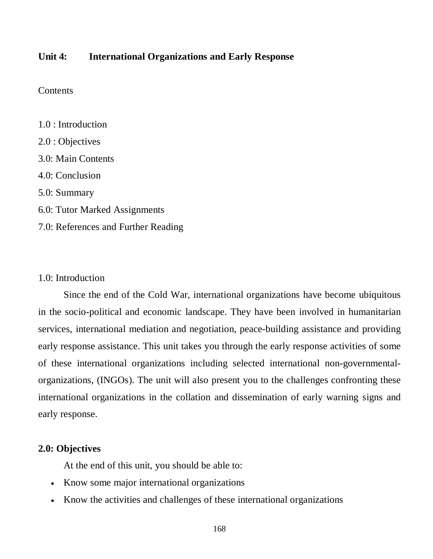## **Unit 4: International Organizations and Early Response**

## **Contents**

1.0 : Introduction 2.0 : Objectives 3.0: Main Contents 4.0: Conclusion 5.0: Summary 6.0: Tutor Marked Assignments 7.0: References and Further Reading

## 1.0: Introduction

Since the end of the Cold War, international organizations have become ubiquitous in the socio-political and economic landscape. They have been involved in humanitarian services, international mediation and negotiation, peace-building assistance and providing early response assistance. This unit takes you through the early response activities of some of these international organizations including selected international non-governmentalorganizations, (INGOs). The unit will also present you to the challenges confronting these international organizations in the collation and dissemination of early warning signs and early response.

## **2.0: Objectives**

At the end of this unit, you should be able to:

- Know some major international organizations
- Know the activities and challenges of these international organizations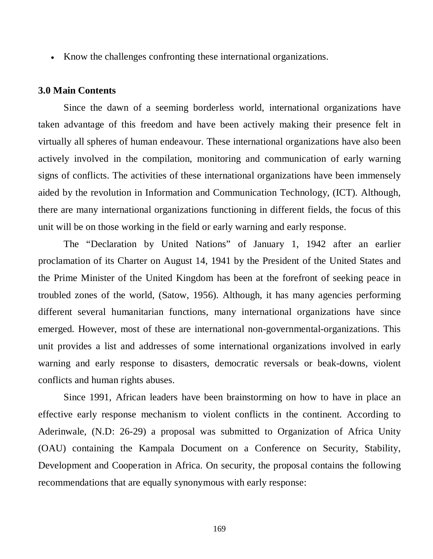• Know the challenges confronting these international organizations.

#### **3.0 Main Contents**

Since the dawn of a seeming borderless world, international organizations have taken advantage of this freedom and have been actively making their presence felt in virtually all spheres of human endeavour. These international organizations have also been actively involved in the compilation, monitoring and communication of early warning signs of conflicts. The activities of these international organizations have been immensely aided by the revolution in Information and Communication Technology, (ICT). Although, there are many international organizations functioning in different fields, the focus of this unit will be on those working in the field or early warning and early response.

The "Declaration by United Nations" of January 1, 1942 after an earlier proclamation of its Charter on August 14, 1941 by the President of the United States and the Prime Minister of the United Kingdom has been at the forefront of seeking peace in troubled zones of the world, (Satow, 1956). Although, it has many agencies performing different several humanitarian functions, many international organizations have since emerged. However, most of these are international non-governmental-organizations. This unit provides a list and addresses of some international organizations involved in early warning and early response to disasters, democratic reversals or beak-downs, violent conflicts and human rights abuses.

Since 1991, African leaders have been brainstorming on how to have in place an effective early response mechanism to violent conflicts in the continent. According to Aderinwale, (N.D: 26-29) a proposal was submitted to Organization of Africa Unity (OAU) containing the Kampala Document on a Conference on Security, Stability, Development and Cooperation in Africa. On security, the proposal contains the following recommendations that are equally synonymous with early response: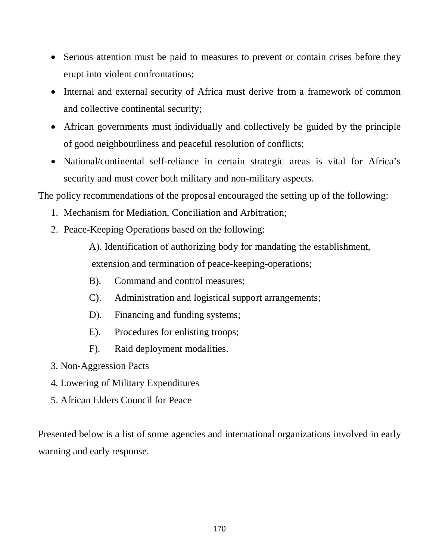- Serious attention must be paid to measures to prevent or contain crises before they erupt into violent confrontations;
- Internal and external security of Africa must derive from a framework of common and collective continental security;
- African governments must individually and collectively be guided by the principle of good neighbourliness and peaceful resolution of conflicts;
- National/continental self-reliance in certain strategic areas is vital for Africa's security and must cover both military and non-military aspects.

The policy recommendations of the proposal encouraged the setting up of the following:

- 1. Mechanism for Mediation, Conciliation and Arbitration;
- 2. Peace-Keeping Operations based on the following:

A). Identification of authorizing body for mandating the establishment, extension and termination of peace-keeping-operations;

- B). Command and control measures;
- C). Administration and logistical support arrangements;
- D). Financing and funding systems;
- E). Procedures for enlisting troops;
- F). Raid deployment modalities.
- 3. Non-Aggression Pacts
- 4. Lowering of Military Expenditures
- 5. African Elders Council for Peace

Presented below is a list of some agencies and international organizations involved in early warning and early response.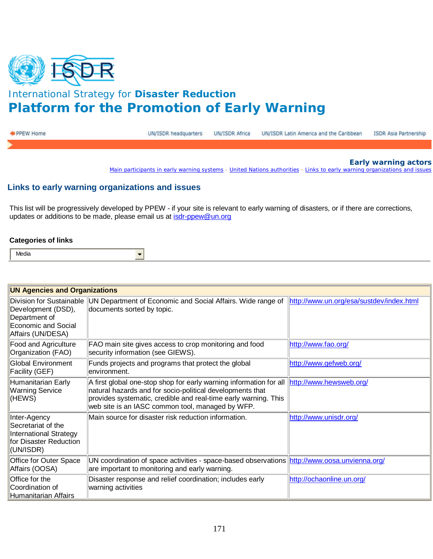

# International Strategy for **Disaster Reduction Platform for the Promotion of Early Warning**

| PPEW Home | UN/ISDR headquarters | UN/ISDR Africa UN/ISDR Latin America and the Caribbean ISDR Asia Partnership |  |
|-----------|----------------------|------------------------------------------------------------------------------|--|
|           |                      |                                                                              |  |

**Early warning actors**

[Main participants in early warning systems](http://www.unisdr.org/ppew/ew-actors/main-participants.htm) - [United Nations authorities](http://www.unisdr.org/ppew/ew-actors/un-authorities.htm) - [Links to early warning organizations and issues](http://www.unisdr.org/ppew/ew-actors/links-org.htm)

#### **Links to early warning organizations and issues**

 $\frac{1}{\sqrt{2}}$ 

This list will be progressively developed by PPEW - if your site is relevant to early warning of disasters, or if there are corrections, updates or additions to be made, please email us at [isdr-ppew@un.org](mailto:isdr-ppew@un.org)

#### **Categories of links**

| <b>UN Agencies and Organizations</b>                                                                |                                                                                                                                                                                                                                                        |                                          |  |
|-----------------------------------------------------------------------------------------------------|--------------------------------------------------------------------------------------------------------------------------------------------------------------------------------------------------------------------------------------------------------|------------------------------------------|--|
| Development (DSD),<br>Department of<br><b>Economic and Social</b><br>Affairs (UN/DESA)              | Division for Sustainable UN Department of Economic and Social Affairs. Wide range of<br>documents sorted by topic.                                                                                                                                     | http://www.un.org/esa/sustdev/index.html |  |
| Food and Agriculture<br>Organization (FAO)                                                          | FAO main site gives access to crop monitoring and food<br>security information (see GIEWS).                                                                                                                                                            | http://www.fao.org/                      |  |
| <b>Global Environment</b><br><b>Facility (GEF)</b>                                                  | Funds projects and programs that protect the global<br>lenvironment.                                                                                                                                                                                   | http://www.gefweb.org/                   |  |
| Humanitarian Early<br><b>Warning Service</b><br>(HEWS)                                              | A first global one-stop shop for early warning information for all<br>natural hazards and for socio-political developments that<br>provides systematic, credible and real-time early warning. This<br>web site is an IASC common tool, managed by WFP. | http://www.hewsweb.org/                  |  |
| Inter-Agency<br>Secretariat of the<br>International Strategy<br>for Disaster Reduction<br>(UN/ISDR) | Main source for disaster risk reduction information.                                                                                                                                                                                                   | http://www.unisdr.org/                   |  |
| Office for Outer Space<br>Affairs (OOSA)                                                            | UN coordination of space activities - space-based observations http://www.oosa.unvienna.org/<br>are important to monitoring and early warning.                                                                                                         |                                          |  |
| Office for the<br>Coordination of<br>Humanitarian Affairs                                           | Disaster response and relief coordination; includes early<br>warning activities                                                                                                                                                                        | http://ochaonline.un.org/                |  |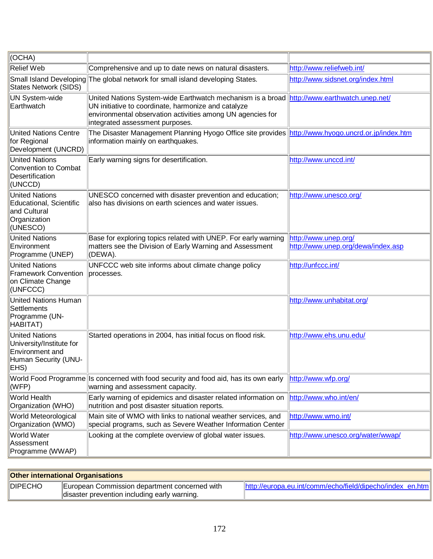| (OCHA)                                                                                                      |                                                                                                                                                                                                                                                    |                                                            |
|-------------------------------------------------------------------------------------------------------------|----------------------------------------------------------------------------------------------------------------------------------------------------------------------------------------------------------------------------------------------------|------------------------------------------------------------|
| <b>Relief Web</b>                                                                                           | Comprehensive and up to date news on natural disasters.                                                                                                                                                                                            | http://www.reliefweb.int/                                  |
| <b>States Network (SIDS)</b>                                                                                | Small Island Developing The global network for small island developing States.                                                                                                                                                                     | http://www.sidsnet.org/index.html                          |
| <b>UN System-wide</b><br>Earthwatch                                                                         | United Nations System-wide Earthwatch mechanism is a broad http://www.earthwatch.unep.net/<br>UN initiative to coordinate, harmonize and catalyze<br>environmental observation activities among UN agencies for<br>integrated assessment purposes. |                                                            |
| <b>United Nations Centre</b><br>for Regional<br>Development (UNCRD)                                         | The Disaster Management Planning Hyogo Office site provides http://www.hyogo.uncrd.or.jp/index.htm<br>information mainly on earthquakes.                                                                                                           |                                                            |
| <b>United Nations</b><br><b>Convention to Combat</b><br>Desertification<br>(UNCCD)                          | Early warning signs for desertification.                                                                                                                                                                                                           | http://www.unccd.int/                                      |
| <b>United Nations</b><br>Educational, Scientific<br>and Cultural<br>Organization<br>(UNESCO)                | UNESCO concerned with disaster prevention and education;<br>also has divisions on earth sciences and water issues.                                                                                                                                 | http://www.unesco.org/                                     |
| <b>United Nations</b><br>Environment<br>Programme (UNEP)                                                    | Base for exploring topics related with UNEP. For early warning<br>matters see the Division of Early Warning and Assessment<br>(DEWA).                                                                                                              | http://www.unep.org/<br>http://www.unep.org/dewa/index.asp |
| <b>United Nations</b><br><b>Framework Convention</b><br>on Climate Change<br>(UNFCCC)                       | UNFCCC web site informs about climate change policy<br>processes.                                                                                                                                                                                  | http://unfccc.int/                                         |
| <b>United Nations Human</b><br>Settlements<br>Programme (UN-<br>HABITAT)                                    |                                                                                                                                                                                                                                                    | http://www.unhabitat.org/                                  |
| <b>United Nations</b><br>University/Institute for<br><b>Environment and</b><br>Human Security (UNU-<br>EHS) | Started operations in 2004, has initial focus on flood risk.                                                                                                                                                                                       | http://www.ehs.unu.edu/                                    |
| (WFP)                                                                                                       | World Food Programme Is concerned with food security and food aid, has its own early<br>warning and assessment capacity.                                                                                                                           | http://www.wfp.org/                                        |
| World Health<br>Organization (WHO)                                                                          | Early warning of epidemics and disaster related information on<br>nutrition and post disaster situation reports.                                                                                                                                   | http://www.who.int/en/                                     |
| World Meteorological<br>Organization (WMO)                                                                  | Main site of WMO with links to national weather services, and<br>special programs, such as Severe Weather Information Center                                                                                                                       | http://www.wmo.int/                                        |
| World Water<br>Assessment<br>Programme (WWAP)                                                               | Looking at the complete overview of global water issues.                                                                                                                                                                                           | http://www.unesco.org/water/wwap/                          |

| <b>Other international Organisations</b> |                                               |                                                           |
|------------------------------------------|-----------------------------------------------|-----------------------------------------------------------|
| <b>DIPECHO</b>                           | European Commission department concerned with | http://europa.eu.int/comm/echo/field/dipecho/index en.htm |
|                                          | disaster prevention including early warning.  |                                                           |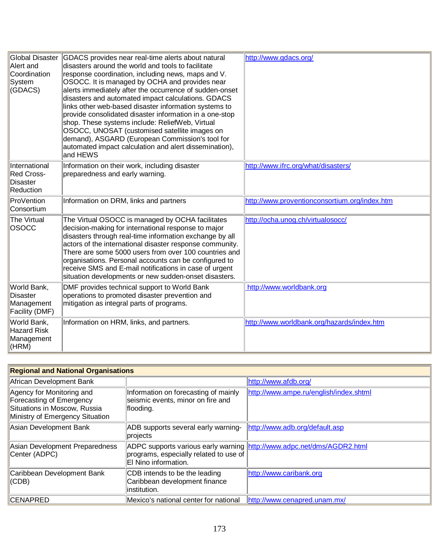| Global Disaster<br>Alert and<br>Coordination<br>System<br>(GDACS) | GDACS provides near real-time alerts about natural<br>disasters around the world and tools to facilitate<br>response coordination, including news, maps and V.<br>OSOCC. It is managed by OCHA and provides near<br>alerts immediately after the occurrence of sudden-onset<br>disasters and automated impact calculations. GDACS<br>links other web-based disaster information systems to<br>provide consolidated disaster information in a one-stop<br>shop. These systems include: ReliefWeb, Virtual<br>OSOCC, UNOSAT (customised satellite images on<br>demand), ASGARD (European Commission's tool for<br>automated impact calculation and alert dissemination),<br>and HEWS | http://www.gdacs.org/                         |
|-------------------------------------------------------------------|------------------------------------------------------------------------------------------------------------------------------------------------------------------------------------------------------------------------------------------------------------------------------------------------------------------------------------------------------------------------------------------------------------------------------------------------------------------------------------------------------------------------------------------------------------------------------------------------------------------------------------------------------------------------------------|-----------------------------------------------|
| International<br>Red Cross-<br>Disaster<br>Reduction              | Information on their work, including disaster<br>preparedness and early warning.                                                                                                                                                                                                                                                                                                                                                                                                                                                                                                                                                                                                   | http://www.ifrc.org/what/disasters/           |
| ProVention<br>Consortium                                          | Information on DRM, links and partners                                                                                                                                                                                                                                                                                                                                                                                                                                                                                                                                                                                                                                             | http://www.proventionconsortium.org/index.htm |
| The Virtual<br><b>OSOCC</b>                                       | The Virtual OSOCC is managed by OCHA facilitates<br>decision-making for international response to major<br>disasters through real-time information exchange by all<br>actors of the international disaster response community.<br>There are some 5000 users from over 100 countries and<br>organisations. Personal accounts can be configured to<br>receive SMS and E-mail notifications in case of urgent<br>situation developments or new sudden-onset disasters.                                                                                                                                                                                                                | http://ocha.unog.ch/virtualosocc/             |
| World Bank,<br>Disaster<br>Management<br>Facility (DMF)           | DMF provides technical support to World Bank<br>operations to promoted disaster prevention and<br>mitigation as integral parts of programs.                                                                                                                                                                                                                                                                                                                                                                                                                                                                                                                                        | http://www.worldbank.org                      |
| World Bank,<br>Hazard Risk<br>Management<br>(HRM)                 | Information on HRM, links, and partners.                                                                                                                                                                                                                                                                                                                                                                                                                                                                                                                                                                                                                                           | http://www.worldbank.org/hazards/index.htm    |

| <b>Regional and National Organisations</b>                                                                               |                                                                                                                                          |                                        |  |
|--------------------------------------------------------------------------------------------------------------------------|------------------------------------------------------------------------------------------------------------------------------------------|----------------------------------------|--|
| African Development Bank                                                                                                 |                                                                                                                                          | http://www.afdb.org/                   |  |
| Agency for Monitoring and<br>Forecasting of Emergency<br>Situations in Moscow, Russia<br>Ministry of Emergency Situation | Information on forecasting of mainly<br>seismic events, minor on fire and<br>flooding.                                                   | http://www.ampe.ru/english/index.shtml |  |
| Asian Development Bank                                                                                                   | ADB supports several early warning-<br>projects                                                                                          | http://www.adb.org/default.asp         |  |
| Asian Development Preparedness<br>Center (ADPC)                                                                          | ADPC supports various early warning http://www.adpc.net/dms/AGDR2.html<br>programs, especially related to use of<br>El Nino information. |                                        |  |
| Caribbean Development Bank<br>(CDB)                                                                                      | CDB intends to be the leading<br>Caribbean development finance<br>linstitution.                                                          | http://www.caribank.org                |  |
| <b>CENAPRED</b>                                                                                                          | Mexico's national center for national                                                                                                    | http://www.cenapred.unam.mx/           |  |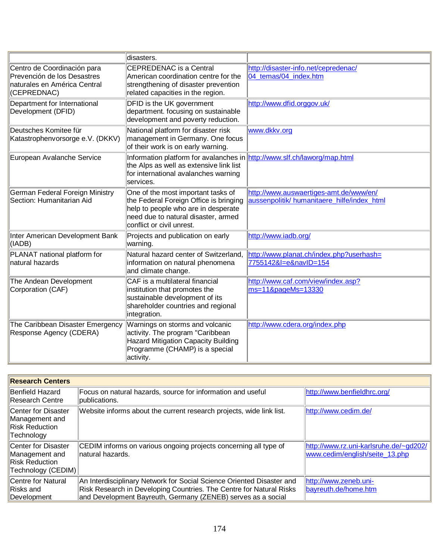|                                                                                                           | disasters.                                                                                                                                                                              |                                                                                       |
|-----------------------------------------------------------------------------------------------------------|-----------------------------------------------------------------------------------------------------------------------------------------------------------------------------------------|---------------------------------------------------------------------------------------|
| Centro de Coordinación para<br>Prevención de los Desastres<br>naturales en América Central<br>(CEPREDNAC) | <b>CEPREDENAC</b> is a Central<br>American coordination centre for the<br>strengthening of disaster prevention<br>related capacities in the region.                                     | http://disaster-info.net/cepredenac/<br>04_temas/04_index.htm                         |
| Department for International<br>Development (DFID)                                                        | DFID is the UK government<br>department. focusing on sustainable<br>development and poverty reduction.                                                                                  | http://www.dfid.orggov.uk/                                                            |
| Deutsches Komitee für<br>Katastrophenvorsorge e.V. (DKKV)                                                 | National platform for disaster risk<br>management in Germany. One focus<br>of their work is on early warning.                                                                           | www.dkkv.org                                                                          |
| European Avalanche Service                                                                                | Information platform for avalanches in http://www.slf.ch/laworg/map.html<br>the Alps as well as extensive link list<br>for international avalanches warning<br>services.                |                                                                                       |
| German Federal Foreign Ministry<br>Section: Humanitarian Aid                                              | One of the most important tasks of<br>the Federal Foreign Office is bringing<br>help to people who are in desperate<br>need due to natural disaster, armed<br>conflict or civil unrest. | http://www.auswaertiges-amt.de/www/en/<br>aussenpolitik/ humanitaere_hilfe/index_html |
| Inter American Development Bank<br>$ $ (IADB)                                                             | Projects and publication on early<br>warning.                                                                                                                                           | http://www.iadb.org/                                                                  |
| PLANAT national platform for<br>natural hazards                                                           | Natural hazard center of Switzerland,<br>information on natural phenomena<br>and climate change.                                                                                        | http://www.planat.ch/index.php?userhash=<br>7755142&l=e&navID=154                     |
| The Andean Development<br>Corporation (CAF)                                                               | CAF is a multilateral financial<br>institution that promotes the<br>sustainable development of its<br>shareholder countries and regional<br>integration.                                | http://www.caf.com/view/index.asp?<br>ms=11&pageMs=13330                              |
| The Caribbean Disaster Emergency<br>Response Agency (CDERA)                                               | Warnings on storms and volcanic<br>activity. The program "Caribbean<br>Hazard Mitigation Capacity Building<br>Programme (CHAMP) is a special<br>activity.                               | http://www.cdera.org/index.php                                                        |

| <b>Research Centers</b>                                                              |                                                                                                                                                                                                              |                                                                          |  |
|--------------------------------------------------------------------------------------|--------------------------------------------------------------------------------------------------------------------------------------------------------------------------------------------------------------|--------------------------------------------------------------------------|--|
| Benfield Hazard<br>Research Centre                                                   | Focus on natural hazards, source for information and useful<br>publications.                                                                                                                                 | http://www.benfieldhrc.org/                                              |  |
| Center for Disaster<br>Management and<br><b>Risk Reduction</b><br>Technology         | Website informs about the current research projects, wide link list.                                                                                                                                         | http://www.cedim.de/                                                     |  |
| Center for Disaster<br>Management and<br><b>Risk Reduction</b><br>Technology (CEDIM) | CEDIM informs on various ongoing projects concerning all type of<br>natural hazards.                                                                                                                         | http://www.rz.uni-karlsruhe.de/~gd202/<br>www.cedim/english/seite 13.php |  |
| Centre for Natural<br>Risks and<br>Development                                       | An Interdisciplinary Network for Social Science Oriented Disaster and<br>Risk Research in Developing Countries. The Centre for Natural Risks<br>and Development Bayreuth, Germany (ZENEB) serves as a social | http://www.zeneb.uni-<br>bayreuth.de/home.htm                            |  |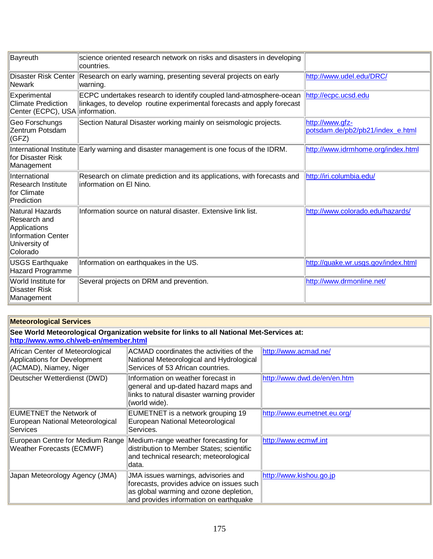| Bayreuth                                                                                           | science oriented research network on risks and disasters in developing<br>countries.                                                         |                                                     |
|----------------------------------------------------------------------------------------------------|----------------------------------------------------------------------------------------------------------------------------------------------|-----------------------------------------------------|
| Disaster Risk Center<br>Newark                                                                     | Research on early warning, presenting several projects on early<br>warning.                                                                  | http://www.udel.edu/DRC/                            |
| Experimental<br><b>Climate Prediction</b><br>Center (ECPC), USA information.                       | ECPC undertakes research to identify coupled land-atmosphere-ocean<br>linkages, to develop routine experimental forecasts and apply forecast | http://ecpc.ucsd.edu                                |
| Geo Forschungs<br>Zentrum Potsdam<br>(GFZ)                                                         | Section Natural Disaster working mainly on seismologic projects.                                                                             | http://www.gfz-<br>potsdam.de/pb2/pb21/index_e.html |
| International Institute<br>for Disaster Risk<br>Management                                         | Early warning and disaster management is one focus of the IDRM.                                                                              | http://www.idrmhome.org/index.html                  |
| International<br>Research Institute<br>for Climate<br>Prediction                                   | Research on climate prediction and its applications, with forecasts and<br>linformation on El Nino.                                          | http://iri.columbia.edu/                            |
| Natural Hazards<br>Research and<br>Applications<br>Information Center<br>University of<br>Colorado | Information source on natural disaster. Extensive link list.                                                                                 | http://www.colorado.edu/hazards/                    |
| <b>USGS Earthquake</b><br>Hazard Programme                                                         | Information on earthquakes in the US.                                                                                                        | http://quake.wr.usgs.gov/index.html                 |
| World Institute for<br>Disaster Risk<br>Management                                                 | Several projects on DRM and prevention.                                                                                                      | http://www.drmonline.net/                           |

| <b>Meteorological Services</b>                                                             |                                                                                                                                                                      |                             |
|--------------------------------------------------------------------------------------------|----------------------------------------------------------------------------------------------------------------------------------------------------------------------|-----------------------------|
| http://www.wmo.ch/web-en/member.html                                                       | See World Meteorological Organization website for links to all National Met-Services at:                                                                             |                             |
| African Center of Meteorological<br>Applications for Development<br>(ACMAD), Niamey, Niger | ACMAD coordinates the activities of the<br>National Meteorological and Hydrological<br>Services of 53 African countries.                                             | http://www.acmad.ne/        |
| Deutscher Wetterdienst (DWD)                                                               | Information on weather forecast in<br>general and up-dated hazard maps and<br>links to natural disaster warning provider<br>(world wide).                            | http://www.dwd.de/en/en.htm |
| EUMETNET the Network of<br>European National Meteorological<br>Services                    | EUMETNET is a network grouping 19<br>European National Meteorological<br> Services.                                                                                  | http://www.eumetnet.eu.org/ |
| European Centre for Medium Range<br><b>Weather Forecasts (ECMWF)</b>                       | Medium-range weather forecasting for<br>distribution to Member States; scientific<br>and technical research; meteorological<br>ldata.                                | http://www.ecmwf.int        |
| Japan Meteorology Agency (JMA)                                                             | JMA issues warnings, advisories and<br>forecasts, provides advice on issues such<br>as global warming and ozone depletion,<br>and provides information on earthquake | http://www.kishou.go.jp     |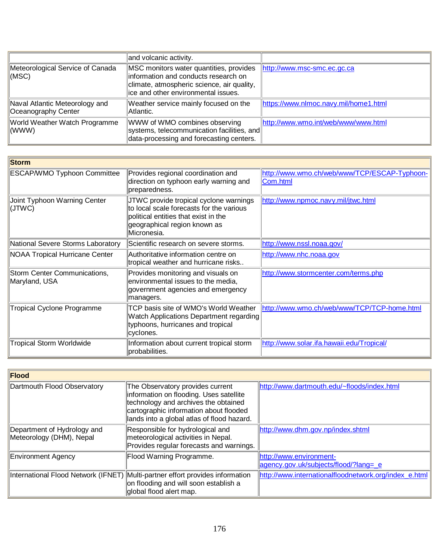|                                                       | and volcanic activity.                                                                                                                                                |                                       |
|-------------------------------------------------------|-----------------------------------------------------------------------------------------------------------------------------------------------------------------------|---------------------------------------|
| Meteorological Service of Canada<br>(MSC)             | MSC monitors water quantities, provides<br>information and conducts research on<br>climate, atmospheric science, air quality,<br>lice and other environmental issues. | http://www.msc-smc.ec.gc.ca           |
| Naval Atlantic Meteorology and<br>Oceanography Center | Weather service mainly focused on the<br>Atlantic.                                                                                                                    | https://www.nlmoc.navy.mil/home1.html |
| World Weather Watch Programme<br>$\ $ (WWW)           | WWW of WMO combines observing<br>systems, telecommunication facilities, and<br>data-processing and forecasting centers.                                               | http://www.wmo.int/web/www/www.html   |

| <b>Storm</b>                                  |                                                                                                                                                                           |                                                          |  |
|-----------------------------------------------|---------------------------------------------------------------------------------------------------------------------------------------------------------------------------|----------------------------------------------------------|--|
| <b>ESCAP/WMO Typhoon Committee</b>            | Provides regional coordination and<br>direction on typhoon early warning and<br>preparedness.                                                                             | http://www.wmo.ch/web/www/TCP/ESCAP-Typhoon-<br>Com.html |  |
| Joint Typhoon Warning Center<br>(JTWC)        | JTWC provide tropical cyclone warnings<br>to local scale forecasts for the various<br>political entities that exist in the<br>geographical region known as<br>Micronesia. | http://www.npmoc.navy.mil/jtwc.html                      |  |
| National Severe Storms Laboratory             | Scientific research on severe storms.                                                                                                                                     | http://www.nssl.noaa.gov/                                |  |
| <b>NOAA Tropical Hurricane Center</b>         | Authoritative information centre on<br>tropical weather and hurricane risks                                                                                               | http://www.nhc.noaa.gov                                  |  |
| Storm Center Communications,<br>Maryland, USA | Provides monitoring and visuals on<br>environmental issues to the media,<br>government agencies and emergency<br>managers.                                                | http://www.stormcenter.com/terms.php                     |  |
| <b>Tropical Cyclone Programme</b>             | TCP basis site of WMO's World Weather<br>Watch Applications Department regarding<br>typhoons, hurricanes and tropical<br>cyclones.                                        | http://www.wmo.ch/web/www/TCP/TCP-home.html              |  |
| <b>Tropical Storm Worldwide</b>               | Information about current tropical storm<br>probabilities.                                                                                                                | http://www.solar.ifa.hawaii.edu/Tropical/                |  |

| Flood                                                   |                                                                                                                                                                                                             |                                                                  |
|---------------------------------------------------------|-------------------------------------------------------------------------------------------------------------------------------------------------------------------------------------------------------------|------------------------------------------------------------------|
| Dartmouth Flood Observatory                             | The Observatory provides current<br>information on flooding. Uses satellite<br>technology and archives the obtained<br>cartographic information about flooded<br>lands into a global atlas of flood hazard. | http://www.dartmouth.edu/~floods/index.html                      |
| Department of Hydrology and<br>Meteorology (DHM), Nepal | Responsible for hydrological and<br>meteorological activities in Nepal.<br>Provides regular forecasts and warnings.                                                                                         | http://www.dhm.gov.np/index.shtml                                |
| Environment Agency                                      | Flood Warning Programme.                                                                                                                                                                                    | http://www.environment-<br>agency.gov.uk/subjects/flood/?lang=_e |
|                                                         | International Flood Network (IFNET) Multi-partner effort provides information<br>on flooding and will soon establish a<br>global flood alert map.                                                           | http://www.internationalfloodnetwork.org/index_e.html            |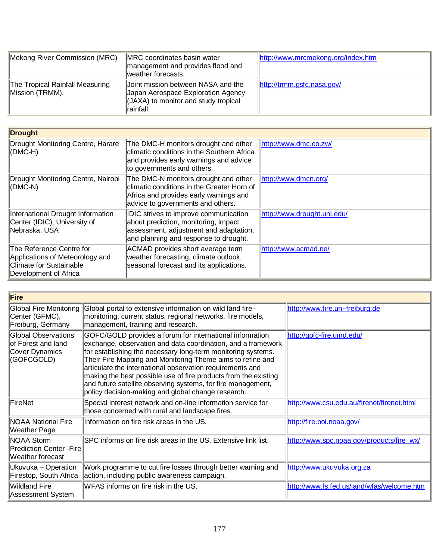| Mekong River Commission (MRC)                      | MRC coordinates basin water<br>management and provides flood and<br>weather forecasts.                                                     | http://www.mrcmekong.org/index.htm |
|----------------------------------------------------|--------------------------------------------------------------------------------------------------------------------------------------------|------------------------------------|
| The Tropical Rainfall Measuring<br>Mission (TRMM). | Joint mission between NASA and the<br>Japan Aerospace Exploration Agency<br>$\parallel$ (JAXA) to monitor and study tropical<br>lrainfall. | http://trmm.gsfc.nasa.gov/         |

| Drought                                                                                                         |                                                                                                                                                                   |                             |
|-----------------------------------------------------------------------------------------------------------------|-------------------------------------------------------------------------------------------------------------------------------------------------------------------|-----------------------------|
| Drought Monitoring Centre, Harare<br>(DMC-H)                                                                    | The DMC-H monitors drought and other<br>climatic conditions in the Southern Africa<br>and provides early warnings and advice<br>to governments and others.        | http://www.dmc.co.zw/       |
| Drought Monitoring Centre, Nairobi<br>$ $ (DMC-N)                                                               | The DMC-N monitors drought and other<br>climatic conditions in the Greater Horn of<br>Africa and provides early warnings and<br>advice to governments and others. | http://www.dmcn.org/        |
| International Drought Information<br>Center (IDIC), University of<br>∥Nebraska, USA                             | IDIC strives to improve communication<br>about prediction, monitoring, impact<br>assessment, adjustment and adaptation,<br>and planning and response to drought.  | http://www.drought.unl.edu/ |
| The Reference Centre for<br>Applications of Meteorology and<br>Climate for Sustainable<br>Development of Africa | ACMAD provides short average term<br>weather forecasting, climate outlook,<br>seasonal forecast and its applications.                                             | http://www.acmad.ne/        |

| Fire                                                                      |                                                                                                                                                                                                                                                                                                                                                                                                                                                                                                              |                                            |
|---------------------------------------------------------------------------|--------------------------------------------------------------------------------------------------------------------------------------------------------------------------------------------------------------------------------------------------------------------------------------------------------------------------------------------------------------------------------------------------------------------------------------------------------------------------------------------------------------|--------------------------------------------|
| Global Fire Monitoring<br>Center (GFMC),<br>Freiburg, Germany             | Global portal to extensive information on wild land fire -<br>monitoring, current status, regional networks, fire models,<br>management, training and research.                                                                                                                                                                                                                                                                                                                                              | http://www.fire.uni-freiburg.de            |
| Global Observations<br>of Forest and land<br>Cover Dynamics<br>(GOFCGOLD) | GOFC/GOLD provides a forum for international information<br>exchange, observation and data coordination, and a framework<br>for establishing the necessary long-term monitoring systems.<br>Their Fire Mapping and Monitoring Theme aims to refine and<br>articulate the international observation requirements and<br>making the best possible use of fire products from the existing<br>and future satellite observing systems, for fire management,<br>policy decision-making and global change research. | http://gofc-fire.umd.edu/                  |
| FireNet                                                                   | Special interest network and on-line information service for<br>those concerned with rural and landscape fires.                                                                                                                                                                                                                                                                                                                                                                                              | http://www.csu.edu.au/firenet/firenet.html |
| <b>NOAA National Fire</b><br>Weather Page                                 | Information on fire risk areas in the US.                                                                                                                                                                                                                                                                                                                                                                                                                                                                    | http://fire.boi.noaa.gov/                  |
| NOAA Storm<br><b>Prediction Center - Fire</b><br>Weather forecast         | SPC informs on fire risk areas in the US. Extensive link list.                                                                                                                                                                                                                                                                                                                                                                                                                                               | http://www.spc.noaa.gov/products/fire_wx/  |
| Ukuvuka – Operation<br>Firestop, South Africa                             | Work programme to cut fire losses through better warning and<br>action, including public awareness campaign.                                                                                                                                                                                                                                                                                                                                                                                                 | http://www.ukuvuka.org.za                  |
| Wildland Fire<br>Assessment System                                        | WFAS informs on fire risk in the US.                                                                                                                                                                                                                                                                                                                                                                                                                                                                         | http://www.fs.fed.us/land/wfas/welcome.htm |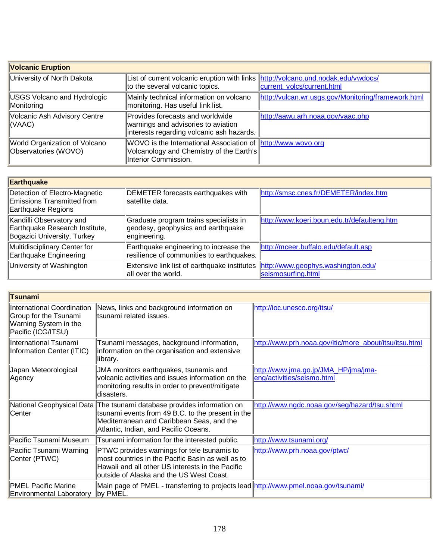| <b>Volcanic Eruption</b>                              |                                                                                                                                         |                                                     |
|-------------------------------------------------------|-----------------------------------------------------------------------------------------------------------------------------------------|-----------------------------------------------------|
| University of North Dakota                            | List of current volcanic eruption with links http://volcano.und.nodak.edu/vwdocs/<br>to the several volcanic topics.                    | current volcs/current.html                          |
| <b>USGS Volcano and Hydrologic</b><br>Monitoring      | Mainly technical information on volcano<br>monitoring. Has useful link list.                                                            | http://vulcan.wr.usgs.gov/Monitoring/framework.html |
| Volcanic Ash Advisory Centre<br>(VAAC)                | Provides forecasts and worldwide<br>warnings and advisories to aviation<br>interests regarding volcanic ash hazards.                    | http://aawu.arh.noaa.gov/vaac.php                   |
| World Organization of Volcano<br>Observatories (WOVO) | WOVO is the International Association of <b>http://www.wovo.org</b><br>Volcanology and Chemistry of the Earth's<br>Interior Commission. |                                                     |

| Earthquake                                                                                |                                                                                                        |                                             |
|-------------------------------------------------------------------------------------------|--------------------------------------------------------------------------------------------------------|---------------------------------------------|
| Detection of Electro-Magnetic<br>Emissions Transmitted from<br>Earthquake Regions         | DEMETER forecasts earthquakes with<br>satellite data.                                                  | http://smsc.cnes.fr/DEMETER/index.htm       |
| Kandilli Observatory and<br>Earthquake Research Institute,<br>Bogazici University, Turkey | Graduate program trains specialists in<br>geodesy, geophysics and earthquake<br>engineering.           | http://www.koeri.boun.edu.tr/defaulteng.htm |
| Multidisciplinary Center for<br>Earthquake Engineering                                    | Earthquake engineering to increase the<br>resilience of communities to earthquakes.                    | http://mceer.buffalo.edu/default.asp        |
| University of Washington                                                                  | Extensive link list of earthquake institutes http://www.geophys.washington.edu/<br>all over the world. | seismosurfing.html                          |

| Tsunami                                                                                            |                                                                                                                                                                                                                   |                                                                    |
|----------------------------------------------------------------------------------------------------|-------------------------------------------------------------------------------------------------------------------------------------------------------------------------------------------------------------------|--------------------------------------------------------------------|
| International Coordination<br>Group for the Tsunami<br>Warning System in the<br>Pacific (ICG/ITSU) | News, links and background information on<br>ltsunami related issues.                                                                                                                                             | http://ioc.unesco.org/itsu/                                        |
| International Tsunami<br>Information Center (ITIC)                                                 | Tsunami messages, background information,<br>information on the organisation and extensive<br>library.                                                                                                            | http://www.prh.noaa.gov/itic/more_about/itsu/itsu.html             |
| Japan Meteorological<br>Agency                                                                     | JMA monitors earthquakes, tsunamis and<br>volcanic activities and issues information on the<br>monitoring results in order to prevent/mitigate<br>disasters.                                                      | http://www.jma.go.jp/JMA HP/jma/jma-<br>eng/activities/seismo.html |
| Center                                                                                             | National Geophysical Data The tsunami database provides information on<br>tsunami events from 49 B.C. to the present in the<br>Mediterranean and Caribbean Seas, and the<br>Atlantic, Indian, and Pacific Oceans. | http://www.ngdc.noaa.gov/seg/hazard/tsu.shtml                      |
| Pacific Tsunami Museum                                                                             | Tsunami information for the interested public.                                                                                                                                                                    | http://www.tsunami.org/                                            |
| Pacific Tsunami Warning<br>Center (PTWC)                                                           | PTWC provides warnings for tele tsunamis to<br>most countries in the Pacific Basin as well as to<br>Hawaii and all other US interests in the Pacific<br>outside of Alaska and the US West Coast.                  | http://www.prh.noaa.gov/ptwc/                                      |
| <b>PMEL Pacific Marine</b><br><b>Environmental Laboratory</b>                                      | Main page of PMEL - transferring to projects lead http://www.pmel.noaa.gov/tsunami/<br>by PMEL.                                                                                                                   |                                                                    |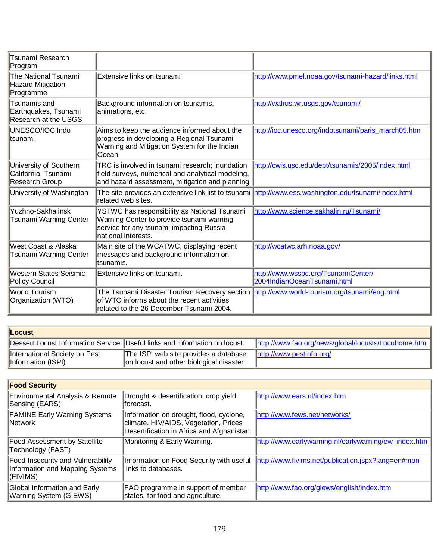| <b>Tsunami Research</b><br>Program                              |                                                                                                                                                                                       |                                                                                                      |
|-----------------------------------------------------------------|---------------------------------------------------------------------------------------------------------------------------------------------------------------------------------------|------------------------------------------------------------------------------------------------------|
| The National Tsunami<br>Hazard Mitigation<br>Programme          | Extensive links on tsunami                                                                                                                                                            | http://www.pmel.noaa.gov/tsunami-hazard/links.html                                                   |
| Tsunamis and<br>Earthquakes, Tsunami<br>Research at the USGS    | Background information on tsunamis,<br>animations, etc.                                                                                                                               | http://walrus.wr.usgs.gov/tsunami/                                                                   |
| UNESCO/IOC Indo<br>ltsunami                                     | Aims to keep the audience informed about the<br>progress in developing a Regional Tsunami<br>Warning and Mitigation System for the Indian<br>Ocean.                                   | http://ioc.unesco.org/indotsunami/paris_march05.htm                                                  |
| University of Southern<br>California, Tsunami<br>Research Group | TRC is involved in tsunami research; inundation<br>field surveys, numerical and analytical modeling,<br>and hazard assessment, mitigation and planning                                | http://cwis.usc.edu/dept/tsunamis/2005/index.html                                                    |
| University of Washington                                        | related web sites.                                                                                                                                                                    | The site provides an extensive link list to tsunami http://www.ess.washington.edu/tsunami/index.html |
| Yuzhno-Sakhalinsk<br>Tsunami Warning Center                     | YSTWC has responsibility as National Tsunami<br>Warning Center to provide tsunami warning<br>service for any tsunami impacting Russia<br>national interests.                          | http://www.science.sakhalin.ru/Tsunami/                                                              |
| West Coast & Alaska<br>Tsunami Warning Center                   | Main site of the WCATWC, displaying recent<br>messages and background information on<br>ltsunamis.                                                                                    | http://wcatwc.arh.noaa.gov/                                                                          |
| Western States Seismic<br>Policy Council                        | Extensive links on tsunami.                                                                                                                                                           | http://www.wsspc.org/TsunamiCenter/<br>2004IndianOceanTsunami.html                                   |
| <b>World Tourism</b><br>Organization (WTO)                      | The Tsunami Disaster Tourism Recovery section http://www.world-tourism.org/tsunami/eng.html<br>of WTO informs about the recent activities<br>related to the 26 December Tsunami 2004. |                                                                                                      |

| <b>Locust</b>                                       |                                                                                   |                                                     |
|-----------------------------------------------------|-----------------------------------------------------------------------------------|-----------------------------------------------------|
|                                                     | Dessert Locust Information Service  Useful links and information on locust.       | http://www.fao.org/news/global/locusts/Locuhome.htm |
| International Society on Pest<br>Information (ISPI) | The ISPI web site provides a database<br>on locust and other biological disaster. | http://www.pestinfo.org/                            |

| <b>Food Security</b>                                                                    |                                                                                                                                |                                                      |  |  |
|-----------------------------------------------------------------------------------------|--------------------------------------------------------------------------------------------------------------------------------|------------------------------------------------------|--|--|
| Environmental Analysis & Remote<br>Sensing (EARS)                                       | Drought & desertification, crop yield<br>lforecast.                                                                            | http://www.ears.nl/index.htm                         |  |  |
| <b>FAMINE Early Warning Systems</b><br>Network                                          | Information on drought, flood, cyclone,<br>climate, HIV/AIDS, Vegetation, Prices<br>Desertification in Africa and Afghanistan. | http://www.fews.net/networks/                        |  |  |
| <b>Food Assessment by Satellite</b><br>Technology (FAST)                                | Monitoring & Early Warning.                                                                                                    | http://www.earlywarning.nl/earlywarning/ew_index.htm |  |  |
| <b>Food Insecurity and Vulnerability</b><br>Information and Mapping Systems<br>(FIVIMS) | Information on Food Security with useful<br>llinks to databases.                                                               | http://www.fivims.net/publication.jspx?lang=en#mon   |  |  |
| Global Information and Early<br><b>Warning System (GIEWS)</b>                           | FAO programme in support of member<br>states, for food and agriculture.                                                        | http://www.fao.org/giews/english/index.htm           |  |  |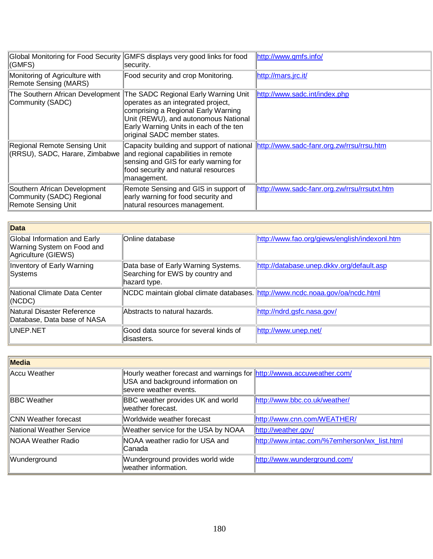| <b>Global Monitoring for Food Security</b><br>(GMFS)                             | GMFS displays very good links for food<br>security.                                                                                                                                                                                 | http://www.gmfs.info/                        |
|----------------------------------------------------------------------------------|-------------------------------------------------------------------------------------------------------------------------------------------------------------------------------------------------------------------------------------|----------------------------------------------|
| Monitoring of Agriculture with<br>Remote Sensing (MARS)                          | Food security and crop Monitoring.                                                                                                                                                                                                  | http://mars.jrc.it/                          |
| The Southern African Development<br>Community (SADC)                             | The SADC Regional Early Warning Unit<br>operates as an integrated project,<br>comprising a Regional Early Warning<br>Unit (REWU), and autonomous National<br>Early Warning Units in each of the ten<br>original SADC member states. | http://www.sadc.int/index.php                |
| Regional Remote Sensing Unit<br>(RRSU), SADC, Harare, Zimbabwe                   | Capacity building and support of national<br>and regional capabilities in remote<br>sensing and GIS for early warning for<br>food security and natural resources<br>management.                                                     | http://www.sadc-fanr.org.zw/rrsu/rrsu.htm    |
| Southern African Development<br>Community (SADC) Regional<br>Remote Sensing Unit | Remote Sensing and GIS in support of<br>early warning for food security and<br>natural resources management.                                                                                                                        | http://www.sadc-fanr.org.zw/rrsu/rrsutxt.htm |

| Data                                                                              |                                                                                         |                                               |
|-----------------------------------------------------------------------------------|-----------------------------------------------------------------------------------------|-----------------------------------------------|
| Global Information and Early<br>Warning System on Food and<br>Agriculture (GIEWS) | <b>Online database</b>                                                                  | http://www.fao.org/giews/english/indexonl.htm |
| Inventory of Early Warning<br><b>Systems</b>                                      | Data base of Early Warning Systems.<br>Searching for EWS by country and<br>hazard type. | http://database.unep.dkkv.org/default.asp     |
| National Climate Data Center<br>$\parallel$ (NCDC)                                | NCDC maintain global climate databases. http://www.ncdc.noaa.gov/oa/ncdc.html           |                                               |
| Natural Disaster Reference<br>Database, Data base of NASA                         | Abstracts to natural hazards.                                                           | http://ndrd.gsfc.nasa.gov/                    |
| <b>IUNEP NET</b>                                                                  | Good data source for several kinds of<br>disasters.                                     | http://www.unep.net/                          |

| Media                      |                                                                                                                                      |                                              |  |
|----------------------------|--------------------------------------------------------------------------------------------------------------------------------------|----------------------------------------------|--|
| Accu Weather               | Hourly weather forecast and warnings for http://wwwa.accuweather.com/<br>USA and background information on<br>severe weather events. |                                              |  |
| <b>BBC</b> Weather         | <b>BBC</b> weather provides UK and world<br>weather forecast.                                                                        | http://www.bbc.co.uk/weather/                |  |
| CNN Weather forecast       | Worldwide weather forecast                                                                                                           | http://www.cnn.com/WEATHER/                  |  |
| National Weather Service   | Weather service for the USA by NOAA                                                                                                  | http://weather.gov/                          |  |
| <b>INOAA Weather Radio</b> | NOAA weather radio for USA and<br>lCanada                                                                                            | http://www.intac.com/%7emherson/wx_list.html |  |
| Wunderground               | Wunderground provides world wide<br>weather information.                                                                             | http://www.wunderground.com/                 |  |